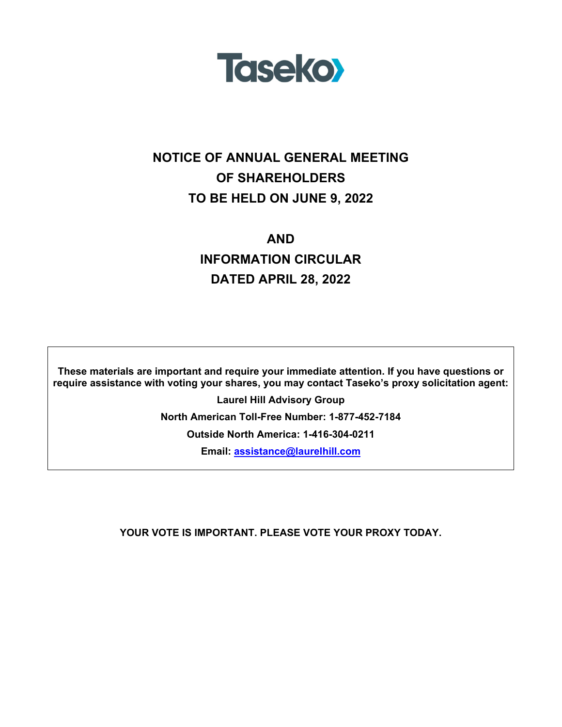

# **NOTICE OF ANNUAL GENERAL MEETING OF SHAREHOLDERS TO BE HELD ON JUNE 9, 2022**

# **AND INFORMATION CIRCULAR DATED APRIL 28, 2022**

**These materials are important and require your immediate attention. If you have questions or require assistance with voting your shares, you may contact Taseko's proxy solicitation agent:** 

> **Laurel Hill Advisory Group North American Toll-Free Number: 1-877-452-7184 Outside North America: 1-416-304-0211 Email: assistance@laurelhill.com**

**YOUR VOTE IS IMPORTANT. PLEASE VOTE YOUR PROXY TODAY.**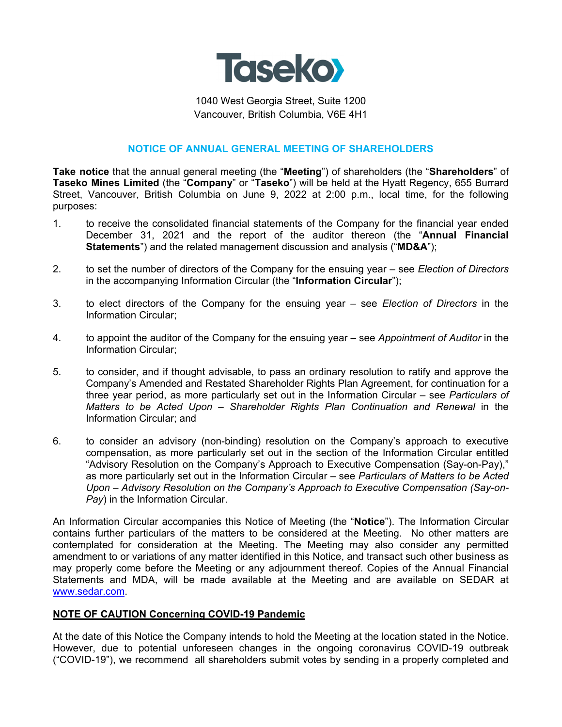

1040 West Georgia Street, Suite 1200 Vancouver, British Columbia, V6E 4H1

# **NOTICE OF ANNUAL GENERAL MEETING OF SHAREHOLDERS**

**Take notice** that the annual general meeting (the "**Meeting**") of shareholders (the "**Shareholders**" of **Taseko Mines Limited** (the "**Company**" or "**Taseko**") will be held at the Hyatt Regency, 655 Burrard Street, Vancouver, British Columbia on June 9, 2022 at 2:00 p.m., local time, for the following purposes:

- 1. to receive the consolidated financial statements of the Company for the financial year ended December 31, 2021 and the report of the auditor thereon (the "**Annual Financial Statements**") and the related management discussion and analysis ("**MD&A**");
- 2. to set the number of directors of the Company for the ensuing year see *Election of Directors* in the accompanying Information Circular (the "**Information Circular**");
- 3. to elect directors of the Company for the ensuing year see *Election of Directors* in the Information Circular;
- 4. to appoint the auditor of the Company for the ensuing year see *Appointment of Auditor* in the Information Circular;
- 5. to consider, and if thought advisable, to pass an ordinary resolution to ratify and approve the Company's Amended and Restated Shareholder Rights Plan Agreement, for continuation for a three year period, as more particularly set out in the Information Circular – see *Particulars of Matters to be Acted Upon – Shareholder Rights Plan Continuation and Renewal* in the Information Circular; and
- 6. to consider an advisory (non-binding) resolution on the Company's approach to executive compensation, as more particularly set out in the section of the Information Circular entitled "Advisory Resolution on the Company's Approach to Executive Compensation (Say-on-Pay)," as more particularly set out in the Information Circular – see *Particulars of Matters to be Acted Upon – Advisory Resolution on the Company's Approach to Executive Compensation (Say-on-Pay*) in the Information Circular.

An Information Circular accompanies this Notice of Meeting (the "**Notice**"). The Information Circular contains further particulars of the matters to be considered at the Meeting. No other matters are contemplated for consideration at the Meeting. The Meeting may also consider any permitted amendment to or variations of any matter identified in this Notice, and transact such other business as may properly come before the Meeting or any adjournment thereof. Copies of the Annual Financial Statements and MDA, will be made available at the Meeting and are available on SEDAR at www.sedar.com.

#### **NOTE OF CAUTION Concerning COVID-19 Pandemic**

At the date of this Notice the Company intends to hold the Meeting at the location stated in the Notice. However, due to potential unforeseen changes in the ongoing coronavirus COVID-19 outbreak ("COVID-19"), we recommend all shareholders submit votes by sending in a properly completed and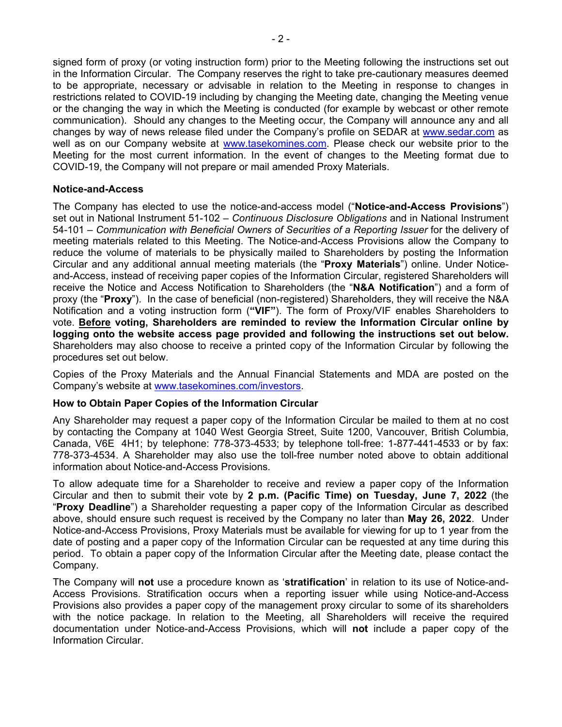signed form of proxy (or voting instruction form) prior to the Meeting following the instructions set out in the Information Circular. The Company reserves the right to take pre-cautionary measures deemed to be appropriate, necessary or advisable in relation to the Meeting in response to changes in restrictions related to COVID-19 including by changing the Meeting date, changing the Meeting venue or the changing the way in which the Meeting is conducted (for example by webcast or other remote communication). Should any changes to the Meeting occur, the Company will announce any and all changes by way of news release filed under the Company's profile on SEDAR at www.sedar.com as well as on our Company website at www.tasekomines.com. Please check our website prior to the Meeting for the most current information. In the event of changes to the Meeting format due to COVID-19, the Company will not prepare or mail amended Proxy Materials.

# **Notice-and-Access**

The Company has elected to use the notice-and-access model ("**Notice-and-Access Provisions**") set out in National Instrument 51-102 – *Continuous Disclosure Obligations* and in National Instrument 54-101 – *Communication with Beneficial Owners of Securities of a Reporting Issuer* for the delivery of meeting materials related to this Meeting. The Notice-and-Access Provisions allow the Company to reduce the volume of materials to be physically mailed to Shareholders by posting the Information Circular and any additional annual meeting materials (the "**Proxy Materials**") online. Under Noticeand-Access, instead of receiving paper copies of the Information Circular, registered Shareholders will receive the Notice and Access Notification to Shareholders (the "**N&A Notification**") and a form of proxy (the "**Proxy**"). In the case of beneficial (non-registered) Shareholders, they will receive the N&A Notification and a voting instruction form (**"VIF"**). The form of Proxy/VIF enables Shareholders to vote. **Before voting, Shareholders are reminded to review the Information Circular online by logging onto the website access page provided and following the instructions set out below.** Shareholders may also choose to receive a printed copy of the Information Circular by following the procedures set out below.

Copies of the Proxy Materials and the Annual Financial Statements and MDA are posted on the Company's website at www.tasekomines.com/investors.

#### **How to Obtain Paper Copies of the Information Circular**

Any Shareholder may request a paper copy of the Information Circular be mailed to them at no cost by contacting the Company at 1040 West Georgia Street, Suite 1200, Vancouver, British Columbia, Canada, V6E 4H1; by telephone: 778-373-4533; by telephone toll-free: 1-877-441-4533 or by fax: 778-373-4534. A Shareholder may also use the toll-free number noted above to obtain additional information about Notice-and-Access Provisions.

To allow adequate time for a Shareholder to receive and review a paper copy of the Information Circular and then to submit their vote by **2 p.m. (Pacific Time) on Tuesday, June 7, 2022** (the "**Proxy Deadline**") a Shareholder requesting a paper copy of the Information Circular as described above, should ensure such request is received by the Company no later than **May 26, 2022**. Under Notice-and-Access Provisions, Proxy Materials must be available for viewing for up to 1 year from the date of posting and a paper copy of the Information Circular can be requested at any time during this period. To obtain a paper copy of the Information Circular after the Meeting date, please contact the Company.

The Company will **not** use a procedure known as '**stratification**' in relation to its use of Notice-and-Access Provisions. Stratification occurs when a reporting issuer while using Notice-and-Access Provisions also provides a paper copy of the management proxy circular to some of its shareholders with the notice package. In relation to the Meeting, all Shareholders will receive the required documentation under Notice-and-Access Provisions, which will **not** include a paper copy of the Information Circular.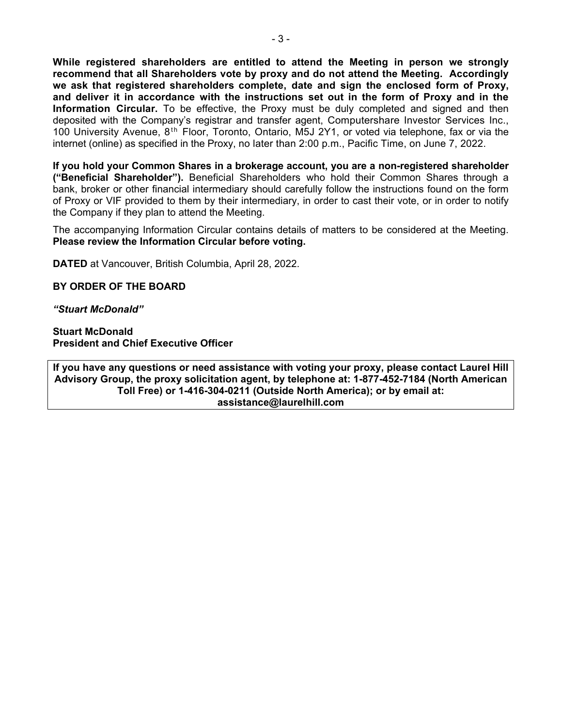**While registered shareholders are entitled to attend the Meeting in person we strongly recommend that all Shareholders vote by proxy and do not attend the Meeting. Accordingly we ask that registered shareholders complete, date and sign the enclosed form of Proxy, and deliver it in accordance with the instructions set out in the form of Proxy and in the Information Circular.** To be effective, the Proxy must be duly completed and signed and then deposited with the Company's registrar and transfer agent, Computershare Investor Services Inc., 100 University Avenue,  $8<sup>th</sup>$  Floor, Toronto, Ontario, M5J 2Y1, or voted via telephone, fax or via the internet (online) as specified in the Proxy, no later than 2:00 p.m., Pacific Time, on June 7, 2022.

**If you hold your Common Shares in a brokerage account, you are a non-registered shareholder ("Beneficial Shareholder").** Beneficial Shareholders who hold their Common Shares through a bank, broker or other financial intermediary should carefully follow the instructions found on the form of Proxy or VIF provided to them by their intermediary, in order to cast their vote, or in order to notify the Company if they plan to attend the Meeting.

The accompanying Information Circular contains details of matters to be considered at the Meeting. **Please review the Information Circular before voting.** 

**DATED** at Vancouver, British Columbia, April 28, 2022.

**BY ORDER OF THE BOARD** 

*"Stuart McDonald"* 

**Stuart McDonald President and Chief Executive Officer** 

**If you have any questions or need assistance with voting your proxy, please contact Laurel Hill Advisory Group, the proxy solicitation agent, by telephone at: 1-877-452-7184 (North American Toll Free) or 1-416-304-0211 (Outside North America); or by email at: assistance@laurelhill.com**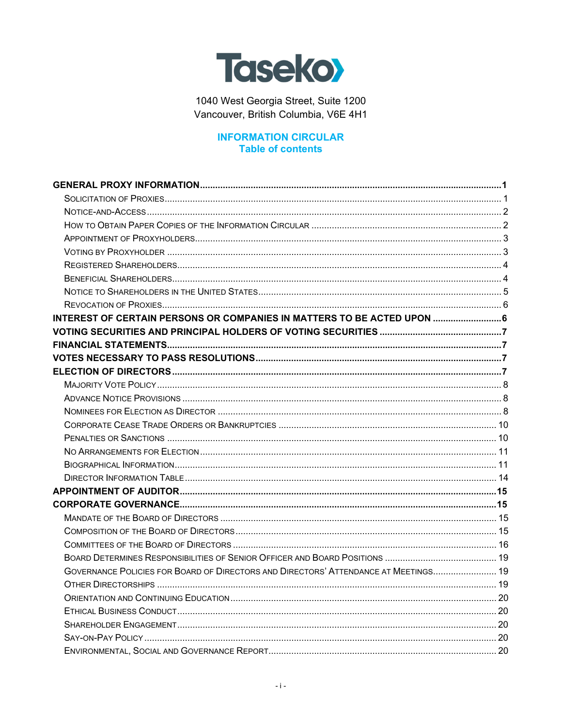

1040 West Georgia Street, Suite 1200 Vancouver, British Columbia, V6E 4H1

# **INFORMATION CIRCULAR Table of contents**

| INTEREST OF CERTAIN PERSONS OR COMPANIES IN MATTERS TO BE ACTED UPON  6             |  |
|-------------------------------------------------------------------------------------|--|
|                                                                                     |  |
|                                                                                     |  |
|                                                                                     |  |
|                                                                                     |  |
|                                                                                     |  |
|                                                                                     |  |
|                                                                                     |  |
|                                                                                     |  |
|                                                                                     |  |
|                                                                                     |  |
|                                                                                     |  |
|                                                                                     |  |
|                                                                                     |  |
|                                                                                     |  |
|                                                                                     |  |
|                                                                                     |  |
|                                                                                     |  |
|                                                                                     |  |
| GOVERNANCE POLICIES FOR BOARD OF DIRECTORS AND DIRECTORS' ATTENDANCE AT MEETINGS 19 |  |
|                                                                                     |  |
|                                                                                     |  |
|                                                                                     |  |
|                                                                                     |  |
|                                                                                     |  |
|                                                                                     |  |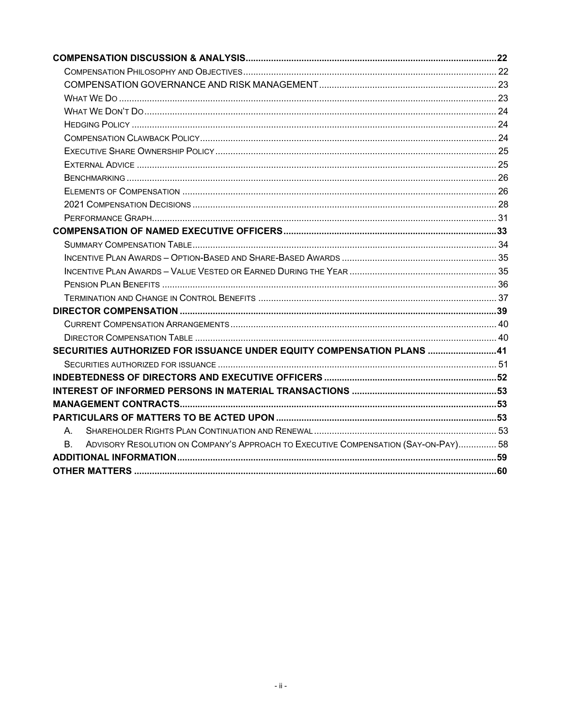|    | SECURITIES AUTHORIZED FOR ISSUANCE UNDER EQUITY COMPENSATION PLANS 41               |  |
|----|-------------------------------------------------------------------------------------|--|
|    |                                                                                     |  |
|    |                                                                                     |  |
|    |                                                                                     |  |
|    |                                                                                     |  |
|    |                                                                                     |  |
| А. |                                                                                     |  |
| B. | ADVISORY RESOLUTION ON COMPANY'S APPROACH TO EXECUTIVE COMPENSATION (SAY-ON-PAY) 58 |  |
|    |                                                                                     |  |
|    |                                                                                     |  |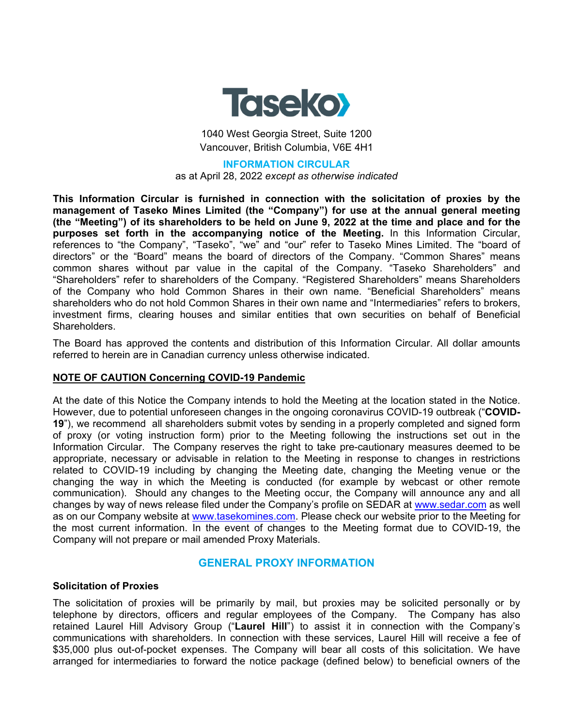

1040 West Georgia Street, Suite 1200 Vancouver, British Columbia, V6E 4H1

#### **INFORMATION CIRCULAR**

as at April 28, 2022 *except as otherwise indicated*

**This Information Circular is furnished in connection with the solicitation of proxies by the management of Taseko Mines Limited (the "Company") for use at the annual general meeting (the "Meeting") of its shareholders to be held on June 9, 2022 at the time and place and for the purposes set forth in the accompanying notice of the Meeting.** In this Information Circular, references to "the Company", "Taseko", "we" and "our" refer to Taseko Mines Limited. The "board of directors" or the "Board" means the board of directors of the Company. "Common Shares" means common shares without par value in the capital of the Company. "Taseko Shareholders" and "Shareholders" refer to shareholders of the Company. "Registered Shareholders" means Shareholders of the Company who hold Common Shares in their own name. "Beneficial Shareholders" means shareholders who do not hold Common Shares in their own name and "Intermediaries" refers to brokers, investment firms, clearing houses and similar entities that own securities on behalf of Beneficial Shareholders.

The Board has approved the contents and distribution of this Information Circular. All dollar amounts referred to herein are in Canadian currency unless otherwise indicated.

#### **NOTE OF CAUTION Concerning COVID-19 Pandemic**

At the date of this Notice the Company intends to hold the Meeting at the location stated in the Notice. However, due to potential unforeseen changes in the ongoing coronavirus COVID-19 outbreak ("**COVID-19**"), we recommend all shareholders submit votes by sending in a properly completed and signed form of proxy (or voting instruction form) prior to the Meeting following the instructions set out in the Information Circular. The Company reserves the right to take pre-cautionary measures deemed to be appropriate, necessary or advisable in relation to the Meeting in response to changes in restrictions related to COVID-19 including by changing the Meeting date, changing the Meeting venue or the changing the way in which the Meeting is conducted (for example by webcast or other remote communication). Should any changes to the Meeting occur, the Company will announce any and all changes by way of news release filed under the Company's profile on SEDAR at www.sedar.com as well as on our Company website at www.tasekomines.com. Please check our website prior to the Meeting for the most current information. In the event of changes to the Meeting format due to COVID-19, the Company will not prepare or mail amended Proxy Materials.

# **GENERAL PROXY INFORMATION**

#### **Solicitation of Proxies**

The solicitation of proxies will be primarily by mail, but proxies may be solicited personally or by telephone by directors, officers and regular employees of the Company. The Company has also retained Laurel Hill Advisory Group ("**Laurel Hill**") to assist it in connection with the Company's communications with shareholders. In connection with these services, Laurel Hill will receive a fee of \$35,000 plus out-of-pocket expenses. The Company will bear all costs of this solicitation. We have arranged for intermediaries to forward the notice package (defined below) to beneficial owners of the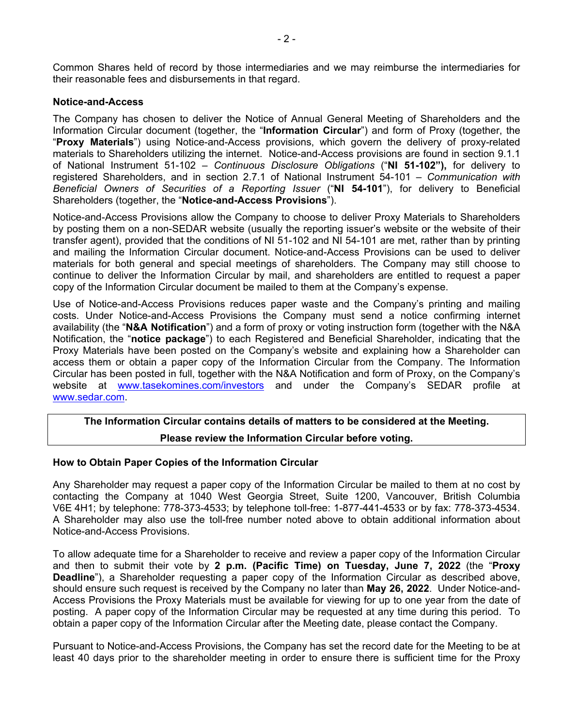Common Shares held of record by those intermediaries and we may reimburse the intermediaries for their reasonable fees and disbursements in that regard.

### **Notice-and-Access**

The Company has chosen to deliver the Notice of Annual General Meeting of Shareholders and the Information Circular document (together, the "**Information Circular**") and form of Proxy (together, the "**Proxy Materials**") using Notice-and-Access provisions, which govern the delivery of proxy-related materials to Shareholders utilizing the internet. Notice-and-Access provisions are found in section 9.1.1 of National Instrument 51-102 – *Continuous Disclosure Obligations* ("**NI 51-102"),** for delivery to registered Shareholders, and in section 2.7.1 of National Instrument 54-101 – *Communication with Beneficial Owners of Securities of a Reporting Issuer* ("**NI 54-101**"), for delivery to Beneficial Shareholders (together, the "**Notice-and-Access Provisions**").

Notice-and-Access Provisions allow the Company to choose to deliver Proxy Materials to Shareholders by posting them on a non-SEDAR website (usually the reporting issuer's website or the website of their transfer agent), provided that the conditions of NI 51-102 and NI 54-101 are met, rather than by printing and mailing the Information Circular document. Notice-and-Access Provisions can be used to deliver materials for both general and special meetings of shareholders. The Company may still choose to continue to deliver the Information Circular by mail, and shareholders are entitled to request a paper copy of the Information Circular document be mailed to them at the Company's expense.

Use of Notice-and-Access Provisions reduces paper waste and the Company's printing and mailing costs. Under Notice-and-Access Provisions the Company must send a notice confirming internet availability (the "**N&A Notification**") and a form of proxy or voting instruction form (together with the N&A Notification, the "**notice package**") to each Registered and Beneficial Shareholder, indicating that the Proxy Materials have been posted on the Company's website and explaining how a Shareholder can access them or obtain a paper copy of the Information Circular from the Company. The Information Circular has been posted in full, together with the N&A Notification and form of Proxy, on the Company's website at www.tasekomines.com/investors and under the Company's SEDAR profile at www.sedar.com.

# **The Information Circular contains details of matters to be considered at the Meeting. Please review the Information Circular before voting.**

#### **How to Obtain Paper Copies of the Information Circular**

Any Shareholder may request a paper copy of the Information Circular be mailed to them at no cost by contacting the Company at 1040 West Georgia Street, Suite 1200, Vancouver, British Columbia V6E 4H1; by telephone: 778-373-4533; by telephone toll-free: 1-877-441-4533 or by fax: 778-373-4534. A Shareholder may also use the toll-free number noted above to obtain additional information about Notice-and-Access Provisions.

To allow adequate time for a Shareholder to receive and review a paper copy of the Information Circular and then to submit their vote by **2 p.m. (Pacific Time) on Tuesday, June 7, 2022** (the "**Proxy Deadline**"), a Shareholder requesting a paper copy of the Information Circular as described above, should ensure such request is received by the Company no later than **May 26, 2022**. Under Notice-and-Access Provisions the Proxy Materials must be available for viewing for up to one year from the date of posting. A paper copy of the Information Circular may be requested at any time during this period. To obtain a paper copy of the Information Circular after the Meeting date, please contact the Company.

Pursuant to Notice-and-Access Provisions, the Company has set the record date for the Meeting to be at least 40 days prior to the shareholder meeting in order to ensure there is sufficient time for the Proxy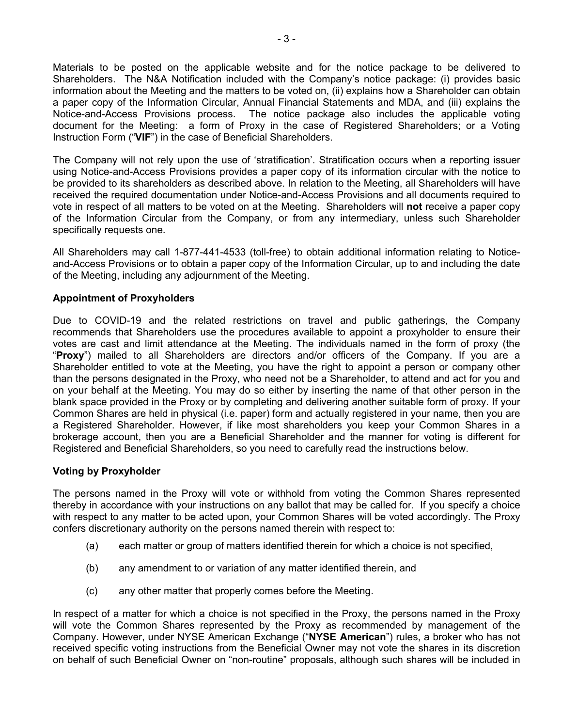Materials to be posted on the applicable website and for the notice package to be delivered to Shareholders. The N&A Notification included with the Company's notice package: (i) provides basic information about the Meeting and the matters to be voted on, (ii) explains how a Shareholder can obtain a paper copy of the Information Circular, Annual Financial Statements and MDA, and (iii) explains the Notice-and-Access Provisions process. The notice package also includes the applicable voting document for the Meeting: a form of Proxy in the case of Registered Shareholders; or a Voting Instruction Form ("**VIF**") in the case of Beneficial Shareholders.

The Company will not rely upon the use of 'stratification'. Stratification occurs when a reporting issuer using Notice-and-Access Provisions provides a paper copy of its information circular with the notice to be provided to its shareholders as described above. In relation to the Meeting, all Shareholders will have received the required documentation under Notice-and-Access Provisions and all documents required to vote in respect of all matters to be voted on at the Meeting. Shareholders will **not** receive a paper copy of the Information Circular from the Company, or from any intermediary, unless such Shareholder specifically requests one.

All Shareholders may call 1-877-441-4533 (toll-free) to obtain additional information relating to Noticeand-Access Provisions or to obtain a paper copy of the Information Circular, up to and including the date of the Meeting, including any adjournment of the Meeting.

# **Appointment of Proxyholders**

Due to COVID-19 and the related restrictions on travel and public gatherings, the Company recommends that Shareholders use the procedures available to appoint a proxyholder to ensure their votes are cast and limit attendance at the Meeting. The individuals named in the form of proxy (the "**Proxy**") mailed to all Shareholders are directors and/or officers of the Company. If you are a Shareholder entitled to vote at the Meeting, you have the right to appoint a person or company other than the persons designated in the Proxy, who need not be a Shareholder, to attend and act for you and on your behalf at the Meeting. You may do so either by inserting the name of that other person in the blank space provided in the Proxy or by completing and delivering another suitable form of proxy. If your Common Shares are held in physical (i.e. paper) form and actually registered in your name, then you are a Registered Shareholder. However, if like most shareholders you keep your Common Shares in a brokerage account, then you are a Beneficial Shareholder and the manner for voting is different for Registered and Beneficial Shareholders, so you need to carefully read the instructions below.

#### **Voting by Proxyholder**

The persons named in the Proxy will vote or withhold from voting the Common Shares represented thereby in accordance with your instructions on any ballot that may be called for. If you specify a choice with respect to any matter to be acted upon, your Common Shares will be voted accordingly. The Proxy confers discretionary authority on the persons named therein with respect to:

- (a) each matter or group of matters identified therein for which a choice is not specified,
- (b) any amendment to or variation of any matter identified therein, and
- (c) any other matter that properly comes before the Meeting.

In respect of a matter for which a choice is not specified in the Proxy, the persons named in the Proxy will vote the Common Shares represented by the Proxy as recommended by management of the Company. However, under NYSE American Exchange ("**NYSE American**") rules, a broker who has not received specific voting instructions from the Beneficial Owner may not vote the shares in its discretion on behalf of such Beneficial Owner on "non-routine" proposals, although such shares will be included in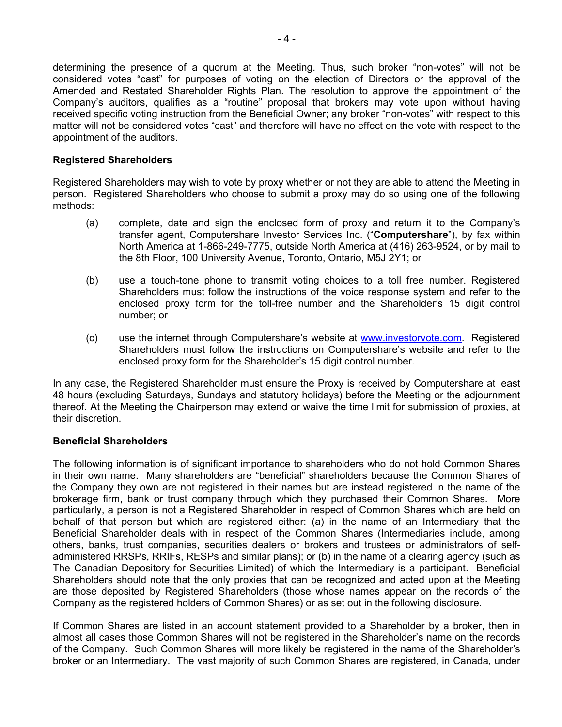determining the presence of a quorum at the Meeting. Thus, such broker "non-votes" will not be considered votes "cast" for purposes of voting on the election of Directors or the approval of the Amended and Restated Shareholder Rights Plan. The resolution to approve the appointment of the Company's auditors, qualifies as a "routine" proposal that brokers may vote upon without having received specific voting instruction from the Beneficial Owner; any broker "non-votes" with respect to this matter will not be considered votes "cast" and therefore will have no effect on the vote with respect to the appointment of the auditors.

### **Registered Shareholders**

Registered Shareholders may wish to vote by proxy whether or not they are able to attend the Meeting in person. Registered Shareholders who choose to submit a proxy may do so using one of the following methods:

- (a) complete, date and sign the enclosed form of proxy and return it to the Company's transfer agent, Computershare Investor Services Inc. ("**Computershare**"), by fax within North America at 1-866-249-7775, outside North America at (416) 263-9524, or by mail to the 8th Floor, 100 University Avenue, Toronto, Ontario, M5J 2Y1; or
- (b) use a touch-tone phone to transmit voting choices to a toll free number. Registered Shareholders must follow the instructions of the voice response system and refer to the enclosed proxy form for the toll-free number and the Shareholder's 15 digit control number; or
- (c) use the internet through Computershare's website at www.investorvote.com. Registered Shareholders must follow the instructions on Computershare's website and refer to the enclosed proxy form for the Shareholder's 15 digit control number.

In any case, the Registered Shareholder must ensure the Proxy is received by Computershare at least 48 hours (excluding Saturdays, Sundays and statutory holidays) before the Meeting or the adjournment thereof. At the Meeting the Chairperson may extend or waive the time limit for submission of proxies, at their discretion.

# **Beneficial Shareholders**

The following information is of significant importance to shareholders who do not hold Common Shares in their own name. Many shareholders are "beneficial" shareholders because the Common Shares of the Company they own are not registered in their names but are instead registered in the name of the brokerage firm, bank or trust company through which they purchased their Common Shares. More particularly, a person is not a Registered Shareholder in respect of Common Shares which are held on behalf of that person but which are registered either: (a) in the name of an Intermediary that the Beneficial Shareholder deals with in respect of the Common Shares (Intermediaries include, among others, banks, trust companies, securities dealers or brokers and trustees or administrators of selfadministered RRSPs, RRIFs, RESPs and similar plans); or (b) in the name of a clearing agency (such as The Canadian Depository for Securities Limited) of which the Intermediary is a participant. Beneficial Shareholders should note that the only proxies that can be recognized and acted upon at the Meeting are those deposited by Registered Shareholders (those whose names appear on the records of the Company as the registered holders of Common Shares) or as set out in the following disclosure.

If Common Shares are listed in an account statement provided to a Shareholder by a broker, then in almost all cases those Common Shares will not be registered in the Shareholder's name on the records of the Company. Such Common Shares will more likely be registered in the name of the Shareholder's broker or an Intermediary. The vast majority of such Common Shares are registered, in Canada, under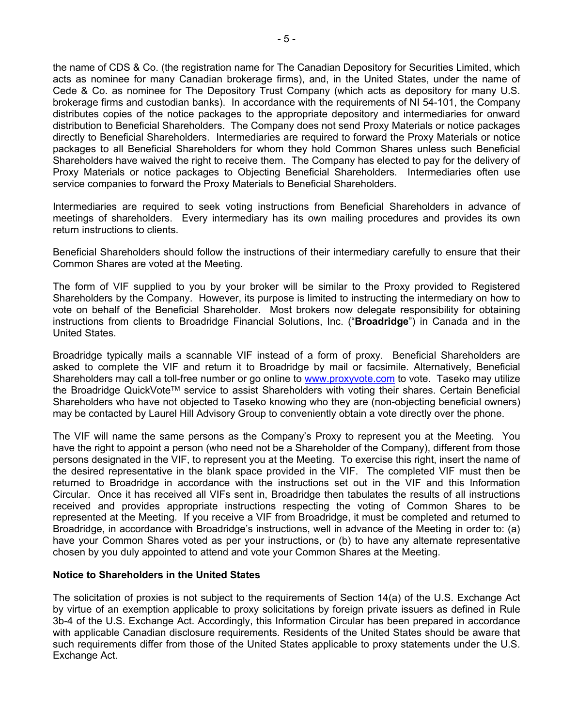the name of CDS & Co. (the registration name for The Canadian Depository for Securities Limited, which acts as nominee for many Canadian brokerage firms), and, in the United States, under the name of Cede & Co. as nominee for The Depository Trust Company (which acts as depository for many U.S. brokerage firms and custodian banks). In accordance with the requirements of NI 54-101, the Company distributes copies of the notice packages to the appropriate depository and intermediaries for onward distribution to Beneficial Shareholders. The Company does not send Proxy Materials or notice packages directly to Beneficial Shareholders. Intermediaries are required to forward the Proxy Materials or notice packages to all Beneficial Shareholders for whom they hold Common Shares unless such Beneficial Shareholders have waived the right to receive them. The Company has elected to pay for the delivery of Proxy Materials or notice packages to Objecting Beneficial Shareholders. Intermediaries often use service companies to forward the Proxy Materials to Beneficial Shareholders.

Intermediaries are required to seek voting instructions from Beneficial Shareholders in advance of meetings of shareholders. Every intermediary has its own mailing procedures and provides its own return instructions to clients.

Beneficial Shareholders should follow the instructions of their intermediary carefully to ensure that their Common Shares are voted at the Meeting.

The form of VIF supplied to you by your broker will be similar to the Proxy provided to Registered Shareholders by the Company. However, its purpose is limited to instructing the intermediary on how to vote on behalf of the Beneficial Shareholder. Most brokers now delegate responsibility for obtaining instructions from clients to Broadridge Financial Solutions, Inc. ("**Broadridge**") in Canada and in the United States.

Broadridge typically mails a scannable VIF instead of a form of proxy. Beneficial Shareholders are asked to complete the VIF and return it to Broadridge by mail or facsimile. Alternatively, Beneficial Shareholders may call a toll-free number or go online to www.proxyvote.com to vote. Taseko may utilize the Broadridge QuickVote<sup>TM</sup> service to assist Shareholders with voting their shares. Certain Beneficial Shareholders who have not objected to Taseko knowing who they are (non-objecting beneficial owners) may be contacted by Laurel Hill Advisory Group to conveniently obtain a vote directly over the phone.

The VIF will name the same persons as the Company's Proxy to represent you at the Meeting. You have the right to appoint a person (who need not be a Shareholder of the Company), different from those persons designated in the VIF, to represent you at the Meeting. To exercise this right, insert the name of the desired representative in the blank space provided in the VIF. The completed VIF must then be returned to Broadridge in accordance with the instructions set out in the VIF and this Information Circular. Once it has received all VIFs sent in, Broadridge then tabulates the results of all instructions received and provides appropriate instructions respecting the voting of Common Shares to be represented at the Meeting. If you receive a VIF from Broadridge, it must be completed and returned to Broadridge, in accordance with Broadridge's instructions, well in advance of the Meeting in order to: (a) have your Common Shares voted as per your instructions, or (b) to have any alternate representative chosen by you duly appointed to attend and vote your Common Shares at the Meeting.

#### **Notice to Shareholders in the United States**

The solicitation of proxies is not subject to the requirements of Section 14(a) of the U.S. Exchange Act by virtue of an exemption applicable to proxy solicitations by foreign private issuers as defined in Rule 3b-4 of the U.S. Exchange Act. Accordingly, this Information Circular has been prepared in accordance with applicable Canadian disclosure requirements. Residents of the United States should be aware that such requirements differ from those of the United States applicable to proxy statements under the U.S. Exchange Act.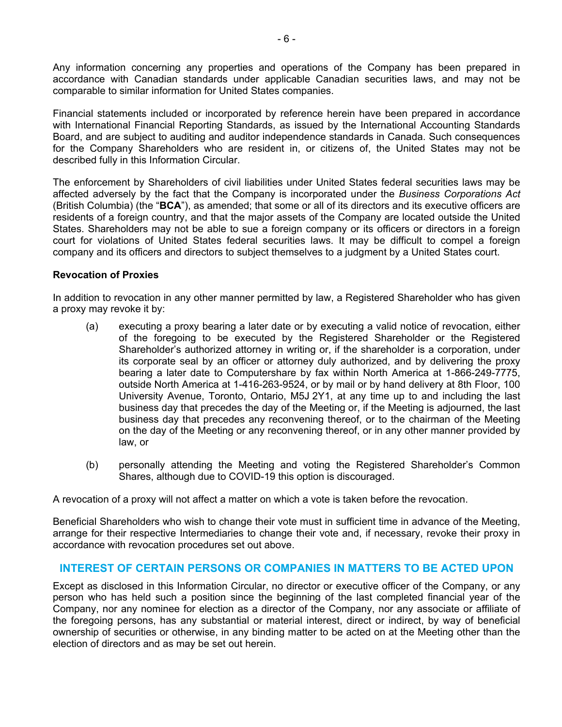Any information concerning any properties and operations of the Company has been prepared in accordance with Canadian standards under applicable Canadian securities laws, and may not be comparable to similar information for United States companies.

Financial statements included or incorporated by reference herein have been prepared in accordance with International Financial Reporting Standards, as issued by the International Accounting Standards Board, and are subject to auditing and auditor independence standards in Canada. Such consequences for the Company Shareholders who are resident in, or citizens of, the United States may not be described fully in this Information Circular.

The enforcement by Shareholders of civil liabilities under United States federal securities laws may be affected adversely by the fact that the Company is incorporated under the *Business Corporations Act* (British Columbia) (the "**BCA**"), as amended; that some or all of its directors and its executive officers are residents of a foreign country, and that the major assets of the Company are located outside the United States. Shareholders may not be able to sue a foreign company or its officers or directors in a foreign court for violations of United States federal securities laws. It may be difficult to compel a foreign company and its officers and directors to subject themselves to a judgment by a United States court.

# **Revocation of Proxies**

In addition to revocation in any other manner permitted by law, a Registered Shareholder who has given a proxy may revoke it by:

- (a) executing a proxy bearing a later date or by executing a valid notice of revocation, either of the foregoing to be executed by the Registered Shareholder or the Registered Shareholder's authorized attorney in writing or, if the shareholder is a corporation, under its corporate seal by an officer or attorney duly authorized, and by delivering the proxy bearing a later date to Computershare by fax within North America at 1-866-249-7775, outside North America at 1-416-263-9524, or by mail or by hand delivery at 8th Floor, 100 University Avenue, Toronto, Ontario, M5J 2Y1, at any time up to and including the last business day that precedes the day of the Meeting or, if the Meeting is adjourned, the last business day that precedes any reconvening thereof, or to the chairman of the Meeting on the day of the Meeting or any reconvening thereof, or in any other manner provided by law, or
- (b) personally attending the Meeting and voting the Registered Shareholder's Common Shares, although due to COVID-19 this option is discouraged.

A revocation of a proxy will not affect a matter on which a vote is taken before the revocation.

Beneficial Shareholders who wish to change their vote must in sufficient time in advance of the Meeting, arrange for their respective Intermediaries to change their vote and, if necessary, revoke their proxy in accordance with revocation procedures set out above.

# **INTEREST OF CERTAIN PERSONS OR COMPANIES IN MATTERS TO BE ACTED UPON**

Except as disclosed in this Information Circular, no director or executive officer of the Company, or any person who has held such a position since the beginning of the last completed financial year of the Company, nor any nominee for election as a director of the Company, nor any associate or affiliate of the foregoing persons, has any substantial or material interest, direct or indirect, by way of beneficial ownership of securities or otherwise, in any binding matter to be acted on at the Meeting other than the election of directors and as may be set out herein.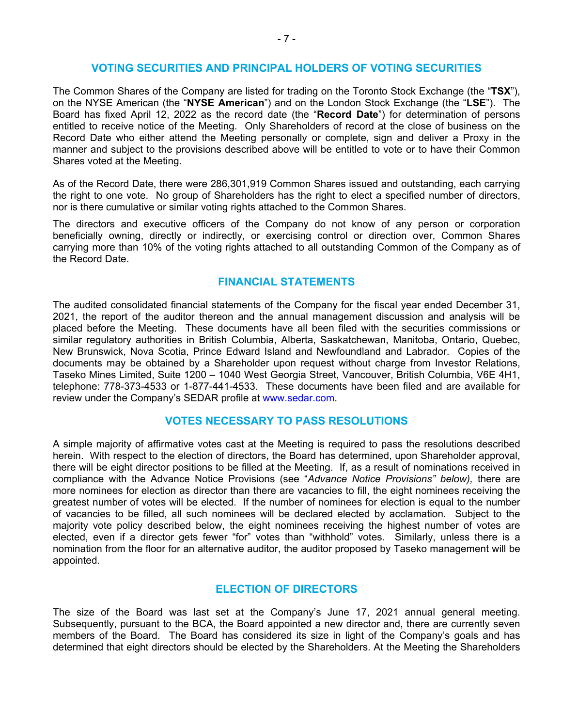# **VOTING SECURITIES AND PRINCIPAL HOLDERS OF VOTING SECURITIES**

The Common Shares of the Company are listed for trading on the Toronto Stock Exchange (the "**TSX**"), on the NYSE American (the "**NYSE American**") and on the London Stock Exchange (the "**LSE**"). The Board has fixed April 12, 2022 as the record date (the "**Record Date**") for determination of persons entitled to receive notice of the Meeting. Only Shareholders of record at the close of business on the Record Date who either attend the Meeting personally or complete, sign and deliver a Proxy in the manner and subject to the provisions described above will be entitled to vote or to have their Common Shares voted at the Meeting.

As of the Record Date, there were 286,301,919 Common Shares issued and outstanding, each carrying the right to one vote. No group of Shareholders has the right to elect a specified number of directors, nor is there cumulative or similar voting rights attached to the Common Shares.

The directors and executive officers of the Company do not know of any person or corporation beneficially owning, directly or indirectly, or exercising control or direction over, Common Shares carrying more than 10% of the voting rights attached to all outstanding Common of the Company as of the Record Date.

# **FINANCIAL STATEMENTS**

The audited consolidated financial statements of the Company for the fiscal year ended December 31, 2021, the report of the auditor thereon and the annual management discussion and analysis will be placed before the Meeting. These documents have all been filed with the securities commissions or similar regulatory authorities in British Columbia, Alberta, Saskatchewan, Manitoba, Ontario, Quebec, New Brunswick, Nova Scotia, Prince Edward Island and Newfoundland and Labrador. Copies of the documents may be obtained by a Shareholder upon request without charge from Investor Relations, Taseko Mines Limited, Suite 1200 – 1040 West Georgia Street, Vancouver, British Columbia, V6E 4H1, telephone: 778-373-4533 or 1-877-441-4533. These documents have been filed and are available for review under the Company's SEDAR profile at www.sedar.com.

# **VOTES NECESSARY TO PASS RESOLUTIONS**

A simple majority of affirmative votes cast at the Meeting is required to pass the resolutions described herein. With respect to the election of directors, the Board has determined, upon Shareholder approval, there will be eight director positions to be filled at the Meeting. If, as a result of nominations received in compliance with the Advance Notice Provisions (see "*Advance Notice Provisions" below),* there are more nominees for election as director than there are vacancies to fill, the eight nominees receiving the greatest number of votes will be elected. If the number of nominees for election is equal to the number of vacancies to be filled, all such nominees will be declared elected by acclamation. Subject to the majority vote policy described below, the eight nominees receiving the highest number of votes are elected, even if a director gets fewer "for" votes than "withhold" votes. Similarly, unless there is a nomination from the floor for an alternative auditor, the auditor proposed by Taseko management will be appointed.

#### **ELECTION OF DIRECTORS**

The size of the Board was last set at the Company's June 17, 2021 annual general meeting. Subsequently, pursuant to the BCA, the Board appointed a new director and, there are currently seven members of the Board. The Board has considered its size in light of the Company's goals and has determined that eight directors should be elected by the Shareholders. At the Meeting the Shareholders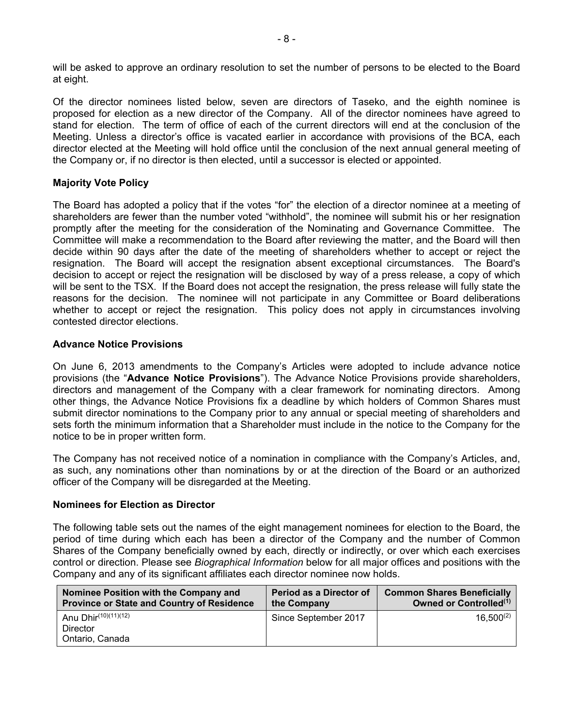will be asked to approve an ordinary resolution to set the number of persons to be elected to the Board at eight.

Of the director nominees listed below, seven are directors of Taseko, and the eighth nominee is proposed for election as a new director of the Company. All of the director nominees have agreed to stand for election. The term of office of each of the current directors will end at the conclusion of the Meeting. Unless a director's office is vacated earlier in accordance with provisions of the BCA, each director elected at the Meeting will hold office until the conclusion of the next annual general meeting of the Company or, if no director is then elected, until a successor is elected or appointed.

# **Majority Vote Policy**

The Board has adopted a policy that if the votes "for" the election of a director nominee at a meeting of shareholders are fewer than the number voted "withhold", the nominee will submit his or her resignation promptly after the meeting for the consideration of the Nominating and Governance Committee. The Committee will make a recommendation to the Board after reviewing the matter, and the Board will then decide within 90 days after the date of the meeting of shareholders whether to accept or reject the resignation. The Board will accept the resignation absent exceptional circumstances. The Board's decision to accept or reject the resignation will be disclosed by way of a press release, a copy of which will be sent to the TSX. If the Board does not accept the resignation, the press release will fully state the reasons for the decision. The nominee will not participate in any Committee or Board deliberations whether to accept or reject the resignation. This policy does not apply in circumstances involving contested director elections.

# **Advance Notice Provisions**

On June 6, 2013 amendments to the Company's Articles were adopted to include advance notice provisions (the "**Advance Notice Provisions**"). The Advance Notice Provisions provide shareholders, directors and management of the Company with a clear framework for nominating directors. Among other things, the Advance Notice Provisions fix a deadline by which holders of Common Shares must submit director nominations to the Company prior to any annual or special meeting of shareholders and sets forth the minimum information that a Shareholder must include in the notice to the Company for the notice to be in proper written form.

The Company has not received notice of a nomination in compliance with the Company's Articles, and, as such, any nominations other than nominations by or at the direction of the Board or an authorized officer of the Company will be disregarded at the Meeting.

#### **Nominees for Election as Director**

The following table sets out the names of the eight management nominees for election to the Board, the period of time during which each has been a director of the Company and the number of Common Shares of the Company beneficially owned by each, directly or indirectly, or over which each exercises control or direction. Please see *Biographical Information* below for all major offices and positions with the Company and any of its significant affiliates each director nominee now holds.

| Nominee Position with the Company and<br><b>Province or State and Country of Residence</b> | Period as a Director of<br>the Company | <b>Common Shares Beneficially</b><br>Owned or Controlled <sup>(1)</sup> |
|--------------------------------------------------------------------------------------------|----------------------------------------|-------------------------------------------------------------------------|
| Anu Dhir(10)(11)(12)                                                                       | Since September 2017                   | $16,500^{(2)}$                                                          |
| Director                                                                                   |                                        |                                                                         |
| Ontario, Canada                                                                            |                                        |                                                                         |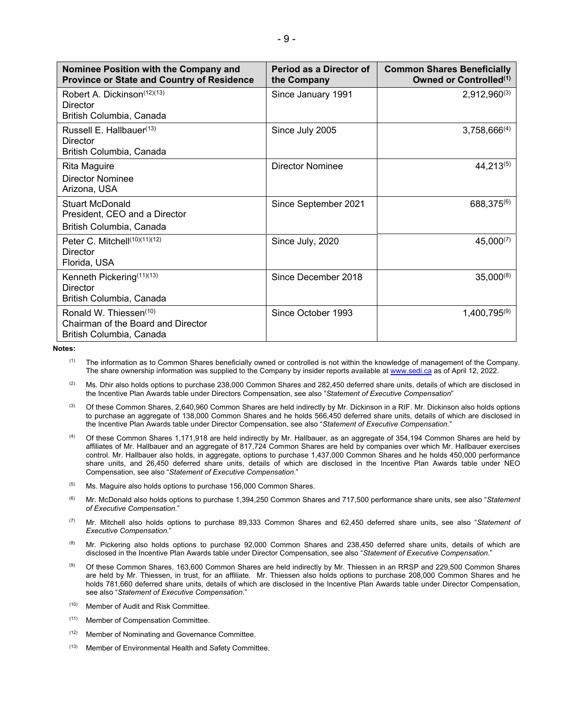| Nominee Position with the Company and<br><b>Province or State and Country of Residence</b>           | Period as a Director of<br>the Company | <b>Common Shares Beneficially</b><br>Owned or Controlled <sup>(1)</sup> |
|------------------------------------------------------------------------------------------------------|----------------------------------------|-------------------------------------------------------------------------|
| Robert A. Dickinson <sup>(12)(13)</sup><br>Director<br>British Columbia, Canada                      | Since January 1991                     | $2,912,960^{(3)}$                                                       |
| Russell E. Hallbauer <sup>(13)</sup><br>Director<br>British Columbia, Canada                         | Since July 2005                        | $3,758,666^{(4)}$                                                       |
| Rita Maguire<br>Director Nominee<br>Arizona, USA                                                     | <b>Director Nominee</b>                | $44,213^{(5)}$                                                          |
| Stuart McDonald<br>President, CEO and a Director<br>British Columbia, Canada                         | Since September 2021                   | 688,375(6)                                                              |
| Peter C. Mitchell(10)(11)(12)<br>Director<br>Florida, USA                                            | Since July, 2020                       | 45,000(7)                                                               |
| Kenneth Pickering <sup>(11)(13)</sup><br>Director<br>British Columbia, Canada                        | Since December 2018                    | $35,000^{(8)}$                                                          |
| Ronald W. Thiessen <sup>(10)</sup><br>Chairman of the Board and Director<br>British Columbia, Canada | Since October 1993                     | 1,400,795(9)                                                            |

**Notes:** 

- <sup>(1)</sup> The information as to Common Shares beneficially owned or controlled is not within the knowledge of management of the Company. The share ownership information was supplied to the Company by insider reports available at www.sedi.ca as of April 12, 2022.
- $(2)$  Ms. Dhir also holds options to purchase 238,000 Common Shares and 282,450 deferred share units, details of which are disclosed in the Incentive Plan Awards table under Directors Compensation, see also "*Statement of Executive Compensation*"
- $^{(3)}$  Of these Common Shares, 2,640,960 Common Shares are held indirectly by Mr. Dickinson in a RIF. Mr. Dickinson also holds options to purchase an aggregate of 138,000 Common Shares and he holds 566,450 deferred share units, details of which are disclosed in the Incentive Plan Awards table under Director Compensation, see also "*Statement of Executive Compensation.*"
- (4) Of these Common Shares 1,171,918 are held indirectly by Mr. Hallbauer, as an aggregate of 354,194 Common Shares are held by affiliates of Mr. Hallbauer and an aggregate of 817,724 Common Shares are held by companies over which Mr. Hallbauer exercises control. Mr. Hallbauer also holds, in aggregate, options to purchase 1,437,000 Common Shares and he holds 450,000 performance share units, and 26,450 deferred share units, details of which are disclosed in the Incentive Plan Awards table under NEO Compensation, see also "*Statement of Executive Compensation*."
- $(5)$  Ms. Maguire also holds options to purchase 156,000 Common Shares.
- (6) Mr. McDonald also holds options to purchase 1,394,250 Common Shares and 717,500 performance share units, see also "*Statement of Executive Compensation.*"
- (7) Mr. Mitchell also holds options to purchase 89,333 Common Shares and 62,450 deferred share units, see also "*Statement of Executive Compensation.*"
- <sup>(8)</sup> Mr. Pickering also holds options to purchase 92,000 Common Shares and 238,450 deferred share units, details of which are disclosed in the Incentive Plan Awards table under Director Compensation, see also "*Statement of Executive Compensation*."
- (9) Of these Common Shares, 163,600 Common Shares are held indirectly by Mr. Thiessen in an RRSP and 229,500 Common Shares are held by Mr. Thiessen, in trust, for an affiliate. Mr. Thiessen also holds options to purchase 208,000 Common Shares and he holds 781,660 deferred share units, details of which are disclosed in the Incentive Plan Awards table under Director Compensation, see also "*Statement of Executive Compensation*."
- (10) Member of Audit and Risk Committee.
- (11) Member of Compensation Committee.
- (12) Member of Nominating and Governance Committee.
- (13) Member of Environmental Health and Safety Committee.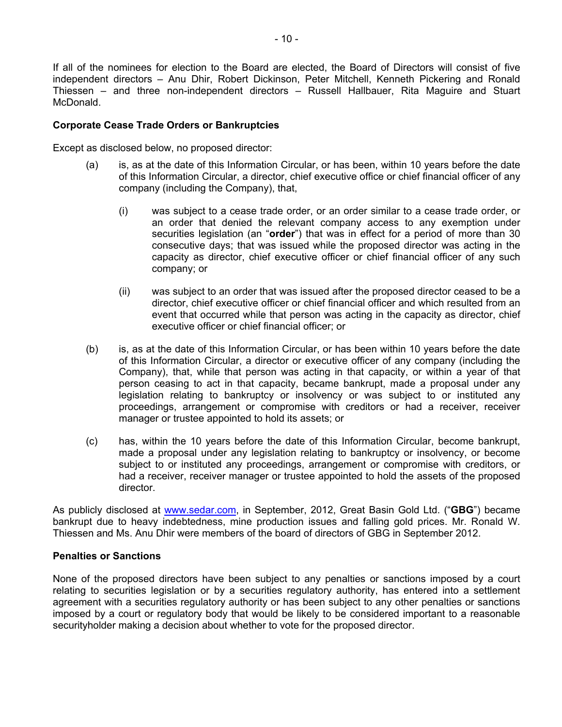If all of the nominees for election to the Board are elected, the Board of Directors will consist of five independent directors – Anu Dhir, Robert Dickinson, Peter Mitchell, Kenneth Pickering and Ronald Thiessen – and three non-independent directors – Russell Hallbauer, Rita Maguire and Stuart McDonald.

### **Corporate Cease Trade Orders or Bankruptcies**

Except as disclosed below, no proposed director:

- (a) is, as at the date of this Information Circular, or has been, within 10 years before the date of this Information Circular, a director, chief executive office or chief financial officer of any company (including the Company), that,
	- (i) was subject to a cease trade order, or an order similar to a cease trade order, or an order that denied the relevant company access to any exemption under securities legislation (an "**order**") that was in effect for a period of more than 30 consecutive days; that was issued while the proposed director was acting in the capacity as director, chief executive officer or chief financial officer of any such company; or
	- (ii) was subject to an order that was issued after the proposed director ceased to be a director, chief executive officer or chief financial officer and which resulted from an event that occurred while that person was acting in the capacity as director, chief executive officer or chief financial officer; or
- (b) is, as at the date of this Information Circular, or has been within 10 years before the date of this Information Circular, a director or executive officer of any company (including the Company), that, while that person was acting in that capacity, or within a year of that person ceasing to act in that capacity, became bankrupt, made a proposal under any legislation relating to bankruptcy or insolvency or was subject to or instituted any proceedings, arrangement or compromise with creditors or had a receiver, receiver manager or trustee appointed to hold its assets; or
- (c) has, within the 10 years before the date of this Information Circular, become bankrupt, made a proposal under any legislation relating to bankruptcy or insolvency, or become subject to or instituted any proceedings, arrangement or compromise with creditors, or had a receiver, receiver manager or trustee appointed to hold the assets of the proposed director.

As publicly disclosed at www.sedar.com, in September, 2012, Great Basin Gold Ltd. ("**GBG**") became bankrupt due to heavy indebtedness, mine production issues and falling gold prices. Mr. Ronald W. Thiessen and Ms. Anu Dhir were members of the board of directors of GBG in September 2012.

#### **Penalties or Sanctions**

None of the proposed directors have been subject to any penalties or sanctions imposed by a court relating to securities legislation or by a securities regulatory authority, has entered into a settlement agreement with a securities regulatory authority or has been subject to any other penalties or sanctions imposed by a court or regulatory body that would be likely to be considered important to a reasonable securityholder making a decision about whether to vote for the proposed director.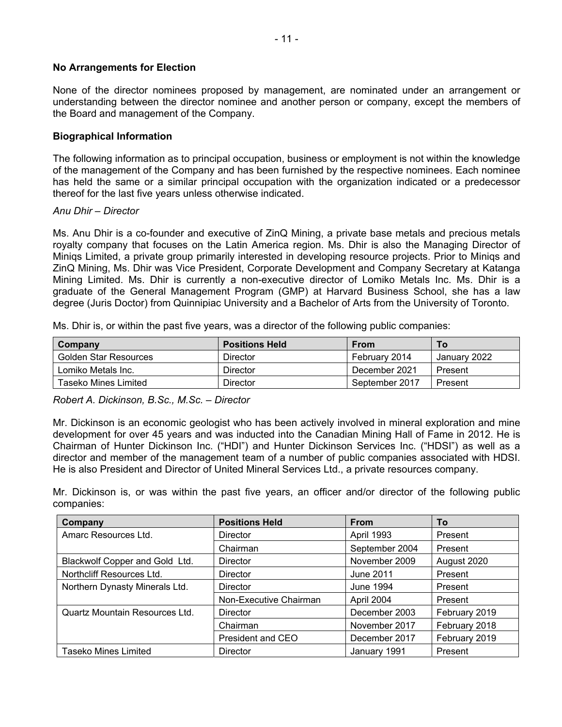# **No Arrangements for Election**

None of the director nominees proposed by management, are nominated under an arrangement or understanding between the director nominee and another person or company, except the members of the Board and management of the Company.

### **Biographical Information**

The following information as to principal occupation, business or employment is not within the knowledge of the management of the Company and has been furnished by the respective nominees. Each nominee has held the same or a similar principal occupation with the organization indicated or a predecessor thereof for the last five years unless otherwise indicated.

#### *Anu Dhir – Director*

Ms. Anu Dhir is a co-founder and executive of ZinQ Mining, a private base metals and precious metals royalty company that focuses on the Latin America region. Ms. Dhir is also the Managing Director of Miniqs Limited, a private group primarily interested in developing resource projects. Prior to Miniqs and ZinQ Mining, Ms. Dhir was Vice President, Corporate Development and Company Secretary at Katanga Mining Limited. Ms. Dhir is currently a non-executive director of Lomiko Metals Inc. Ms. Dhir is a graduate of the General Management Program (GMP) at Harvard Business School, she has a law degree (Juris Doctor) from Quinnipiac University and a Bachelor of Arts from the University of Toronto.

Ms. Dhir is, or within the past five years, was a director of the following public companies:

| Company               | <b>Positions Held</b> | From           | Τo           |
|-----------------------|-----------------------|----------------|--------------|
| Golden Star Resources | Director              | Februarv 2014  | January 2022 |
| Lomiko Metals Inc.    | Director              | December 2021  | Present      |
| Taseko Mines Limited  | Director              | September 2017 | Present      |

*Robert A. Dickinson, B.Sc., M.Sc. – Director* 

Mr. Dickinson is an economic geologist who has been actively involved in mineral exploration and mine development for over 45 years and was inducted into the Canadian Mining Hall of Fame in 2012. He is Chairman of Hunter Dickinson Inc. ("HDI") and Hunter Dickinson Services Inc. ("HDSI") as well as a director and member of the management team of a number of public companies associated with HDSI. He is also President and Director of United Mineral Services Ltd., a private resources company.

Mr. Dickinson is, or was within the past five years, an officer and/or director of the following public companies:

| Company                        | <b>Positions Held</b>  | <b>From</b>    | To            |
|--------------------------------|------------------------|----------------|---------------|
| Amarc Resources Ltd.           | <b>Director</b>        | April 1993     | Present       |
|                                | Chairman               | September 2004 | Present       |
| Blackwolf Copper and Gold Ltd. | <b>Director</b>        | November 2009  | August 2020   |
| Northcliff Resources Ltd.      | <b>Director</b>        | June 2011      | Present       |
| Northern Dynasty Minerals Ltd. | <b>Director</b>        | June 1994      | Present       |
|                                | Non-Executive Chairman | April 2004     | Present       |
| Quartz Mountain Resources Ltd. | Director               | December 2003  | February 2019 |
|                                | Chairman               | November 2017  | February 2018 |
|                                | President and CEO      | December 2017  | February 2019 |
| <b>Taseko Mines Limited</b>    | <b>Director</b>        | January 1991   | Present       |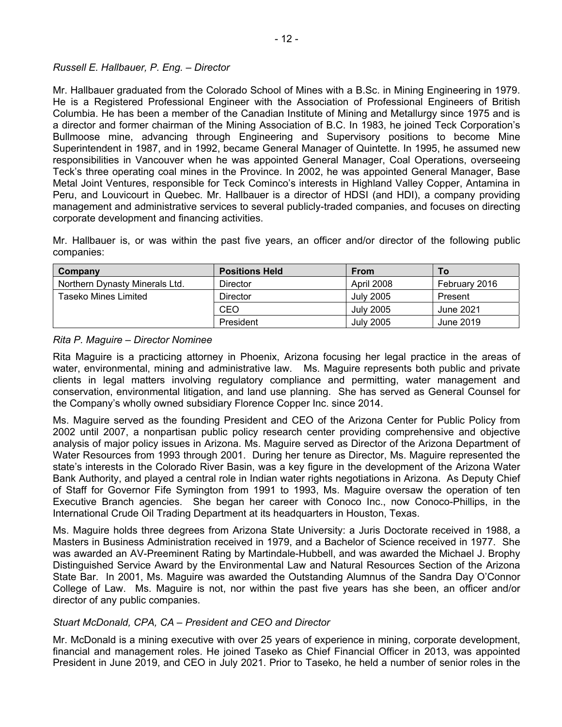# *Russell E. Hallbauer, P. Eng. – Director*

Mr. Hallbauer graduated from the Colorado School of Mines with a B.Sc. in Mining Engineering in 1979. He is a Registered Professional Engineer with the Association of Professional Engineers of British Columbia. He has been a member of the Canadian Institute of Mining and Metallurgy since 1975 and is a director and former chairman of the Mining Association of B.C. In 1983, he joined Teck Corporation's Bullmoose mine, advancing through Engineering and Supervisory positions to become Mine Superintendent in 1987, and in 1992, became General Manager of Quintette. In 1995, he assumed new responsibilities in Vancouver when he was appointed General Manager, Coal Operations, overseeing Teck's three operating coal mines in the Province. In 2002, he was appointed General Manager, Base Metal Joint Ventures, responsible for Teck Cominco's interests in Highland Valley Copper, Antamina in Peru, and Louvicourt in Quebec. Mr. Hallbauer is a director of HDSI (and HDI), a company providing management and administrative services to several publicly-traded companies, and focuses on directing corporate development and financing activities.

Mr. Hallbauer is, or was within the past five years, an officer and/or director of the following public companies:

| Company                        | <b>Positions Held</b> | <b>From</b>      | To:           |
|--------------------------------|-----------------------|------------------|---------------|
| Northern Dynasty Minerals Ltd. | Director              | April 2008       | February 2016 |
| Taseko Mines Limited           | Director              | <b>July 2005</b> | Present       |
|                                | CEO                   | July 2005        | June 2021     |
|                                | President             | <b>July 2005</b> | June 2019     |

#### *Rita P. Maguire – Director Nominee*

Rita Maguire is a practicing attorney in Phoenix, Arizona focusing her legal practice in the areas of water, environmental, mining and administrative law. Ms. Maguire represents both public and private clients in legal matters involving regulatory compliance and permitting, water management and conservation, environmental litigation, and land use planning. She has served as General Counsel for the Company's wholly owned subsidiary Florence Copper Inc. since 2014.

Ms. Maguire served as the founding President and CEO of the Arizona Center for Public Policy from 2002 until 2007, a nonpartisan public policy research center providing comprehensive and objective analysis of major policy issues in Arizona. Ms. Maguire served as Director of the Arizona Department of Water Resources from 1993 through 2001. During her tenure as Director, Ms. Maguire represented the state's interests in the Colorado River Basin, was a key figure in the development of the Arizona Water Bank Authority, and played a central role in Indian water rights negotiations in Arizona. As Deputy Chief of Staff for Governor Fife Symington from 1991 to 1993, Ms. Maguire oversaw the operation of ten Executive Branch agencies. She began her career with Conoco Inc., now Conoco-Phillips, in the International Crude Oil Trading Department at its headquarters in Houston, Texas.

Ms. Maguire holds three degrees from Arizona State University: a Juris Doctorate received in 1988, a Masters in Business Administration received in 1979, and a Bachelor of Science received in 1977. She was awarded an AV-Preeminent Rating by Martindale-Hubbell, and was awarded the Michael J. Brophy Distinguished Service Award by the Environmental Law and Natural Resources Section of the Arizona State Bar. In 2001, Ms. Maguire was awarded the Outstanding Alumnus of the Sandra Day O'Connor College of Law. Ms. Maguire is not, nor within the past five years has she been, an officer and/or director of any public companies.

#### *Stuart McDonald, CPA, CA – President and CEO and Director*

Mr. McDonald is a mining executive with over 25 years of experience in mining, corporate development, financial and management roles. He joined Taseko as Chief Financial Officer in 2013, was appointed President in June 2019, and CEO in July 2021. Prior to Taseko, he held a number of senior roles in the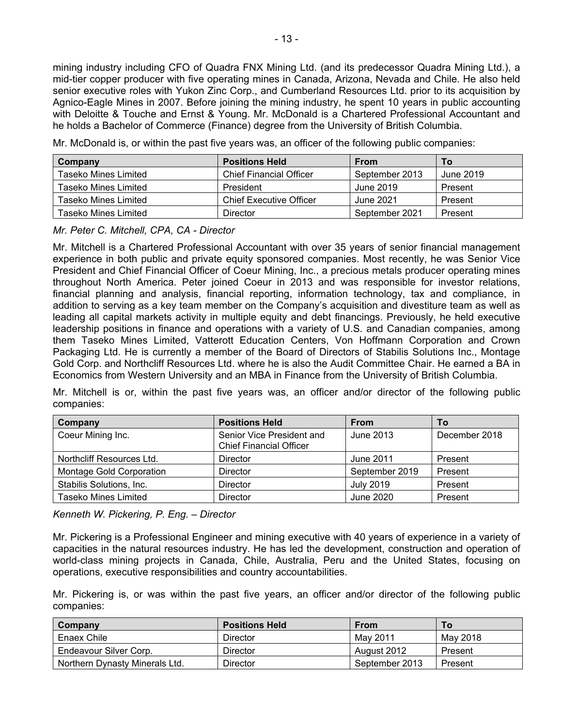mining industry including CFO of Quadra FNX Mining Ltd. (and its predecessor Quadra Mining Ltd.), a mid-tier copper producer with five operating mines in Canada, Arizona, Nevada and Chile. He also held senior executive roles with Yukon Zinc Corp., and Cumberland Resources Ltd. prior to its acquisition by Agnico-Eagle Mines in 2007. Before joining the mining industry, he spent 10 years in public accounting with Deloitte & Touche and Ernst & Young. Mr. McDonald is a Chartered Professional Accountant and he holds a Bachelor of Commerce (Finance) degree from the University of British Columbia.

Mr. McDonald is, or within the past five years was, an officer of the following public companies:

| Company               | <b>Positions Held</b>          | <b>From</b>    | To        |
|-----------------------|--------------------------------|----------------|-----------|
| Taseko Mines Limited  | <b>Chief Financial Officer</b> | September 2013 | June 2019 |
| Taseko Mines Limited  | President                      | June 2019      | Present   |
| Taseko Mines Limited  | <b>Chief Executive Officer</b> | June 2021      | Present   |
| Taseko Mines Limited. | Director                       | September 2021 | Present   |

# *Mr. Peter C. Mitchell, CPA, CA - Director*

Mr. Mitchell is a Chartered Professional Accountant with over 35 years of senior financial management experience in both public and private equity sponsored companies. Most recently, he was Senior Vice President and Chief Financial Officer of Coeur Mining, Inc., a precious metals producer operating mines throughout North America. Peter joined Coeur in 2013 and was responsible for investor relations, financial planning and analysis, financial reporting, information technology, tax and compliance, in addition to serving as a key team member on the Company's acquisition and divestiture team as well as leading all capital markets activity in multiple equity and debt financings. Previously, he held executive leadership positions in finance and operations with a variety of U.S. and Canadian companies, among them Taseko Mines Limited, Vatterott Education Centers, Von Hoffmann Corporation and Crown Packaging Ltd. He is currently a member of the Board of Directors of Stabilis Solutions Inc., Montage Gold Corp. and Northcliff Resources Ltd. where he is also the Audit Committee Chair. He earned a BA in Economics from Western University and an MBA in Finance from the University of British Columbia.

Mr. Mitchell is or, within the past five years was, an officer and/or director of the following public companies:

| Company                   | <b>Positions Held</b>                                       | <b>From</b>      | Τo            |
|---------------------------|-------------------------------------------------------------|------------------|---------------|
| Coeur Mining Inc.         | Senior Vice President and<br><b>Chief Financial Officer</b> | June 2013        | December 2018 |
| Northcliff Resources Ltd. | Director                                                    | June 2011        | Present       |
| Montage Gold Corporation  | Director                                                    | September 2019   | Present       |
| Stabilis Solutions, Inc.  | <b>Director</b>                                             | <b>July 2019</b> | Present       |
| Taseko Mines Limited      | <b>Director</b>                                             | June 2020        | Present       |

*Kenneth W. Pickering, P. Eng. – Director* 

Mr. Pickering is a Professional Engineer and mining executive with 40 years of experience in a variety of capacities in the natural resources industry. He has led the development, construction and operation of world-class mining projects in Canada, Chile, Australia, Peru and the United States, focusing on operations, executive responsibilities and country accountabilities.

Mr. Pickering is, or was within the past five years, an officer and/or director of the following public companies:

| Company                        | <b>Positions Held</b> | <b>From</b>    | Τo       |
|--------------------------------|-----------------------|----------------|----------|
| Enaex Chile                    | Director              | May 2011       | May 2018 |
| Endeavour Silver Corp.         | Director              | August 2012    | Present  |
| Northern Dynasty Minerals Ltd. | Director              | September 2013 | Present  |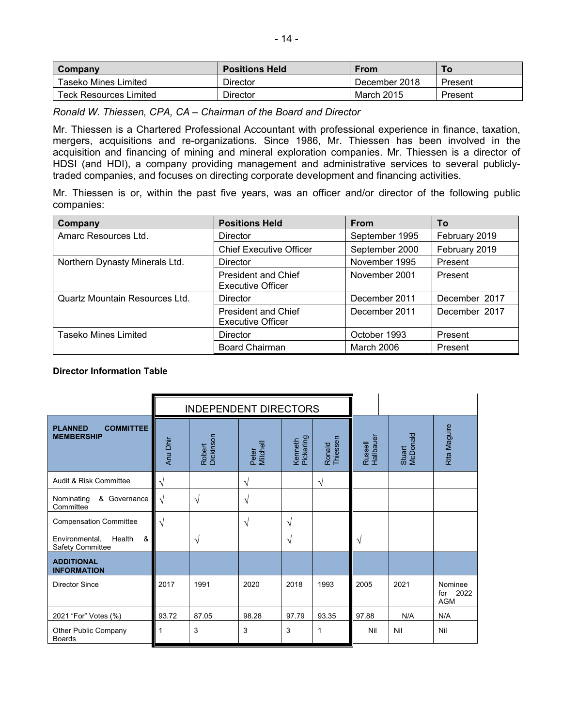| Company                       | <b>Positions Held</b> | From          |         |
|-------------------------------|-----------------------|---------------|---------|
| Taseko Mines Limited          | <b>Director</b>       | December 2018 | Present |
| <b>Teck Resources Limited</b> | <b>Director</b>       | March 2015    | Present |

*Ronald W. Thiessen, CPA, CA – Chairman of the Board and Director* 

Mr. Thiessen is a Chartered Professional Accountant with professional experience in finance, taxation, mergers, acquisitions and re-organizations. Since 1986, Mr. Thiessen has been involved in the acquisition and financing of mining and mineral exploration companies. Mr. Thiessen is a director of HDSI (and HDI), a company providing management and administrative services to several publiclytraded companies, and focuses on directing corporate development and financing activities.

Mr. Thiessen is or, within the past five years, was an officer and/or director of the following public companies:

| Company                               | <b>Positions Held</b>                                  | <b>From</b>    | To            |
|---------------------------------------|--------------------------------------------------------|----------------|---------------|
| Amarc Resources Ltd.                  | Director                                               | September 1995 | February 2019 |
|                                       | <b>Chief Executive Officer</b>                         | September 2000 | February 2019 |
| Northern Dynasty Minerals Ltd.        | Director                                               | November 1995  | Present       |
|                                       | <b>President and Chief</b><br>Executive Officer        | November 2001  | Present       |
| <b>Quartz Mountain Resources Ltd.</b> | Director                                               | December 2011  | December 2017 |
|                                       | <b>President and Chief</b><br><b>Executive Officer</b> | December 2011  | December 2017 |
| Taseko Mines Limited                  | Director                                               | October 1993   | Present       |
|                                       | <b>Board Chairman</b>                                  | March 2006     | Present       |

#### **Director Information Table**

|                                                         |            | <b>INDEPENDENT DIRECTORS</b> |                   |                      |                    |                      |                    |                                   |
|---------------------------------------------------------|------------|------------------------------|-------------------|----------------------|--------------------|----------------------|--------------------|-----------------------------------|
| <b>COMMITTEE</b><br><b>PLANNED</b><br><b>MEMBERSHIP</b> | Anu Dhir   | Robert<br>Dickinson          | Mitchell<br>Peter | Pickering<br>Kenneth | Thiessen<br>Ronald | Russell<br>Hallbauer | McDonald<br>Stuart | Rita Maguire                      |
| Audit & Risk Committee                                  | $\sqrt{}$  |                              | $\sqrt{}$         |                      | V                  |                      |                    |                                   |
| Nominating<br>& Governance<br>Committee                 | $\sqrt{ }$ | $\mathcal{N}$                | $\sqrt{}$         |                      |                    |                      |                    |                                   |
| <b>Compensation Committee</b>                           | $\sqrt{ }$ |                              | $\sqrt{}$         | $\sqrt{}$            |                    |                      |                    |                                   |
| &<br>Health<br>Environmental,<br>Safety Committee       |            | $\sqrt{ }$                   |                   | $\sqrt{}$            |                    | $\sqrt{2}$           |                    |                                   |
| <b>ADDITIONAL</b><br><b>INFORMATION</b>                 |            |                              |                   |                      |                    |                      |                    |                                   |
| <b>Director Since</b>                                   | 2017       | 1991                         | 2020              | 2018                 | 1993               | 2005                 | 2021               | Nominee<br>for 2022<br><b>AGM</b> |
| 2021 "For" Votes (%)                                    | 93.72      | 87.05                        | 98.28             | 97.79                | 93.35              | 97.88                | N/A                | N/A                               |
| Other Public Company<br><b>Boards</b>                   |            | 3                            | 3                 | 3                    | 1                  | Nil                  | Nil                | Nil                               |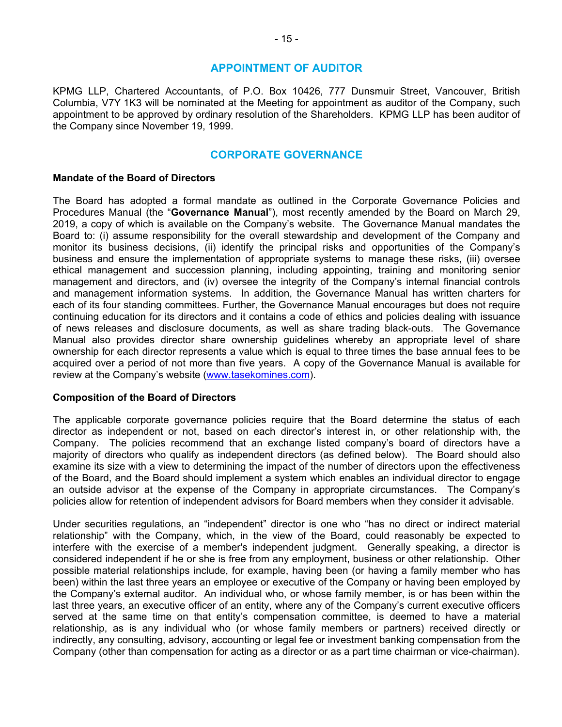# **APPOINTMENT OF AUDITOR**

KPMG LLP, Chartered Accountants, of P.O. Box 10426, 777 Dunsmuir Street, Vancouver, British Columbia, V7Y 1K3 will be nominated at the Meeting for appointment as auditor of the Company, such appointment to be approved by ordinary resolution of the Shareholders. KPMG LLP has been auditor of the Company since November 19, 1999.

### **CORPORATE GOVERNANCE**

#### **Mandate of the Board of Directors**

The Board has adopted a formal mandate as outlined in the Corporate Governance Policies and Procedures Manual (the "**Governance Manual**"), most recently amended by the Board on March 29, 2019, a copy of which is available on the Company's website. The Governance Manual mandates the Board to: (i) assume responsibility for the overall stewardship and development of the Company and monitor its business decisions, (ii) identify the principal risks and opportunities of the Company's business and ensure the implementation of appropriate systems to manage these risks, (iii) oversee ethical management and succession planning, including appointing, training and monitoring senior management and directors, and (iv) oversee the integrity of the Company's internal financial controls and management information systems. In addition, the Governance Manual has written charters for each of its four standing committees. Further, the Governance Manual encourages but does not require continuing education for its directors and it contains a code of ethics and policies dealing with issuance of news releases and disclosure documents, as well as share trading black-outs. The Governance Manual also provides director share ownership guidelines whereby an appropriate level of share ownership for each director represents a value which is equal to three times the base annual fees to be acquired over a period of not more than five years. A copy of the Governance Manual is available for review at the Company's website (www.tasekomines.com).

#### **Composition of the Board of Directors**

The applicable corporate governance policies require that the Board determine the status of each director as independent or not, based on each director's interest in, or other relationship with, the Company. The policies recommend that an exchange listed company's board of directors have a majority of directors who qualify as independent directors (as defined below). The Board should also examine its size with a view to determining the impact of the number of directors upon the effectiveness of the Board, and the Board should implement a system which enables an individual director to engage an outside advisor at the expense of the Company in appropriate circumstances. The Company's policies allow for retention of independent advisors for Board members when they consider it advisable.

Under securities regulations, an "independent" director is one who "has no direct or indirect material relationship" with the Company, which, in the view of the Board, could reasonably be expected to interfere with the exercise of a member's independent judgment. Generally speaking, a director is considered independent if he or she is free from any employment, business or other relationship. Other possible material relationships include, for example, having been (or having a family member who has been) within the last three years an employee or executive of the Company or having been employed by the Company's external auditor. An individual who, or whose family member, is or has been within the last three years, an executive officer of an entity, where any of the Company's current executive officers served at the same time on that entity's compensation committee, is deemed to have a material relationship, as is any individual who (or whose family members or partners) received directly or indirectly, any consulting, advisory, accounting or legal fee or investment banking compensation from the Company (other than compensation for acting as a director or as a part time chairman or vice-chairman).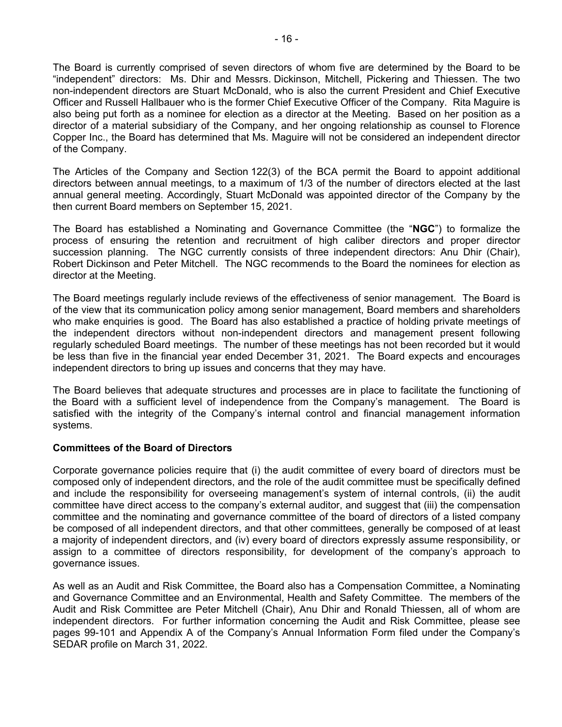The Board is currently comprised of seven directors of whom five are determined by the Board to be "independent" directors: Ms. Dhir and Messrs. Dickinson, Mitchell, Pickering and Thiessen. The two non-independent directors are Stuart McDonald, who is also the current President and Chief Executive Officer and Russell Hallbauer who is the former Chief Executive Officer of the Company. Rita Maguire is also being put forth as a nominee for election as a director at the Meeting. Based on her position as a director of a material subsidiary of the Company, and her ongoing relationship as counsel to Florence Copper Inc., the Board has determined that Ms. Maguire will not be considered an independent director of the Company.

The Articles of the Company and Section 122(3) of the BCA permit the Board to appoint additional directors between annual meetings, to a maximum of 1/3 of the number of directors elected at the last annual general meeting. Accordingly, Stuart McDonald was appointed director of the Company by the then current Board members on September 15, 2021.

The Board has established a Nominating and Governance Committee (the "**NGC**") to formalize the process of ensuring the retention and recruitment of high caliber directors and proper director succession planning. The NGC currently consists of three independent directors: Anu Dhir (Chair), Robert Dickinson and Peter Mitchell. The NGC recommends to the Board the nominees for election as director at the Meeting.

The Board meetings regularly include reviews of the effectiveness of senior management. The Board is of the view that its communication policy among senior management, Board members and shareholders who make enquiries is good. The Board has also established a practice of holding private meetings of the independent directors without non-independent directors and management present following regularly scheduled Board meetings. The number of these meetings has not been recorded but it would be less than five in the financial year ended December 31, 2021. The Board expects and encourages independent directors to bring up issues and concerns that they may have.

The Board believes that adequate structures and processes are in place to facilitate the functioning of the Board with a sufficient level of independence from the Company's management. The Board is satisfied with the integrity of the Company's internal control and financial management information systems.

#### **Committees of the Board of Directors**

Corporate governance policies require that (i) the audit committee of every board of directors must be composed only of independent directors, and the role of the audit committee must be specifically defined and include the responsibility for overseeing management's system of internal controls, (ii) the audit committee have direct access to the company's external auditor, and suggest that (iii) the compensation committee and the nominating and governance committee of the board of directors of a listed company be composed of all independent directors, and that other committees, generally be composed of at least a majority of independent directors, and (iv) every board of directors expressly assume responsibility, or assign to a committee of directors responsibility, for development of the company's approach to governance issues.

As well as an Audit and Risk Committee, the Board also has a Compensation Committee, a Nominating and Governance Committee and an Environmental, Health and Safety Committee. The members of the Audit and Risk Committee are Peter Mitchell (Chair), Anu Dhir and Ronald Thiessen, all of whom are independent directors. For further information concerning the Audit and Risk Committee, please see pages 99-101 and Appendix A of the Company's Annual Information Form filed under the Company's SEDAR profile on March 31, 2022.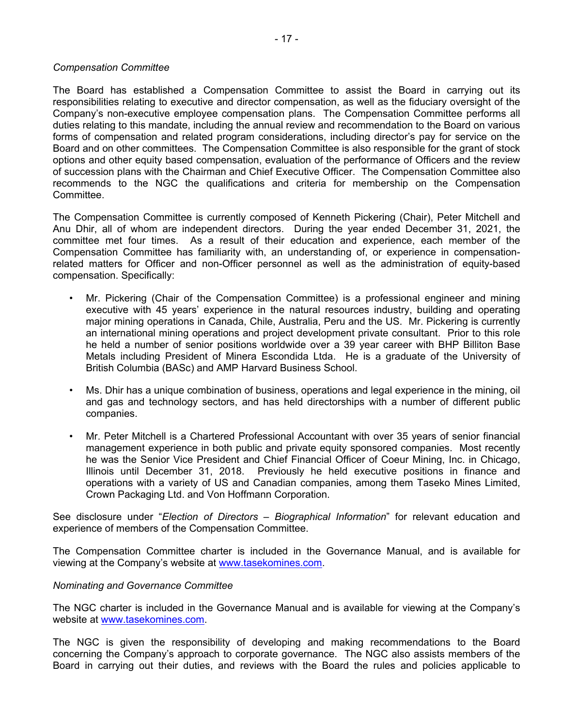#### *Compensation Committee*

The Board has established a Compensation Committee to assist the Board in carrying out its responsibilities relating to executive and director compensation, as well as the fiduciary oversight of the Company's non-executive employee compensation plans. The Compensation Committee performs all duties relating to this mandate, including the annual review and recommendation to the Board on various forms of compensation and related program considerations, including director's pay for service on the Board and on other committees. The Compensation Committee is also responsible for the grant of stock options and other equity based compensation, evaluation of the performance of Officers and the review of succession plans with the Chairman and Chief Executive Officer. The Compensation Committee also recommends to the NGC the qualifications and criteria for membership on the Compensation Committee.

The Compensation Committee is currently composed of Kenneth Pickering (Chair), Peter Mitchell and Anu Dhir, all of whom are independent directors. During the year ended December 31, 2021, the committee met four times. As a result of their education and experience, each member of the Compensation Committee has familiarity with, an understanding of, or experience in compensationrelated matters for Officer and non-Officer personnel as well as the administration of equity-based compensation. Specifically:

- Mr. Pickering (Chair of the Compensation Committee) is a professional engineer and mining executive with 45 years' experience in the natural resources industry, building and operating major mining operations in Canada, Chile, Australia, Peru and the US. Mr. Pickering is currently an international mining operations and project development private consultant. Prior to this role he held a number of senior positions worldwide over a 39 year career with BHP Billiton Base Metals including President of Minera Escondida Ltda. He is a graduate of the University of British Columbia (BASc) and AMP Harvard Business School.
- Ms. Dhir has a unique combination of business, operations and legal experience in the mining, oil and gas and technology sectors, and has held directorships with a number of different public companies.
- Mr. Peter Mitchell is a Chartered Professional Accountant with over 35 years of senior financial management experience in both public and private equity sponsored companies. Most recently he was the Senior Vice President and Chief Financial Officer of Coeur Mining, Inc. in Chicago, Illinois until December 31, 2018. Previously he held executive positions in finance and operations with a variety of US and Canadian companies, among them Taseko Mines Limited, Crown Packaging Ltd. and Von Hoffmann Corporation.

See disclosure under "*Election of Directors – Biographical Information*" for relevant education and experience of members of the Compensation Committee.

The Compensation Committee charter is included in the Governance Manual, and is available for viewing at the Company's website at www.tasekomines.com.

#### *Nominating and Governance Committee*

The NGC charter is included in the Governance Manual and is available for viewing at the Company's website at www.tasekomines.com.

The NGC is given the responsibility of developing and making recommendations to the Board concerning the Company's approach to corporate governance. The NGC also assists members of the Board in carrying out their duties, and reviews with the Board the rules and policies applicable to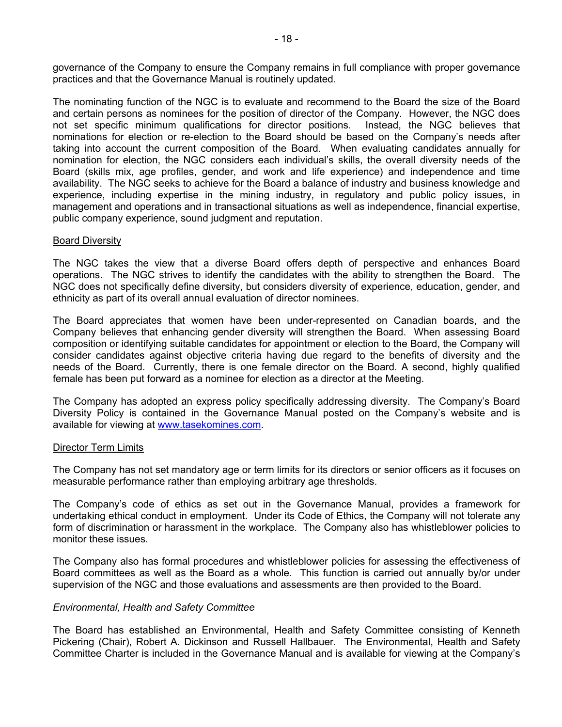governance of the Company to ensure the Company remains in full compliance with proper governance practices and that the Governance Manual is routinely updated.

The nominating function of the NGC is to evaluate and recommend to the Board the size of the Board and certain persons as nominees for the position of director of the Company. However, the NGC does not set specific minimum qualifications for director positions. Instead, the NGC believes that nominations for election or re-election to the Board should be based on the Company's needs after taking into account the current composition of the Board. When evaluating candidates annually for nomination for election, the NGC considers each individual's skills, the overall diversity needs of the Board (skills mix, age profiles, gender, and work and life experience) and independence and time availability. The NGC seeks to achieve for the Board a balance of industry and business knowledge and experience, including expertise in the mining industry, in regulatory and public policy issues, in management and operations and in transactional situations as well as independence, financial expertise, public company experience, sound judgment and reputation.

#### Board Diversity

The NGC takes the view that a diverse Board offers depth of perspective and enhances Board operations. The NGC strives to identify the candidates with the ability to strengthen the Board. The NGC does not specifically define diversity, but considers diversity of experience, education, gender, and ethnicity as part of its overall annual evaluation of director nominees.

The Board appreciates that women have been under-represented on Canadian boards, and the Company believes that enhancing gender diversity will strengthen the Board. When assessing Board composition or identifying suitable candidates for appointment or election to the Board, the Company will consider candidates against objective criteria having due regard to the benefits of diversity and the needs of the Board. Currently, there is one female director on the Board. A second, highly qualified female has been put forward as a nominee for election as a director at the Meeting.

The Company has adopted an express policy specifically addressing diversity. The Company's Board Diversity Policy is contained in the Governance Manual posted on the Company's website and is available for viewing at www.tasekomines.com.

#### Director Term Limits

The Company has not set mandatory age or term limits for its directors or senior officers as it focuses on measurable performance rather than employing arbitrary age thresholds.

The Company's code of ethics as set out in the Governance Manual, provides a framework for undertaking ethical conduct in employment. Under its Code of Ethics, the Company will not tolerate any form of discrimination or harassment in the workplace. The Company also has whistleblower policies to monitor these issues.

The Company also has formal procedures and whistleblower policies for assessing the effectiveness of Board committees as well as the Board as a whole. This function is carried out annually by/or under supervision of the NGC and those evaluations and assessments are then provided to the Board.

#### *Environmental, Health and Safety Committee*

The Board has established an Environmental, Health and Safety Committee consisting of Kenneth Pickering (Chair), Robert A. Dickinson and Russell Hallbauer. The Environmental, Health and Safety Committee Charter is included in the Governance Manual and is available for viewing at the Company's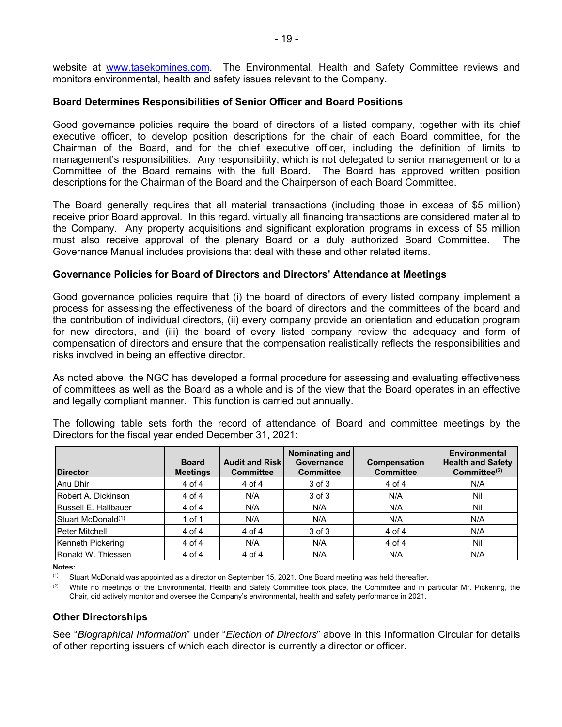website at www.tasekomines.com. The Environmental, Health and Safety Committee reviews and monitors environmental, health and safety issues relevant to the Company.

# **Board Determines Responsibilities of Senior Officer and Board Positions**

Good governance policies require the board of directors of a listed company, together with its chief executive officer, to develop position descriptions for the chair of each Board committee, for the Chairman of the Board, and for the chief executive officer, including the definition of limits to management's responsibilities. Any responsibility, which is not delegated to senior management or to a Committee of the Board remains with the full Board. The Board has approved written position descriptions for the Chairman of the Board and the Chairperson of each Board Committee.

The Board generally requires that all material transactions (including those in excess of \$5 million) receive prior Board approval. In this regard, virtually all financing transactions are considered material to the Company. Any property acquisitions and significant exploration programs in excess of \$5 million must also receive approval of the plenary Board or a duly authorized Board Committee. The Governance Manual includes provisions that deal with these and other related items.

#### **Governance Policies for Board of Directors and Directors' Attendance at Meetings**

Good governance policies require that (i) the board of directors of every listed company implement a process for assessing the effectiveness of the board of directors and the committees of the board and the contribution of individual directors, (ii) every company provide an orientation and education program for new directors, and (iii) the board of every listed company review the adequacy and form of compensation of directors and ensure that the compensation realistically reflects the responsibilities and risks involved in being an effective director.

As noted above, the NGC has developed a formal procedure for assessing and evaluating effectiveness of committees as well as the Board as a whole and is of the view that the Board operates in an effective and legally compliant manner. This function is carried out annually.

The following table sets forth the record of attendance of Board and committee meetings by the Directors for the fiscal year ended December 31, 2021:

| <b>Director</b>                | <b>Board</b><br><b>Meetings</b> | <b>Audit and Risk</b><br><b>Committee</b> | Nominating and<br>Governance<br><b>Committee</b> | Compensation<br><b>Committee</b> | Environmental<br><b>Health and Safety</b><br>Committee $(2)$ |
|--------------------------------|---------------------------------|-------------------------------------------|--------------------------------------------------|----------------------------------|--------------------------------------------------------------|
| Anu Dhir                       | 4 of 4                          | 4 of 4                                    | 3 of 3                                           | 4 of 4                           | N/A                                                          |
| Robert A. Dickinson            | 4 of 4                          | N/A                                       | 3 of 3                                           | N/A                              | Nil                                                          |
| Russell E. Hallbauer           | $4$ of $4$                      | N/A                                       | N/A                                              | N/A                              | Nil                                                          |
| Stuart McDonald <sup>(1)</sup> | 1 of 1                          | N/A                                       | N/A                                              | N/A                              | N/A                                                          |
| Peter Mitchell                 | 4 of 4                          | $4$ of $4$                                | 3 of 3                                           | 4 of 4                           | N/A                                                          |
| Kenneth Pickering              | $4$ of $4$                      | N/A                                       | N/A                                              | 4 of 4                           | Nil                                                          |
| Ronald W. Thiessen             | 4 of 4                          | $4$ of $4$                                | N/A                                              | N/A                              | N/A                                                          |

**Notes:** 

(1) Stuart McDonald was appointed as a director on September 15, 2021. One Board meeting was held thereafter.

 $(2)$  While no meetings of the Environmental, Health and Safety Committee took place, the Committee and in particular Mr. Pickering, the Chair, did actively monitor and oversee the Company's environmental, health and safety performance in 2021.

#### **Other Directorships**

See "*Biographical Information*" under "*Election of Directors*" above in this Information Circular for details of other reporting issuers of which each director is currently a director or officer.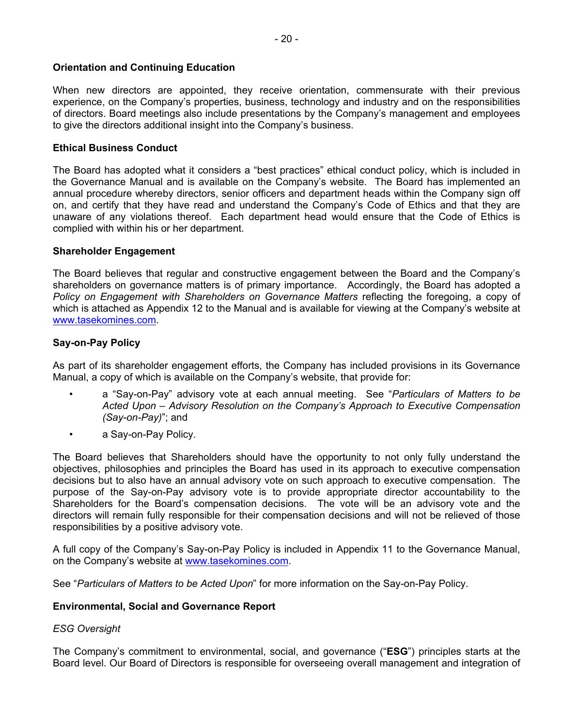# **Orientation and Continuing Education**

When new directors are appointed, they receive orientation, commensurate with their previous experience, on the Company's properties, business, technology and industry and on the responsibilities of directors. Board meetings also include presentations by the Company's management and employees to give the directors additional insight into the Company's business.

### **Ethical Business Conduct**

The Board has adopted what it considers a "best practices" ethical conduct policy, which is included in the Governance Manual and is available on the Company's website. The Board has implemented an annual procedure whereby directors, senior officers and department heads within the Company sign off on, and certify that they have read and understand the Company's Code of Ethics and that they are unaware of any violations thereof. Each department head would ensure that the Code of Ethics is complied with within his or her department.

#### **Shareholder Engagement**

The Board believes that regular and constructive engagement between the Board and the Company's shareholders on governance matters is of primary importance. Accordingly, the Board has adopted a *Policy on Engagement with Shareholders on Governance Matters* reflecting the foregoing, a copy of which is attached as Appendix 12 to the Manual and is available for viewing at the Company's website at www.tasekomines.com.

# **Say-on-Pay Policy**

As part of its shareholder engagement efforts, the Company has included provisions in its Governance Manual, a copy of which is available on the Company's website, that provide for:

- a "Say-on-Pay" advisory vote at each annual meeting. See "*Particulars of Matters to be Acted Upon – Advisory Resolution on the Company's Approach to Executive Compensation (Say-on-Pay)*"; and
- a Say-on-Pay Policy.

The Board believes that Shareholders should have the opportunity to not only fully understand the objectives, philosophies and principles the Board has used in its approach to executive compensation decisions but to also have an annual advisory vote on such approach to executive compensation. The purpose of the Say-on-Pay advisory vote is to provide appropriate director accountability to the Shareholders for the Board's compensation decisions. The vote will be an advisory vote and the directors will remain fully responsible for their compensation decisions and will not be relieved of those responsibilities by a positive advisory vote.

A full copy of the Company's Say-on-Pay Policy is included in Appendix 11 to the Governance Manual, on the Company's website at www.tasekomines.com.

See "*Particulars of Matters to be Acted Upon*" for more information on the Say-on-Pay Policy.

#### **Environmental, Social and Governance Report**

#### *ESG Oversight*

The Company's commitment to environmental, social, and governance ("**ESG**") principles starts at the Board level. Our Board of Directors is responsible for overseeing overall management and integration of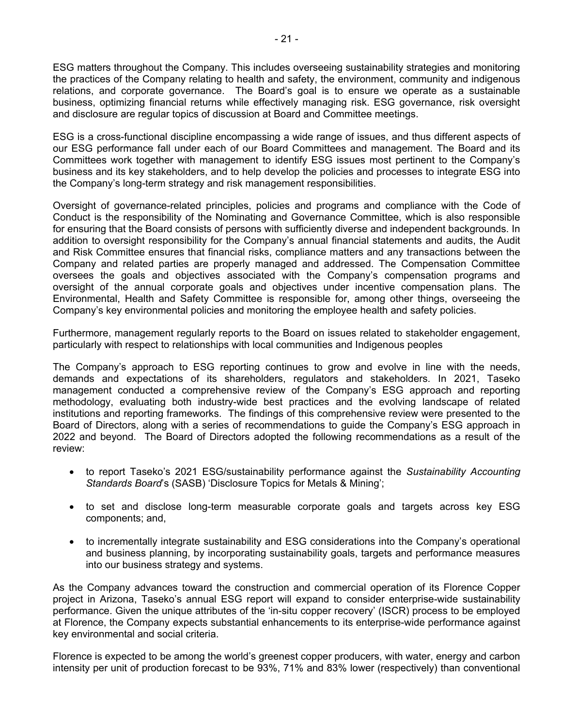ESG matters throughout the Company. This includes overseeing sustainability strategies and monitoring the practices of the Company relating to health and safety, the environment, community and indigenous relations, and corporate governance. The Board's goal is to ensure we operate as a sustainable business, optimizing financial returns while effectively managing risk. ESG governance, risk oversight and disclosure are regular topics of discussion at Board and Committee meetings.

ESG is a cross-functional discipline encompassing a wide range of issues, and thus different aspects of our ESG performance fall under each of our Board Committees and management. The Board and its Committees work together with management to identify ESG issues most pertinent to the Company's business and its key stakeholders, and to help develop the policies and processes to integrate ESG into the Company's long-term strategy and risk management responsibilities.

Oversight of governance-related principles, policies and programs and compliance with the Code of Conduct is the responsibility of the Nominating and Governance Committee, which is also responsible for ensuring that the Board consists of persons with sufficiently diverse and independent backgrounds. In addition to oversight responsibility for the Company's annual financial statements and audits, the Audit and Risk Committee ensures that financial risks, compliance matters and any transactions between the Company and related parties are properly managed and addressed. The Compensation Committee oversees the goals and objectives associated with the Company's compensation programs and oversight of the annual corporate goals and objectives under incentive compensation plans. The Environmental, Health and Safety Committee is responsible for, among other things, overseeing the Company's key environmental policies and monitoring the employee health and safety policies.

Furthermore, management regularly reports to the Board on issues related to stakeholder engagement, particularly with respect to relationships with local communities and Indigenous peoples

The Company's approach to ESG reporting continues to grow and evolve in line with the needs, demands and expectations of its shareholders, regulators and stakeholders. In 2021, Taseko management conducted a comprehensive review of the Company's ESG approach and reporting methodology, evaluating both industry-wide best practices and the evolving landscape of related institutions and reporting frameworks. The findings of this comprehensive review were presented to the Board of Directors, along with a series of recommendations to guide the Company's ESG approach in 2022 and beyond. The Board of Directors adopted the following recommendations as a result of the review:

- to report Taseko's 2021 ESG/sustainability performance against the *Sustainability Accounting Standards Board*'s (SASB) 'Disclosure Topics for Metals & Mining';
- to set and disclose long-term measurable corporate goals and targets across key ESG components; and,
- to incrementally integrate sustainability and ESG considerations into the Company's operational and business planning, by incorporating sustainability goals, targets and performance measures into our business strategy and systems.

As the Company advances toward the construction and commercial operation of its Florence Copper project in Arizona, Taseko's annual ESG report will expand to consider enterprise-wide sustainability performance. Given the unique attributes of the 'in-situ copper recovery' (ISCR) process to be employed at Florence, the Company expects substantial enhancements to its enterprise-wide performance against key environmental and social criteria.

Florence is expected to be among the world's greenest copper producers, with water, energy and carbon intensity per unit of production forecast to be 93%, 71% and 83% lower (respectively) than conventional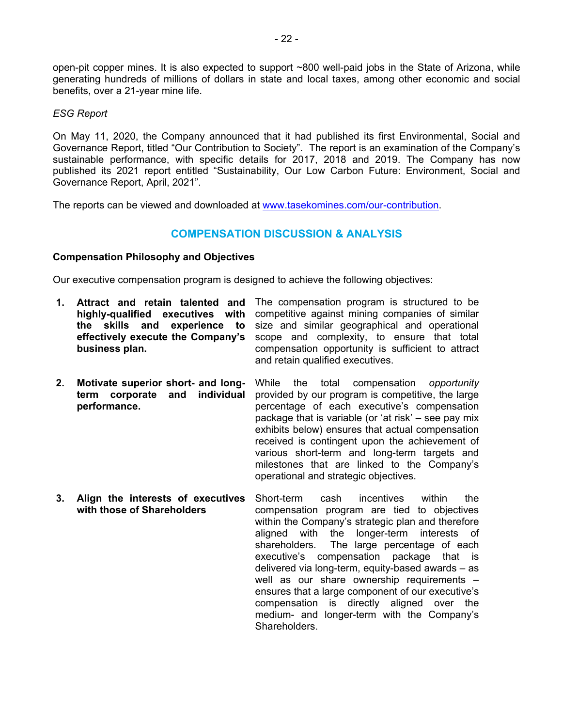open-pit copper mines. It is also expected to support ~800 well-paid jobs in the State of Arizona, while generating hundreds of millions of dollars in state and local taxes, among other economic and social benefits, over a 21-year mine life.

# *ESG Report*

On May 11, 2020, the Company announced that it had published its first Environmental, Social and Governance Report, titled "Our Contribution to Society". The report is an examination of the Company's sustainable performance, with specific details for 2017, 2018 and 2019. The Company has now published its 2021 report entitled "Sustainability, Our Low Carbon Future: Environment, Social and Governance Report, April, 2021".

The reports can be viewed and downloaded at www.tasekomines.com/our-contribution.

# **COMPENSATION DISCUSSION & ANALYSIS**

# **Compensation Philosophy and Objectives**

Our executive compensation program is designed to achieve the following objectives:

- **1. Attract and retain talented and**  The compensation program is structured to be **highly-qualified executives with**  competitive against mining companies of similar **the skills and experience to effectively execute the Company's business plan.**  size and similar geographical and operational scope and complexity, to ensure that total compensation opportunity is sufficient to attract and retain qualified executives.
- **2. Motivate superior short- and longterm corporate and individual performance.**  While the total compensation *opportunity* provided by our program is competitive, the large percentage of each executive's compensation package that is variable (or 'at risk' – see pay mix exhibits below) ensures that actual compensation received is contingent upon the achievement of various short-term and long-term targets and milestones that are linked to the Company's operational and strategic objectives.
- **3. Align the interests of executives with those of Shareholders**  Short-term cash incentives within the compensation program are tied to objectives within the Company's strategic plan and therefore aligned with the longer-term interests of shareholders. The large percentage of each executive's compensation package that is delivered via long-term, equity-based awards – as well as our share ownership requirements – ensures that a large component of our executive's compensation is directly aligned over the medium- and longer-term with the Company's Shareholders.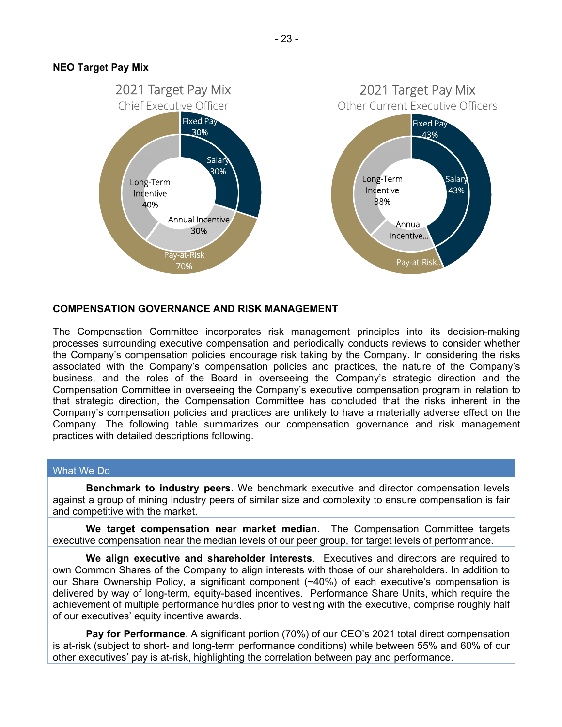### **NEO Target Pay Mix**



#### **COMPENSATION GOVERNANCE AND RISK MANAGEMENT**

The Compensation Committee incorporates risk management principles into its decision-making processes surrounding executive compensation and periodically conducts reviews to consider whether the Company's compensation policies encourage risk taking by the Company. In considering the risks associated with the Company's compensation policies and practices, the nature of the Company's business, and the roles of the Board in overseeing the Company's strategic direction and the Compensation Committee in overseeing the Company's executive compensation program in relation to that strategic direction, the Compensation Committee has concluded that the risks inherent in the Company's compensation policies and practices are unlikely to have a materially adverse effect on the Company. The following table summarizes our compensation governance and risk management practices with detailed descriptions following.

#### What We Do

**Benchmark to industry peers**. We benchmark executive and director compensation levels against a group of mining industry peers of similar size and complexity to ensure compensation is fair and competitive with the market.

**We target compensation near market median**. The Compensation Committee targets executive compensation near the median levels of our peer group, for target levels of performance.

**We align executive and shareholder interests**. Executives and directors are required to own Common Shares of the Company to align interests with those of our shareholders. In addition to our Share Ownership Policy, a significant component (~40%) of each executive's compensation is delivered by way of long-term, equity-based incentives. Performance Share Units, which require the achievement of multiple performance hurdles prior to vesting with the executive, comprise roughly half of our executives' equity incentive awards.

**Pay for Performance**. A significant portion (70%) of our CEO's 2021 total direct compensation is at-risk (subject to short- and long-term performance conditions) while between 55% and 60% of our other executives' pay is at-risk, highlighting the correlation between pay and performance.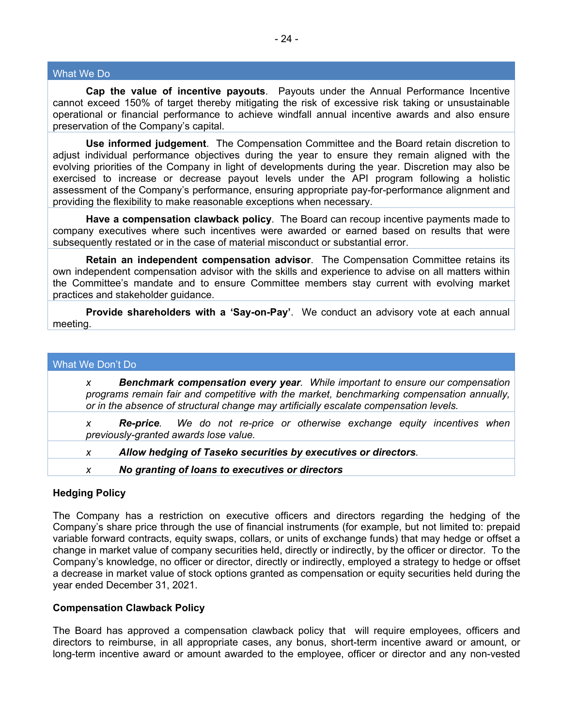#### What We Do

**Cap the value of incentive payouts**. Payouts under the Annual Performance Incentive cannot exceed 150% of target thereby mitigating the risk of excessive risk taking or unsustainable operational or financial performance to achieve windfall annual incentive awards and also ensure preservation of the Company's capital.

**Use informed judgement**. The Compensation Committee and the Board retain discretion to adjust individual performance objectives during the year to ensure they remain aligned with the evolving priorities of the Company in light of developments during the year. Discretion may also be exercised to increase or decrease payout levels under the API program following a holistic assessment of the Company's performance, ensuring appropriate pay-for-performance alignment and providing the flexibility to make reasonable exceptions when necessary.

**Have a compensation clawback policy**. The Board can recoup incentive payments made to company executives where such incentives were awarded or earned based on results that were subsequently restated or in the case of material misconduct or substantial error.

**Retain an independent compensation advisor**. The Compensation Committee retains its own independent compensation advisor with the skills and experience to advise on all matters within the Committee's mandate and to ensure Committee members stay current with evolving market practices and stakeholder guidance.

**Provide shareholders with a 'Say-on-Pay'**. We conduct an advisory vote at each annual meeting.

#### What We Don't Do

*x Benchmark compensation every year. While important to ensure our compensation programs remain fair and competitive with the market, benchmarking compensation annually, or in the absence of structural change may artificially escalate compensation levels.* 

*x Re-price. We do not re-price or otherwise exchange equity incentives when previously-granted awards lose value.* 

*x Allow hedging of Taseko securities by executives or directors.* 

*x No granting of loans to executives or directors* 

#### **Hedging Policy**

The Company has a restriction on executive officers and directors regarding the hedging of the Company's share price through the use of financial instruments (for example, but not limited to: prepaid variable forward contracts, equity swaps, collars, or units of exchange funds) that may hedge or offset a change in market value of company securities held, directly or indirectly, by the officer or director. To the Company's knowledge, no officer or director, directly or indirectly, employed a strategy to hedge or offset a decrease in market value of stock options granted as compensation or equity securities held during the year ended December 31, 2021.

#### **Compensation Clawback Policy**

The Board has approved a compensation clawback policy that will require employees, officers and directors to reimburse, in all appropriate cases, any bonus, short-term incentive award or amount, or long-term incentive award or amount awarded to the employee, officer or director and any non-vested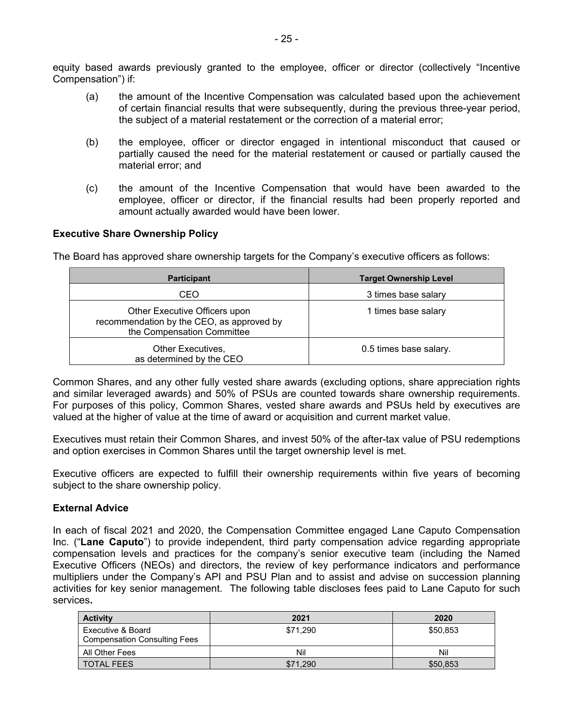equity based awards previously granted to the employee, officer or director (collectively "Incentive Compensation") if:

- (a) the amount of the Incentive Compensation was calculated based upon the achievement of certain financial results that were subsequently, during the previous three-year period, the subject of a material restatement or the correction of a material error;
- (b) the employee, officer or director engaged in intentional misconduct that caused or partially caused the need for the material restatement or caused or partially caused the material error; and
- (c) the amount of the Incentive Compensation that would have been awarded to the employee, officer or director, if the financial results had been properly reported and amount actually awarded would have been lower.

# **Executive Share Ownership Policy**

The Board has approved share ownership targets for the Company's executive officers as follows:

| <b>Participant</b>                                                                                       | <b>Target Ownership Level</b> |
|----------------------------------------------------------------------------------------------------------|-------------------------------|
| CEO                                                                                                      | 3 times base salary           |
| Other Executive Officers upon<br>recommendation by the CEO, as approved by<br>the Compensation Committee | 1 times base salary           |
| Other Executives,<br>as determined by the CEO                                                            | 0.5 times base salary.        |

Common Shares, and any other fully vested share awards (excluding options, share appreciation rights and similar leveraged awards) and 50% of PSUs are counted towards share ownership requirements. For purposes of this policy, Common Shares, vested share awards and PSUs held by executives are valued at the higher of value at the time of award or acquisition and current market value.

Executives must retain their Common Shares, and invest 50% of the after-tax value of PSU redemptions and option exercises in Common Shares until the target ownership level is met.

Executive officers are expected to fulfill their ownership requirements within five years of becoming subject to the share ownership policy.

#### **External Advice**

In each of fiscal 2021 and 2020, the Compensation Committee engaged Lane Caputo Compensation Inc. ("**Lane Caputo**") to provide independent, third party compensation advice regarding appropriate compensation levels and practices for the company's senior executive team (including the Named Executive Officers (NEOs) and directors, the review of key performance indicators and performance multipliers under the Company's API and PSU Plan and to assist and advise on succession planning activities for key senior management. The following table discloses fees paid to Lane Caputo for such services**.**

| <b>Activity</b>                                          | 2021     | 2020     |
|----------------------------------------------------------|----------|----------|
| Executive & Board<br><b>Compensation Consulting Fees</b> | \$71,290 | \$50,853 |
| All Other Fees                                           | Nil      | Nil      |
| <b>TOTAL FEES</b>                                        | \$71.290 | \$50,853 |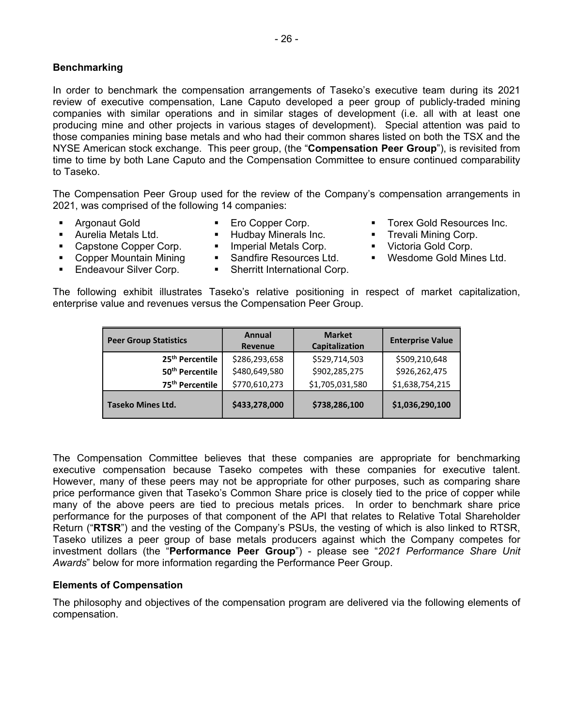# **Benchmarking**

In order to benchmark the compensation arrangements of Taseko's executive team during its 2021 review of executive compensation, Lane Caputo developed a peer group of publicly-traded mining companies with similar operations and in similar stages of development (i.e. all with at least one producing mine and other projects in various stages of development). Special attention was paid to those companies mining base metals and who had their common shares listed on both the TSX and the NYSE American stock exchange. This peer group, (the "**Compensation Peer Group**"), is revisited from time to time by both Lane Caputo and the Compensation Committee to ensure continued comparability to Taseko.

The Compensation Peer Group used for the review of the Company's compensation arrangements in 2021, was comprised of the following 14 companies:

- 
- 
- -
- Capstone Copper Corp. Imperial Metals Corp. Victoria Gold Corp.<br>■ Copper Mountain Mining ■ Sandfire Resources Ltd. Wesdome Gold Min • Copper Mountain Mining • Sandfire Resources Ltd. • Wesdome Gold Mines Ltd.
- 
- Endeavour Silver Corp. Sherritt International Corp.
- Argonaut Gold Ero Copper Corp. Torex Gold Resources Inc.
- **Aurelia Metals Ltd. The Hudbay Minerals Inc. The State Mining Corp. The Corp. The Corp. The Corp. The Corp. The Corp. The Corp. The Corp. The Corp. The Corp. The Corp. The Corp. The Corp. The** 
	-
	-

The following exhibit illustrates Taseko's relative positioning in respect of market capitalization, enterprise value and revenues versus the Compensation Peer Group.

| <b>Peer Group Statistics</b> | Annual<br>Revenue | <b>Market</b><br>Capitalization | <b>Enterprise Value</b> |
|------------------------------|-------------------|---------------------------------|-------------------------|
| 25 <sup>th</sup> Percentile  | \$286,293,658     | \$529,714,503                   | \$509,210,648           |
| 50 <sup>th</sup> Percentile  | \$480,649,580     | \$902,285,275                   | \$926,262,475           |
| 75 <sup>th</sup> Percentile  | \$770,610,273     | \$1,705,031,580                 | \$1,638,754,215         |
| <b>Taseko Mines Ltd.</b>     | \$433,278,000     | \$738,286,100                   | \$1,036,290,100         |

The Compensation Committee believes that these companies are appropriate for benchmarking executive compensation because Taseko competes with these companies for executive talent. However, many of these peers may not be appropriate for other purposes, such as comparing share price performance given that Taseko's Common Share price is closely tied to the price of copper while many of the above peers are tied to precious metals prices. In order to benchmark share price performance for the purposes of that component of the API that relates to Relative Total Shareholder Return ("**RTSR**") and the vesting of the Company's PSUs, the vesting of which is also linked to RTSR, Taseko utilizes a peer group of base metals producers against which the Company competes for investment dollars (the "**Performance Peer Group**") - please see "*2021 Performance Share Unit Awards*" below for more information regarding the Performance Peer Group.

# **Elements of Compensation**

The philosophy and objectives of the compensation program are delivered via the following elements of compensation.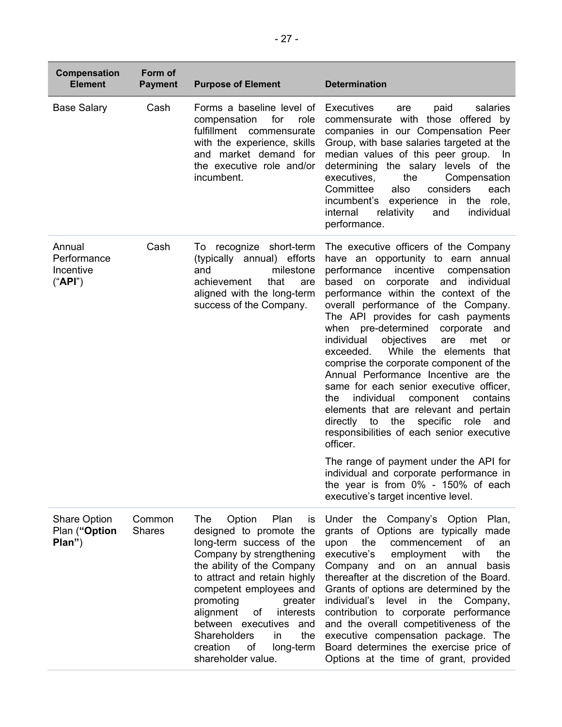| <b>Compensation</b><br><b>Element</b>          | Form of<br><b>Payment</b> | <b>Purpose of Element</b>                                                                                                                                                                                                                                                                                                                                                           | <b>Determination</b>                                                                                                                                                                                                                                                                                                                                                                                                                                                                                                                                                                                                                                                                                                                                                                                                                                                                                                                |
|------------------------------------------------|---------------------------|-------------------------------------------------------------------------------------------------------------------------------------------------------------------------------------------------------------------------------------------------------------------------------------------------------------------------------------------------------------------------------------|-------------------------------------------------------------------------------------------------------------------------------------------------------------------------------------------------------------------------------------------------------------------------------------------------------------------------------------------------------------------------------------------------------------------------------------------------------------------------------------------------------------------------------------------------------------------------------------------------------------------------------------------------------------------------------------------------------------------------------------------------------------------------------------------------------------------------------------------------------------------------------------------------------------------------------------|
| <b>Base Salary</b>                             | Cash                      | Forms a baseline level of<br>for<br>compensation<br>role<br>fulfillment commensurate<br>with the experience, skills<br>and market demand for<br>the executive role and/or<br>incumbent.                                                                                                                                                                                             | <b>Executives</b><br>salaries<br>paid<br>are<br>commensurate with those offered by<br>companies in our Compensation Peer<br>Group, with base salaries targeted at the<br>median values of this peer group.<br>- In<br>determining the salary levels of the<br>executives,<br>the<br>Compensation<br>Committee<br>also<br>considers<br>each<br>experience in the role,<br>incumbent's<br>internal<br>relativity<br>individual<br>and<br>performance.                                                                                                                                                                                                                                                                                                                                                                                                                                                                                 |
| Annual<br>Performance<br>Incentive<br>("API")  | Cash                      | To recognize short-term<br>(typically annual) efforts<br>milestone<br>and<br>achievement<br>that<br>are<br>aligned with the long-term<br>success of the Company.                                                                                                                                                                                                                    | The executive officers of the Company<br>have an opportunity to earn annual<br>incentive<br>performance<br>compensation<br>corporate<br>based<br>on<br>and individual<br>performance within the context of the<br>overall performance of the Company.<br>The API provides for cash payments<br>when pre-determined<br>corporate<br>and<br>individual<br>objectives<br>are<br>met<br>or<br>exceeded.<br>While the elements that<br>comprise the corporate component of the<br>Annual Performance Incentive are the<br>same for each senior executive officer,<br>individual<br>the<br>component<br>contains<br>elements that are relevant and pertain<br>directly to<br>specific<br>the<br>role<br>and<br>responsibilities of each senior executive<br>officer.<br>The range of payment under the API for<br>individual and corporate performance in<br>the year is from $0\%$ - 150% of each<br>executive's target incentive level. |
| <b>Share Option</b><br>Plan ("Option<br>Plan") | Common<br><b>Shares</b>   | The<br>Option<br>Plan<br>is<br>designed to promote the<br>long-term success of the<br>Company by strengthening<br>the ability of the Company<br>to attract and retain highly<br>competent employees and<br>promoting<br>greater<br>alignment<br>interests<br>оf<br>between executives and<br><b>Shareholders</b><br>in.<br>the<br>of<br>creation<br>long-term<br>shareholder value. | Under the Company's Option Plan,<br>grants of Options are typically made<br>the<br>commencement<br>upon<br>of<br>an<br>executive's<br>employment<br>with<br>the<br>Company and on an annual<br>basis<br>thereafter at the discretion of the Board.<br>Grants of options are determined by the<br>individual's<br>level<br>in<br>the<br>Company,<br>contribution to corporate performance<br>and the overall competitiveness of the<br>executive compensation package. The<br>Board determines the exercise price of<br>Options at the time of grant, provided                                                                                                                                                                                                                                                                                                                                                                       |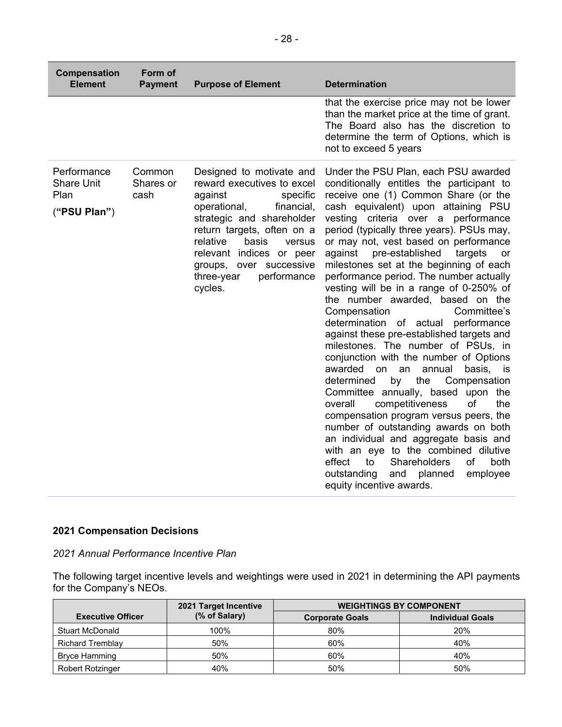| Compensation<br><b>Element</b>                    | Form of<br><b>Payment</b>   | <b>Purpose of Element</b>                                                                                                                                                                                                                                                                               | <b>Determination</b>                                                                                                                                                                                                                                                                                                                                                                                                                                                                                                                                                                                                                                                                                                                                                                                                                                                                                                                                                                                                                                                                                                                                                  |
|---------------------------------------------------|-----------------------------|---------------------------------------------------------------------------------------------------------------------------------------------------------------------------------------------------------------------------------------------------------------------------------------------------------|-----------------------------------------------------------------------------------------------------------------------------------------------------------------------------------------------------------------------------------------------------------------------------------------------------------------------------------------------------------------------------------------------------------------------------------------------------------------------------------------------------------------------------------------------------------------------------------------------------------------------------------------------------------------------------------------------------------------------------------------------------------------------------------------------------------------------------------------------------------------------------------------------------------------------------------------------------------------------------------------------------------------------------------------------------------------------------------------------------------------------------------------------------------------------|
|                                                   |                             |                                                                                                                                                                                                                                                                                                         | that the exercise price may not be lower<br>than the market price at the time of grant.<br>The Board also has the discretion to<br>determine the term of Options, which is<br>not to exceed 5 years                                                                                                                                                                                                                                                                                                                                                                                                                                                                                                                                                                                                                                                                                                                                                                                                                                                                                                                                                                   |
| Performance<br>Share Unit<br>Plan<br>("PSU Plan") | Common<br>Shares or<br>cash | Designed to motivate and<br>reward executives to excel<br>specific<br>against<br>operational,<br>financial,<br>strategic and shareholder<br>return targets, often on a<br>relative<br>basis<br>versus<br>relevant indices or peer<br>over successive<br>groups,<br>performance<br>three-year<br>cycles. | Under the PSU Plan, each PSU awarded<br>conditionally entitles the participant to<br>receive one (1) Common Share (or the<br>cash equivalent) upon attaining PSU<br>vesting criteria over a performance<br>period (typically three years). PSUs may,<br>or may not, vest based on performance<br>against<br>pre-established<br>targets<br>or<br>milestones set at the beginning of each<br>performance period. The number actually<br>vesting will be in a range of 0-250% of<br>the number awarded, based on the<br>Compensation<br>Committee's<br>determination of actual<br>performance<br>against these pre-established targets and<br>milestones. The number of PSUs, in<br>conjunction with the number of Options<br>awarded<br>on<br>an<br>annual<br>basis, is<br>determined<br>by<br>the<br>Compensation<br>Committee annually, based<br>upon<br>the<br>competitiveness<br>of<br>overall<br>the<br>compensation program versus peers, the<br>number of outstanding awards on both<br>an individual and aggregate basis and<br>with an eye to the combined dilutive<br>Shareholders<br>of<br>effect<br>to<br>both<br>outstanding<br>and<br>planned<br>employee |

# **2021 Compensation Decisions**

*2021 Annual Performance Incentive Plan* 

The following target incentive levels and weightings were used in 2021 in determining the API payments for the Company's NEOs.

equity incentive awards.

|                          | 2021 Target Incentive | <b>WEIGHTINGS BY COMPONENT</b> |                         |  |
|--------------------------|-----------------------|--------------------------------|-------------------------|--|
| <b>Executive Officer</b> | (% of Salary)         | <b>Corporate Goals</b>         | <b>Individual Goals</b> |  |
| Stuart McDonald          | 100%                  | 80%                            | 20%                     |  |
| <b>Richard Tremblay</b>  | 50%                   | 60%                            | 40%                     |  |
| <b>Bryce Hamming</b>     | 50%                   | 60%                            | 40%                     |  |
| <b>Robert Rotzinger</b>  | 40%                   | 50%                            | 50%                     |  |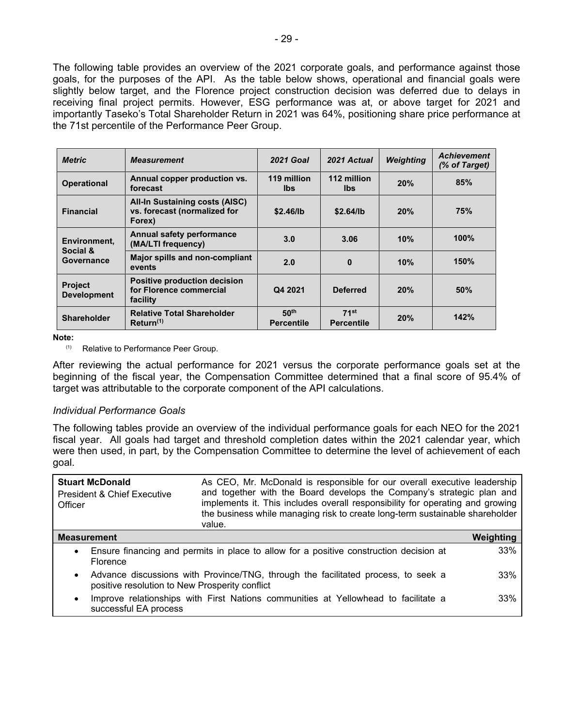The following table provides an overview of the 2021 corporate goals, and performance against those goals, for the purposes of the API. As the table below shows, operational and financial goals were slightly below target, and the Florence project construction decision was deferred due to delays in receiving final project permits. However, ESG performance was at, or above target for 2021 and importantly Taseko's Total Shareholder Return in 2021 was 64%, positioning share price performance at the 71st percentile of the Performance Peer Group.

| <b>Metric</b>                        | <b>Measurement</b>                                                              | <b>2021 Goal</b>                      | 2021 Actual                           | Weighting | <b>Achievement</b><br>(% of Target) |
|--------------------------------------|---------------------------------------------------------------------------------|---------------------------------------|---------------------------------------|-----------|-------------------------------------|
| <b>Operational</b>                   | Annual copper production vs.<br>forecast                                        | 119 million<br>lbs.                   | 112 million<br>lbs.                   | 20%       | 85%                                 |
| <b>Financial</b>                     | <b>All-In Sustaining costs (AISC)</b><br>vs. forecast (normalized for<br>Forex) | \$2.46/lb                             | \$2.64/lb                             | 20%       | 75%                                 |
| Environment.<br>Social &             | Annual safety performance<br>(MA/LTI frequency)                                 | 3.0                                   | 3.06                                  | 10%       | 100%                                |
| Governance                           | Major spills and non-compliant<br>events                                        | 2.0                                   | $\bf{0}$                              | 10%       | 150%                                |
| <b>Project</b><br><b>Development</b> | <b>Positive production decision</b><br>for Florence commercial<br>facility      | Q4 2021                               | <b>Deferred</b>                       | 20%       | 50%                                 |
| <b>Shareholder</b>                   | <b>Relative Total Shareholder</b><br>$R$ eturn <sup><math>(1)</math></sup>      | 50 <sup>th</sup><br><b>Percentile</b> | 71 <sup>st</sup><br><b>Percentile</b> | 20%       | 142%                                |

**Note:** 

(1) Relative to Performance Peer Group.

After reviewing the actual performance for 2021 versus the corporate performance goals set at the beginning of the fiscal year, the Compensation Committee determined that a final score of 95.4% of target was attributable to the corporate component of the API calculations.

#### *Individual Performance Goals*

The following tables provide an overview of the individual performance goals for each NEO for the 2021 fiscal year. All goals had target and threshold completion dates within the 2021 calendar year, which were then used, in part, by the Compensation Committee to determine the level of achievement of each goal.

| <b>Stuart McDonald</b><br><b>President &amp; Chief Executive</b><br>Officer | As CEO, Mr. McDonald is responsible for our overall executive leadership<br>and together with the Board develops the Company's strategic plan and<br>implements it. This includes overall responsibility for operating and growing<br>the business while managing risk to create long-term sustainable shareholder<br>value. |           |
|-----------------------------------------------------------------------------|------------------------------------------------------------------------------------------------------------------------------------------------------------------------------------------------------------------------------------------------------------------------------------------------------------------------------|-----------|
| <b>Measurement</b>                                                          |                                                                                                                                                                                                                                                                                                                              | Weighting |
| $\bullet$<br>Florence                                                       | Ensure financing and permits in place to allow for a positive construction decision at                                                                                                                                                                                                                                       | 33%       |
| $\bullet$<br>positive resolution to New Prosperity conflict                 | Advance discussions with Province/TNG, through the facilitated process, to seek a                                                                                                                                                                                                                                            | 33%       |
| $\bullet$<br>successful EA process                                          | Improve relationships with First Nations communities at Yellowhead to facilitate a                                                                                                                                                                                                                                           | 33%       |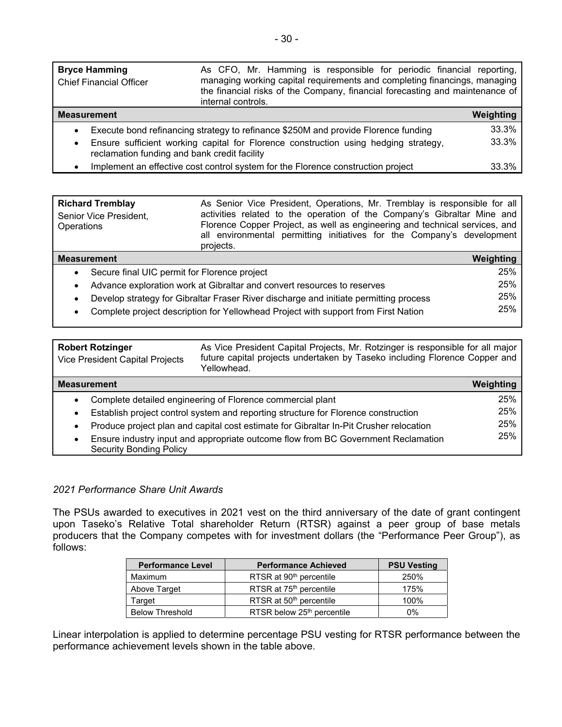| <b>Bryce Hamming</b><br><b>Chief Financial Officer</b>    | As CFO, Mr. Hamming is responsible for periodic financial reporting,<br>managing working capital requirements and completing financings, managing<br>the financial risks of the Company, financial forecasting and maintenance of<br>internal controls. |           |
|-----------------------------------------------------------|---------------------------------------------------------------------------------------------------------------------------------------------------------------------------------------------------------------------------------------------------------|-----------|
| <b>Measurement</b>                                        |                                                                                                                                                                                                                                                         | Weighting |
| $\bullet$                                                 | Execute bond refinancing strategy to refinance \$250M and provide Florence funding                                                                                                                                                                      | 33.3%     |
| $\bullet$<br>reclamation funding and bank credit facility | Ensure sufficient working capital for Florence construction using hedging strategy,                                                                                                                                                                     | 33.3%     |
|                                                           | Implement an effective cost control system for the Florence construction project                                                                                                                                                                        | 33.3%     |

| <b>Richard Tremblay</b><br>Senior Vice President,<br>Operations                                    | As Senior Vice President, Operations, Mr. Tremblay is responsible for all<br>activities related to the operation of the Company's Gibraltar Mine and<br>Florence Copper Project, as well as engineering and technical services, and<br>all environmental permitting initiatives for the Company's development<br>projects. |           |
|----------------------------------------------------------------------------------------------------|----------------------------------------------------------------------------------------------------------------------------------------------------------------------------------------------------------------------------------------------------------------------------------------------------------------------------|-----------|
| <b>Measurement</b>                                                                                 |                                                                                                                                                                                                                                                                                                                            | Weighting |
| Secure final UIC permit for Florence project<br>$\bullet$                                          |                                                                                                                                                                                                                                                                                                                            | 25%       |
| $\bullet$                                                                                          | Advance exploration work at Gibraltar and convert resources to reserves                                                                                                                                                                                                                                                    | 25%       |
| Develop strategy for Gibraltar Fraser River discharge and initiate permitting process<br>$\bullet$ |                                                                                                                                                                                                                                                                                                                            | 25%       |
| $\bullet$                                                                                          | Complete project description for Yellowhead Project with support from First Nation                                                                                                                                                                                                                                         | 25%       |

| <b>Robert Rotzinger</b><br>Vice President Capital Projects                                                          | As Vice President Capital Projects, Mr. Rotzinger is responsible for all major<br>future capital projects undertaken by Taseko including Florence Copper and<br>Yellowhead. |           |  |  |
|---------------------------------------------------------------------------------------------------------------------|-----------------------------------------------------------------------------------------------------------------------------------------------------------------------------|-----------|--|--|
| <b>Measurement</b>                                                                                                  |                                                                                                                                                                             | Weighting |  |  |
| Complete detailed engineering of Florence commercial plant<br>$\bullet$                                             |                                                                                                                                                                             |           |  |  |
| $\bullet$                                                                                                           | Establish project control system and reporting structure for Florence construction                                                                                          | 25%       |  |  |
| Produce project plan and capital cost estimate for Gibraltar In-Pit Crusher relocation<br>$\bullet$                 |                                                                                                                                                                             |           |  |  |
| Ensure industry input and appropriate outcome flow from BC Government Reclamation<br><b>Security Bonding Policy</b> |                                                                                                                                                                             |           |  |  |

# *2021 Performance Share Unit Awards*

The PSUs awarded to executives in 2021 vest on the third anniversary of the date of grant contingent upon Taseko's Relative Total shareholder Return (RTSR) against a peer group of base metals producers that the Company competes with for investment dollars (the "Performance Peer Group"), as follows:

| <b>Performance Level</b> | <b>Performance Achieved</b>            |      |  |  |
|--------------------------|----------------------------------------|------|--|--|
| Maximum                  | RTSR at 90 <sup>th</sup> percentile    | 250% |  |  |
| Above Target             | RTSR at 75 <sup>th</sup> percentile    | 175% |  |  |
| Target                   | RTSR at 50 <sup>th</sup> percentile    | 100% |  |  |
| <b>Below Threshold</b>   | RTSR below 25 <sup>th</sup> percentile | 0%   |  |  |

Linear interpolation is applied to determine percentage PSU vesting for RTSR performance between the performance achievement levels shown in the table above.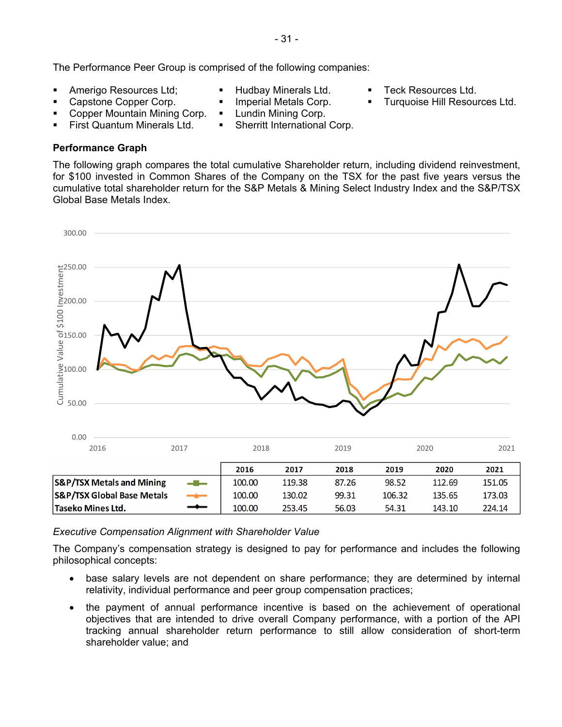The Performance Peer Group is comprised of the following companies:

- Amerigo Resources Ltd; **Interest America** Fundbay Minerals Ltd. **The Hudbay Minerals Ltd. The Section America** Controller Ltd.
- 
- 
- Capstone Copper Corp. **I** Imperial Metals Corp. **Inc. Transform Funding Capstone Copper Corp. II**
- Copper Mountain Mining Corp. Lundin Mining Corp.
- - First Quantum Minerals Ltd. Sherritt International Corp.

# **Performance Graph**

The following graph compares the total cumulative Shareholder return, including dividend reinvestment, for \$100 invested in Common Shares of the Company on the TSX for the past five years versus the cumulative total shareholder return for the S&P Metals & Mining Select Industry Index and the S&P/TSX Global Base Metals Index.



# *Executive Compensation Alignment with Shareholder Value*

The Company's compensation strategy is designed to pay for performance and includes the following philosophical concepts:

- base salary levels are not dependent on share performance; they are determined by internal relativity, individual performance and peer group compensation practices;
- the payment of annual performance incentive is based on the achievement of operational objectives that are intended to drive overall Company performance, with a portion of the API tracking annual shareholder return performance to still allow consideration of short-term shareholder value; and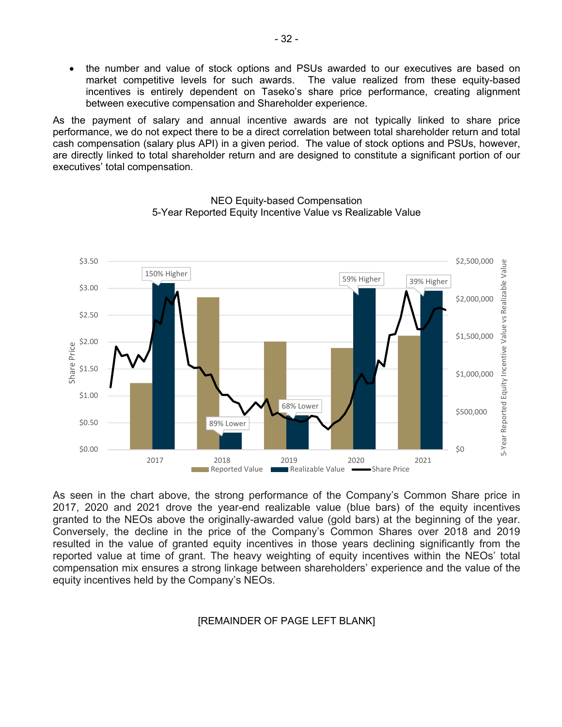• the number and value of stock options and PSUs awarded to our executives are based on market competitive levels for such awards. The value realized from these equity-based incentives is entirely dependent on Taseko's share price performance, creating alignment between executive compensation and Shareholder experience.

As the payment of salary and annual incentive awards are not typically linked to share price performance, we do not expect there to be a direct correlation between total shareholder return and total cash compensation (salary plus API) in a given period. The value of stock options and PSUs, however, are directly linked to total shareholder return and are designed to constitute a significant portion of our executives' total compensation.



NEO Equity-based Compensation 5-Year Reported Equity Incentive Value vs Realizable Value

As seen in the chart above, the strong performance of the Company's Common Share price in 2017, 2020 and 2021 drove the year-end realizable value (blue bars) of the equity incentives granted to the NEOs above the originally-awarded value (gold bars) at the beginning of the year. Conversely, the decline in the price of the Company's Common Shares over 2018 and 2019 resulted in the value of granted equity incentives in those years declining significantly from the reported value at time of grant. The heavy weighting of equity incentives within the NEOs' total compensation mix ensures a strong linkage between shareholders' experience and the value of the equity incentives held by the Company's NEOs.

#### [REMAINDER OF PAGE LEFT BLANK]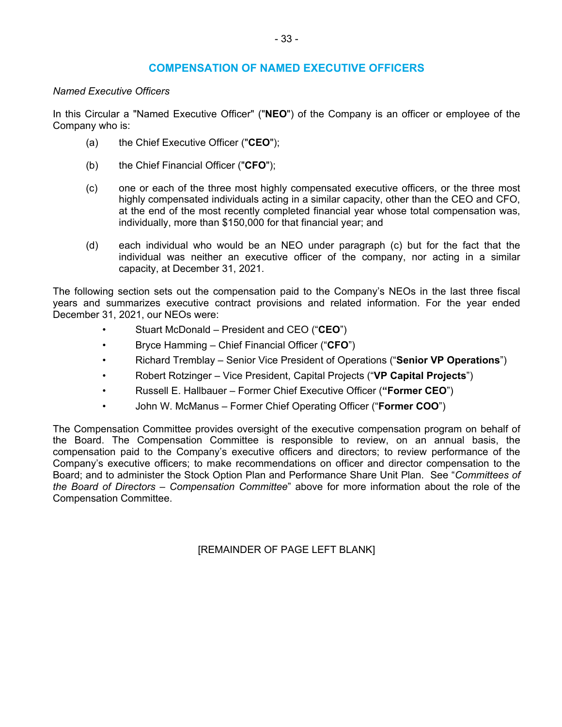# **COMPENSATION OF NAMED EXECUTIVE OFFICERS**

# *Named Executive Officers*

In this Circular a "Named Executive Officer" ("**NEO**") of the Company is an officer or employee of the Company who is:

- (a) the Chief Executive Officer ("**CEO**");
- (b) the Chief Financial Officer ("**CFO**");
- (c) one or each of the three most highly compensated executive officers, or the three most highly compensated individuals acting in a similar capacity, other than the CEO and CFO, at the end of the most recently completed financial year whose total compensation was, individually, more than \$150,000 for that financial year; and
- (d) each individual who would be an NEO under paragraph (c) but for the fact that the individual was neither an executive officer of the company, nor acting in a similar capacity, at December 31, 2021.

The following section sets out the compensation paid to the Company's NEOs in the last three fiscal years and summarizes executive contract provisions and related information. For the year ended December 31, 2021, our NEOs were:

- Stuart McDonald President and CEO ("**CEO**")
- Bryce Hamming Chief Financial Officer ("**CFO**")
- Richard Tremblay Senior Vice President of Operations ("**Senior VP Operations**")
- Robert Rotzinger Vice President, Capital Projects ("**VP Capital Projects**")
- Russell E. Hallbauer Former Chief Executive Officer (**"Former CEO**")
- John W. McManus Former Chief Operating Officer ("**Former COO**")

The Compensation Committee provides oversight of the executive compensation program on behalf of the Board. The Compensation Committee is responsible to review, on an annual basis, the compensation paid to the Company's executive officers and directors; to review performance of the Company's executive officers; to make recommendations on officer and director compensation to the Board; and to administer the Stock Option Plan and Performance Share Unit Plan. See "*Committees of the Board of Directors* – *Compensation Committee*" above for more information about the role of the Compensation Committee.

[REMAINDER OF PAGE LEFT BLANK]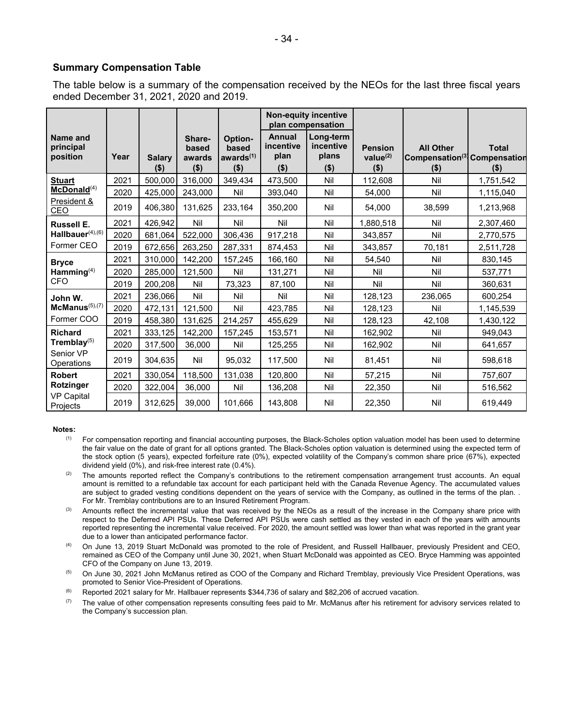#### **Summary Compensation Table**

The table below is a summary of the compensation received by the NEOs for the last three fiscal years ended December 31, 2021, 2020 and 2019.

|                                   |      |                          |                                      |                                             | <b>Non-equity incentive</b><br>plan compensation |                                            |                                          |                                                                         |                         |
|-----------------------------------|------|--------------------------|--------------------------------------|---------------------------------------------|--------------------------------------------------|--------------------------------------------|------------------------------------------|-------------------------------------------------------------------------|-------------------------|
| Name and<br>principal<br>position | Year | <b>Salary</b><br>$($ \$) | Share-<br>based<br>awards<br>$($ \$) | Option-<br>based<br>awards $(1)$<br>$($ \$) | Annual<br>incentive<br>plan<br>$($ \$)           | Long-term<br>incentive<br>plans<br>$($ \$) | <b>Pension</b><br>value $(2)$<br>$($ \$) | <b>All Other</b><br>Compensation <sup>(3)</sup> Compensation<br>$($ \$) | <b>Total</b><br>$($ \$) |
| <b>Stuart</b>                     | 2021 | 500,000                  | 316,000                              | 349,434                                     | 473,500                                          | Nil                                        | 112,608                                  | Nil                                                                     | 1,751,542               |
| McDonald <sup>(4)</sup>           | 2020 | 425,000                  | 243,000                              | Nil                                         | 393,040                                          | Nil                                        | 54,000                                   | Nil                                                                     | 1,115,040               |
| President &<br>CEO                | 2019 | 406,380                  | 131,625                              | 233,164                                     | 350,200                                          | Nil                                        | 54,000                                   | 38,599                                                                  | 1,213,968               |
| <b>Russell E.</b>                 | 2021 | 426,942                  | Nil                                  | Nil                                         | Nil                                              | Nil                                        | 1,880,518                                | Nil                                                                     | 2,307,460               |
| Hallbauer <sup>(4),(6)</sup>      | 2020 | 681,064                  | 522,000                              | 306,436                                     | 917,218                                          | Nil                                        | 343,857                                  | Nil                                                                     | 2,770,575               |
| Former CEO                        | 2019 | 672,656                  | 263,250                              | 287,331                                     | 874,453                                          | Nil                                        | 343,857                                  | 70,181                                                                  | 2,511,728               |
| <b>Bryce</b>                      | 2021 | 310,000                  | 142,200                              | 157,245                                     | 166,160                                          | Nil                                        | 54,540                                   | Nil                                                                     | 830,145                 |
| Hamming $(4)$                     | 2020 | 285,000                  | 121,500                              | Nil                                         | 131,271                                          | Nil                                        | Nil                                      | Nil                                                                     | 537,771                 |
| <b>CFO</b>                        | 2019 | 200,208                  | Nil                                  | 73,323                                      | 87,100                                           | Nil                                        | Nil                                      | Nil                                                                     | 360,631                 |
| John W.                           | 2021 | 236,066                  | Nil                                  | Nil                                         | Nil                                              | Nil                                        | 128,123                                  | 236,065                                                                 | 600,254                 |
| $McManus^{(5),(7)}$               | 2020 | 472,131                  | 121,500                              | Nil                                         | 423,785                                          | Nil                                        | 128,123                                  | Nil                                                                     | 1,145,539               |
| Former COO                        | 2019 | 458,380                  | 131,625                              | 214,257                                     | 455,629                                          | Nil                                        | 128,123                                  | 42,108                                                                  | 1,430,122               |
| <b>Richard</b>                    | 2021 | 333,125                  | 142,200                              | 157,245                                     | 153,571                                          | Nil                                        | 162,902                                  | Nil                                                                     | 949,043                 |
| Tremblay $(5)$                    | 2020 | 317,500                  | 36,000                               | Nil                                         | 125,255                                          | Nil                                        | 162,902                                  | Nil                                                                     | 641,657                 |
| Senior VP<br>Operations           | 2019 | 304,635                  | Nil                                  | 95,032                                      | 117,500                                          | Nil                                        | 81,451                                   | Nil                                                                     | 598,618                 |
| <b>Robert</b>                     | 2021 | 330,054                  | 118,500                              | 131,038                                     | 120,800                                          | Nil                                        | 57,215                                   | Nil                                                                     | 757,607                 |
| Rotzinger                         | 2020 | 322,004                  | 36,000                               | Nil                                         | 136,208                                          | Nil                                        | 22,350                                   | Nil                                                                     | 516,562                 |
| <b>VP Capital</b><br>Projects     | 2019 | 312,625                  | 39,000                               | 101,666                                     | 143,808                                          | Nil                                        | 22,350                                   | Nil                                                                     | 619,449                 |

#### **Notes:**

- <sup>(1)</sup> For compensation reporting and financial accounting purposes, the Black-Scholes option valuation model has been used to determine the fair value on the date of grant for all options granted. The Black-Scholes option valuation is determined using the expected term of the stock option (5 years), expected forfeiture rate (0%), expected volatility of the Company's common share price (67%), expected dividend yield (0%), and risk-free interest rate (0.4%).
- $(2)$  The amounts reported reflect the Company's contributions to the retirement compensation arrangement trust accounts. An equal amount is remitted to a refundable tax account for each participant held with the Canada Revenue Agency. The accumulated values are subject to graded vesting conditions dependent on the years of service with the Company, as outlined in the terms of the plan. . For Mr. Tremblay contributions are to an Insured Retirement Program.
- <sup>(3)</sup> Amounts reflect the incremental value that was received by the NEOs as a result of the increase in the Company share price with respect to the Deferred API PSUs. These Deferred API PSUs were cash settled as they vested in each of the years with amounts reported representing the incremental value received. For 2020, the amount settled was lower than what was reported in the grant year due to a lower than anticipated performance factor.
- (4) On June 13, 2019 Stuart McDonald was promoted to the role of President, and Russell Hallbauer, previously President and CEO, remained as CEO of the Company until June 30, 2021, when Stuart McDonald was appointed as CEO. Bryce Hamming was appointed CFO of the Company on June 13, 2019.
- <sup>(5)</sup> On June 30, 2021 John McManus retired as COO of the Company and Richard Tremblay, previously Vice President Operations, was promoted to Senior Vice-President of Operations.
- $(6)$  Reported 2021 salary for Mr. Hallbauer represents \$344,736 of salary and \$82,206 of accrued vacation.
- $(7)$  The value of other compensation represents consulting fees paid to Mr. McManus after his retirement for advisory services related to the Company's succession plan.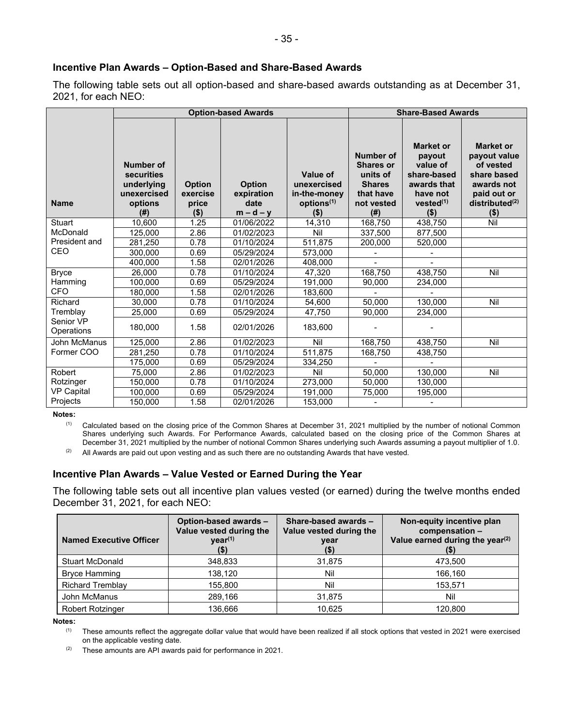# **Incentive Plan Awards – Option-Based and Share-Based Awards**

The following table sets out all option-based and share-based awards outstanding as at December 31, 2021, for each NEO:

|                         |                                                                               |                                               | <b>Option-based Awards</b>                         |                                                                                     | <b>Share-Based Awards</b>                                                                    |                                                                                                                      |                                                                                                                                    |  |
|-------------------------|-------------------------------------------------------------------------------|-----------------------------------------------|----------------------------------------------------|-------------------------------------------------------------------------------------|----------------------------------------------------------------------------------------------|----------------------------------------------------------------------------------------------------------------------|------------------------------------------------------------------------------------------------------------------------------------|--|
| <b>Name</b>             | <b>Number of</b><br>securities<br>underlying<br>unexercised<br>options<br>(#) | <b>Option</b><br>exercise<br>price<br>$($ \$) | <b>Option</b><br>expiration<br>date<br>$m - d - y$ | <b>Value of</b><br>unexercised<br>in-the-money<br>options <sup>(1)</sup><br>$($ \$) | Number of<br><b>Shares or</b><br>units of<br><b>Shares</b><br>that have<br>not vested<br>(#) | <b>Market or</b><br>payout<br>value of<br>share-based<br>awards that<br>have not<br>vested <sup>(1)</sup><br>$($ \$) | <b>Market or</b><br>payout value<br>of vested<br>share based<br>awards not<br>paid out or<br>distributed <sup>(2)</sup><br>$($ \$) |  |
| Stuart                  | 10.600                                                                        | 1.25                                          | 01/06/2022                                         | 14,310                                                                              | 168,750                                                                                      | 438,750                                                                                                              | Nil                                                                                                                                |  |
| McDonald                | 125.000                                                                       | 2.86                                          | 01/02/2023                                         | Nil                                                                                 | 337.500                                                                                      | 877,500                                                                                                              |                                                                                                                                    |  |
| President and           | 281,250                                                                       | 0.78                                          | 01/10/2024                                         | 511,875                                                                             | 200,000                                                                                      | 520,000                                                                                                              |                                                                                                                                    |  |
| <b>CEO</b>              | 300.000                                                                       | 0.69                                          | 05/29/2024                                         | 573.000                                                                             | $\overline{a}$                                                                               |                                                                                                                      |                                                                                                                                    |  |
|                         | 400,000                                                                       | 1.58                                          | 02/01/2026                                         | 408,000                                                                             |                                                                                              |                                                                                                                      |                                                                                                                                    |  |
| <b>Bryce</b>            | 26.000                                                                        | 0.78                                          | 01/10/2024                                         | 47.320                                                                              | 168.750                                                                                      | 438.750                                                                                                              | Nil                                                                                                                                |  |
| Hamming                 | 100,000                                                                       | 0.69                                          | 05/29/2024                                         | 191,000                                                                             | 90,000                                                                                       | 234,000                                                                                                              |                                                                                                                                    |  |
| <b>CFO</b>              | 180.000                                                                       | 1.58                                          | 02/01/2026                                         | 183.600                                                                             |                                                                                              |                                                                                                                      |                                                                                                                                    |  |
| Richard                 | 30,000                                                                        | 0.78                                          | 01/10/2024                                         | 54,600                                                                              | 50.000                                                                                       | 130,000                                                                                                              | Nil                                                                                                                                |  |
| Tremblay                | 25,000                                                                        | 0.69                                          | 05/29/2024                                         | 47,750                                                                              | 90,000                                                                                       | 234,000                                                                                                              |                                                                                                                                    |  |
| Senior VP<br>Operations | 180.000                                                                       | 1.58                                          | 02/01/2026                                         | 183.600                                                                             |                                                                                              |                                                                                                                      |                                                                                                                                    |  |
| John McManus            | 125,000                                                                       | 2.86                                          | 01/02/2023                                         | Nil                                                                                 | 168,750                                                                                      | 438,750                                                                                                              | Nil                                                                                                                                |  |
| Former COO              | 281,250                                                                       | 0.78                                          | 01/10/2024                                         | 511,875                                                                             | 168,750                                                                                      | 438,750                                                                                                              |                                                                                                                                    |  |
|                         | 175,000                                                                       | 0.69                                          | 05/29/2024                                         | 334,250                                                                             |                                                                                              |                                                                                                                      |                                                                                                                                    |  |
| Robert                  | 75.000                                                                        | 2.86                                          | 01/02/2023                                         | Nil                                                                                 | 50,000                                                                                       | 130,000                                                                                                              | Nil                                                                                                                                |  |
| Rotzinger               | 150,000                                                                       | 0.78                                          | 01/10/2024                                         | 273,000                                                                             | 50,000                                                                                       | 130,000                                                                                                              |                                                                                                                                    |  |
| <b>VP Capital</b>       | 100,000                                                                       | 0.69                                          | 05/29/2024                                         | 191.000                                                                             | 75,000                                                                                       | 195,000                                                                                                              |                                                                                                                                    |  |
| Projects                | 150,000                                                                       | 1.58                                          | 02/01/2026                                         | 153,000                                                                             |                                                                                              |                                                                                                                      |                                                                                                                                    |  |

**Notes:** 

(1) Calculated based on the closing price of the Common Shares at December 31, 2021 multiplied by the number of notional Common Shares underlying such Awards. For Performance Awards, calculated based on the closing price of the Common Shares at December 31, 2021 multiplied by the number of notional Common Shares underlying such Awards assuming a payout multiplier of 1.0.

 $(2)$  All Awards are paid out upon vesting and as such there are no outstanding Awards that have vested.

# **Incentive Plan Awards – Value Vested or Earned During the Year**

The following table sets out all incentive plan values vested (or earned) during the twelve months ended December 31, 2021, for each NEO:

| <b>Named Executive Officer</b> | Option-based awards -<br>Value vested during the<br>year <sup>(1)</sup><br>(\$) | Share-based awards -<br>Value vested during the<br>year<br>(\$) | Non-equity incentive plan<br>compensation -<br>Value earned during the year <sup>(2)</sup><br>(\$) |  |
|--------------------------------|---------------------------------------------------------------------------------|-----------------------------------------------------------------|----------------------------------------------------------------------------------------------------|--|
| <b>Stuart McDonald</b>         | 348,833                                                                         | 31,875                                                          | 473,500                                                                                            |  |
| <b>Bryce Hamming</b>           | 138,120                                                                         | Nil                                                             | 166,160                                                                                            |  |
| <b>Richard Tremblay</b>        | 155,800                                                                         | Nil                                                             | 153,571                                                                                            |  |
| John McManus                   | 289,166                                                                         | 31,875                                                          | Nil                                                                                                |  |
| <b>Robert Rotzinger</b>        | 136.666                                                                         | 10,625                                                          | 120,800                                                                                            |  |

**Notes:** 

(1) These amounts reflect the aggregate dollar value that would have been realized if all stock options that vested in 2021 were exercised on the applicable vesting date.

 $(2)$  These amounts are API awards paid for performance in 2021.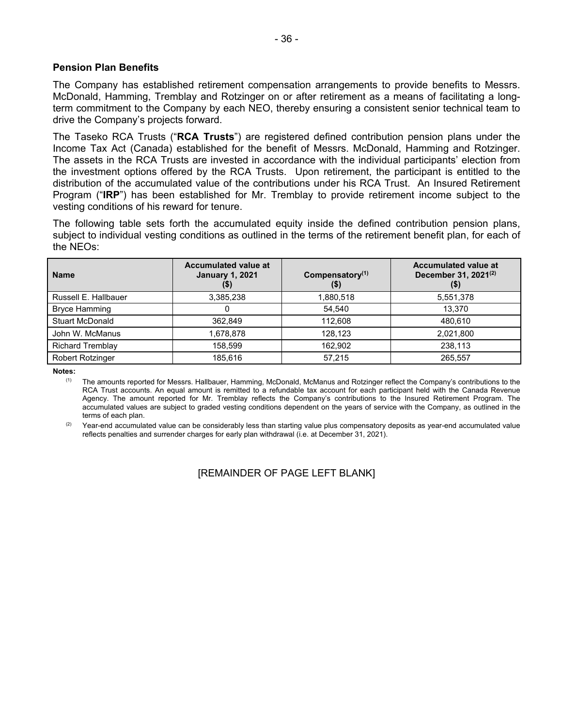# **Pension Plan Benefits**

The Company has established retirement compensation arrangements to provide benefits to Messrs. McDonald, Hamming, Tremblay and Rotzinger on or after retirement as a means of facilitating a longterm commitment to the Company by each NEO, thereby ensuring a consistent senior technical team to drive the Company's projects forward.

The Taseko RCA Trusts ("**RCA Trusts**") are registered defined contribution pension plans under the Income Tax Act (Canada) established for the benefit of Messrs. McDonald, Hamming and Rotzinger. The assets in the RCA Trusts are invested in accordance with the individual participants' election from the investment options offered by the RCA Trusts. Upon retirement, the participant is entitled to the distribution of the accumulated value of the contributions under his RCA Trust. An Insured Retirement Program ("**IRP**") has been established for Mr. Tremblay to provide retirement income subject to the vesting conditions of his reward for tenure.

The following table sets forth the accumulated equity inside the defined contribution pension plans, subject to individual vesting conditions as outlined in the terms of the retirement benefit plan, for each of the NEOs:

| <b>Name</b>             | <b>Accumulated value at</b><br><b>January 1, 2021</b><br>(3) | Compensatory $(1)$<br>(\$) | <b>Accumulated value at</b><br>December 31, 2021 <sup>(2)</sup><br>$($ \$) |
|-------------------------|--------------------------------------------------------------|----------------------------|----------------------------------------------------------------------------|
| Russell E. Hallbauer    | 3,385,238                                                    | 1,880,518                  | 5,551,378                                                                  |
| <b>Bryce Hamming</b>    |                                                              | 54.540                     | 13.370                                                                     |
| <b>Stuart McDonald</b>  | 362.849                                                      | 112,608                    | 480.610                                                                    |
| John W. McManus         | 1,678,878                                                    | 128.123                    | 2,021,800                                                                  |
| <b>Richard Tremblay</b> | 158.599                                                      | 162.902                    | 238,113                                                                    |
| Robert Rotzinger        | 185.616                                                      | 57.215                     | 265,557                                                                    |

**Notes:** 

(1) The amounts reported for Messrs. Hallbauer, Hamming, McDonald, McManus and Rotzinger reflect the Company's contributions to the RCA Trust accounts. An equal amount is remitted to a refundable tax account for each participant held with the Canada Revenue Agency. The amount reported for Mr. Tremblay reflects the Company's contributions to the Insured Retirement Program. The accumulated values are subject to graded vesting conditions dependent on the years of service with the Company, as outlined in the terms of each plan.

 $(2)$  Year-end accumulated value can be considerably less than starting value plus compensatory deposits as year-end accumulated value reflects penalties and surrender charges for early plan withdrawal (i.e. at December 31, 2021).

[REMAINDER OF PAGE LEFT BLANK]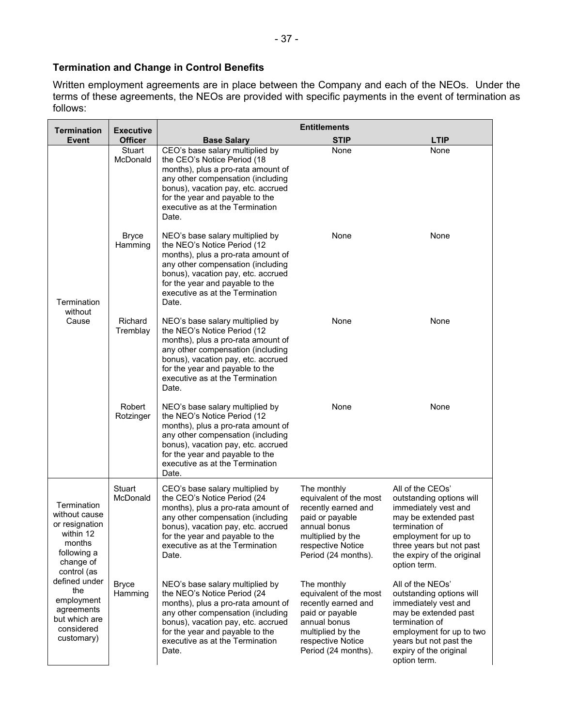# **Termination and Change in Control Benefits**

Written employment agreements are in place between the Company and each of the NEOs. Under the terms of these agreements, the NEOs are provided with specific payments in the event of termination as follows:

| <b>Termination</b>                                                                                                                                                                                                | <b>Executive</b>        | <b>Entitlements</b>                                                                                                                                                                                                                                            |                                                                                                                                                                  |                                                                                                                                                                                                                  |  |  |  |
|-------------------------------------------------------------------------------------------------------------------------------------------------------------------------------------------------------------------|-------------------------|----------------------------------------------------------------------------------------------------------------------------------------------------------------------------------------------------------------------------------------------------------------|------------------------------------------------------------------------------------------------------------------------------------------------------------------|------------------------------------------------------------------------------------------------------------------------------------------------------------------------------------------------------------------|--|--|--|
| Event                                                                                                                                                                                                             | <b>Officer</b>          | <b>Base Salary</b>                                                                                                                                                                                                                                             | <b>STIP</b>                                                                                                                                                      | <b>LTIP</b>                                                                                                                                                                                                      |  |  |  |
| Termination<br>without<br>Cause                                                                                                                                                                                   | Stuart<br>McDonald      | CEO's base salary multiplied by<br>the CEO's Notice Period (18<br>months), plus a pro-rata amount of<br>any other compensation (including<br>bonus), vacation pay, etc. accrued<br>for the year and payable to the<br>executive as at the Termination<br>Date. | None                                                                                                                                                             | None                                                                                                                                                                                                             |  |  |  |
|                                                                                                                                                                                                                   | <b>Bryce</b><br>Hamming | NEO's base salary multiplied by<br>the NEO's Notice Period (12<br>months), plus a pro-rata amount of<br>any other compensation (including<br>bonus), vacation pay, etc. accrued<br>for the year and payable to the<br>executive as at the Termination<br>Date. | None                                                                                                                                                             | None                                                                                                                                                                                                             |  |  |  |
|                                                                                                                                                                                                                   | Richard<br>Tremblay     | NEO's base salary multiplied by<br>the NEO's Notice Period (12<br>months), plus a pro-rata amount of<br>any other compensation (including<br>bonus), vacation pay, etc. accrued<br>for the year and payable to the<br>executive as at the Termination<br>Date. | None                                                                                                                                                             |                                                                                                                                                                                                                  |  |  |  |
|                                                                                                                                                                                                                   | Robert<br>Rotzinger     | NEO's base salary multiplied by<br>the NEO's Notice Period (12<br>months), plus a pro-rata amount of<br>any other compensation (including<br>bonus), vacation pay, etc. accrued<br>for the year and payable to the<br>executive as at the Termination<br>Date. | None                                                                                                                                                             | None                                                                                                                                                                                                             |  |  |  |
| Termination<br>without cause<br>or resignation<br>within 12<br>months<br>following a<br>change of<br>control (as<br>defined under<br>the<br>employment<br>agreements<br>but which are<br>considered<br>customary) | Stuart<br>McDonald      | CEO's base salary multiplied by<br>the CEO's Notice Period (24<br>months), plus a pro-rata amount of<br>any other compensation (including<br>bonus), vacation pay, etc. accrued<br>for the year and payable to the<br>executive as at the Termination<br>Date. | The monthly<br>equivalent of the most<br>recently earned and<br>paid or payable<br>annual bonus<br>multiplied by the<br>respective Notice<br>Period (24 months). | All of the CEOs'<br>outstanding options will<br>immediately vest and<br>may be extended past<br>termination of<br>employment for up to<br>three years but not past<br>the expiry of the original<br>option term. |  |  |  |
|                                                                                                                                                                                                                   | <b>Bryce</b><br>Hamming | NEO's base salary multiplied by<br>the NEO's Notice Period (24<br>months), plus a pro-rata amount of<br>any other compensation (including<br>bonus), vacation pay, etc. accrued<br>for the year and payable to the<br>executive as at the Termination<br>Date. | The monthly<br>equivalent of the most<br>recently earned and<br>paid or payable<br>annual bonus<br>multiplied by the<br>respective Notice<br>Period (24 months). | All of the NEOs'<br>outstanding options will<br>immediately vest and<br>may be extended past<br>termination of<br>employment for up to two<br>years but not past the<br>expiry of the original<br>option term.   |  |  |  |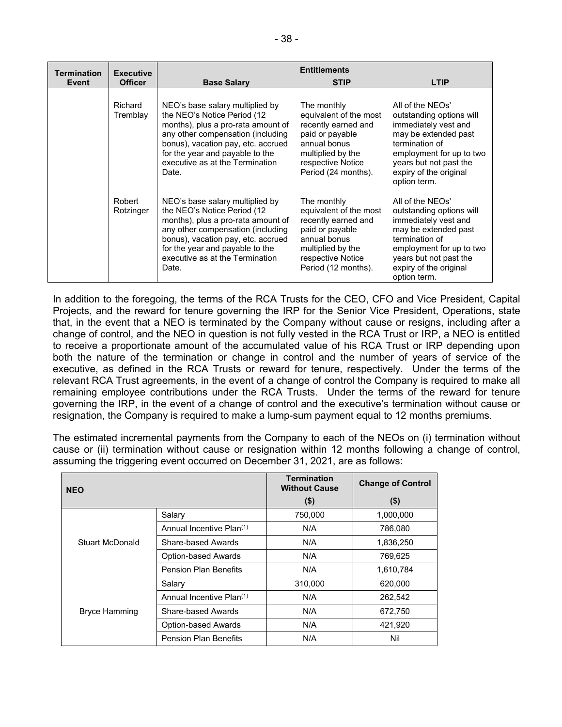| <b>Termination</b> | <b>Executive</b>    | <b>Entitlements</b>                                                                                                                                                                                                                                             |                                                                                                                                                                  |                                                                                                                                                                                                                |  |  |  |
|--------------------|---------------------|-----------------------------------------------------------------------------------------------------------------------------------------------------------------------------------------------------------------------------------------------------------------|------------------------------------------------------------------------------------------------------------------------------------------------------------------|----------------------------------------------------------------------------------------------------------------------------------------------------------------------------------------------------------------|--|--|--|
| Event              | <b>Officer</b>      | <b>Base Salary</b>                                                                                                                                                                                                                                              | <b>STIP</b>                                                                                                                                                      | <b>LTIP</b>                                                                                                                                                                                                    |  |  |  |
|                    | Richard<br>Tremblay | NEO's base salary multiplied by<br>the NEO's Notice Period (12)<br>months), plus a pro-rata amount of<br>any other compensation (including<br>bonus), vacation pay, etc. accrued<br>for the year and payable to the<br>executive as at the Termination<br>Date. | The monthly<br>equivalent of the most<br>recently earned and<br>paid or payable<br>annual bonus<br>multiplied by the<br>respective Notice<br>Period (24 months). | All of the NEOs'<br>outstanding options will<br>immediately vest and<br>may be extended past<br>termination of<br>employment for up to two<br>years but not past the<br>expiry of the original<br>option term. |  |  |  |
|                    | Robert<br>Rotzinger | NEO's base salary multiplied by<br>the NEO's Notice Period (12)<br>months), plus a pro-rata amount of<br>any other compensation (including<br>bonus), vacation pay, etc. accrued<br>for the year and payable to the<br>executive as at the Termination<br>Date. | The monthly<br>equivalent of the most<br>recently earned and<br>paid or payable<br>annual bonus<br>multiplied by the<br>respective Notice<br>Period (12 months). | All of the NEOs'<br>outstanding options will<br>immediately vest and<br>may be extended past<br>termination of<br>employment for up to two<br>years but not past the<br>expiry of the original<br>option term. |  |  |  |

In addition to the foregoing, the terms of the RCA Trusts for the CEO, CFO and Vice President, Capital Projects, and the reward for tenure governing the IRP for the Senior Vice President, Operations, state that, in the event that a NEO is terminated by the Company without cause or resigns, including after a change of control, and the NEO in question is not fully vested in the RCA Trust or IRP, a NEO is entitled to receive a proportionate amount of the accumulated value of his RCA Trust or IRP depending upon both the nature of the termination or change in control and the number of years of service of the executive, as defined in the RCA Trusts or reward for tenure, respectively. Under the terms of the relevant RCA Trust agreements, in the event of a change of control the Company is required to make all remaining employee contributions under the RCA Trusts. Under the terms of the reward for tenure governing the IRP, in the event of a change of control and the executive's termination without cause or resignation, the Company is required to make a lump-sum payment equal to 12 months premiums.

The estimated incremental payments from the Company to each of the NEOs on (i) termination without cause or (ii) termination without cause or resignation within 12 months following a change of control, assuming the triggering event occurred on December 31, 2021, are as follows:

| <b>NEO</b>           |                                      | <b>Termination</b><br><b>Without Cause</b> | <b>Change of Control</b> |  |
|----------------------|--------------------------------------|--------------------------------------------|--------------------------|--|
|                      |                                      | $($ \$)                                    | $($ \$)                  |  |
|                      | Salary                               | 750,000                                    | 1,000,000                |  |
|                      | Annual Incentive Plan <sup>(1)</sup> | N/A                                        | 786,080                  |  |
| Stuart McDonald      | Share-based Awards                   | N/A                                        | 1,836,250                |  |
|                      | <b>Option-based Awards</b>           | N/A                                        | 769,625                  |  |
|                      | <b>Pension Plan Benefits</b>         | N/A                                        | 1,610,784                |  |
|                      | Salary                               | 310,000                                    | 620,000                  |  |
|                      | Annual Incentive Plan <sup>(1)</sup> | N/A                                        | 262,542                  |  |
| <b>Bryce Hamming</b> | Share-based Awards                   | N/A                                        | 672,750                  |  |
|                      | <b>Option-based Awards</b>           | N/A                                        | 421,920                  |  |
|                      | <b>Pension Plan Benefits</b>         | N/A                                        | Nil                      |  |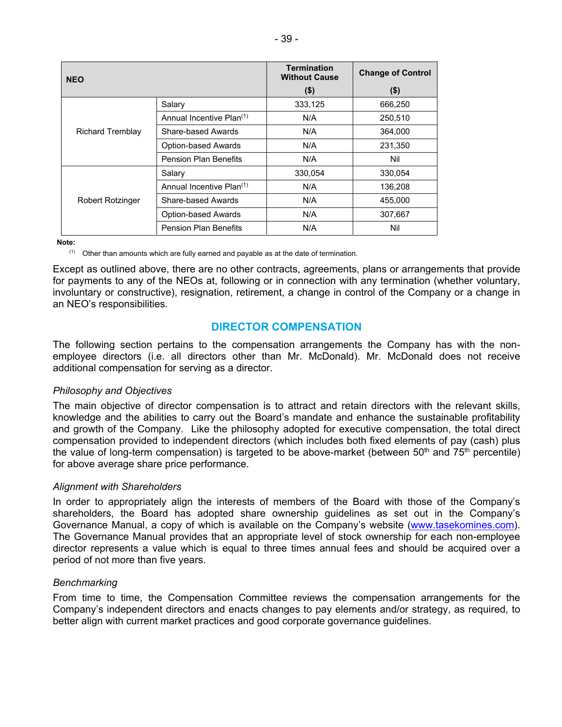| <b>NEO</b>              |                                      | <b>Termination</b><br><b>Without Cause</b> | <b>Change of Control</b> |  |
|-------------------------|--------------------------------------|--------------------------------------------|--------------------------|--|
|                         |                                      | $($ \$)                                    | $($ \$)                  |  |
|                         | Salary                               | 333,125                                    | 666,250                  |  |
|                         | Annual Incentive Plan <sup>(1)</sup> | N/A                                        | 250,510                  |  |
| <b>Richard Tremblay</b> | Share-based Awards                   | N/A                                        | 364,000                  |  |
|                         | <b>Option-based Awards</b>           | N/A                                        | 231,350                  |  |
|                         | <b>Pension Plan Benefits</b>         | N/A                                        | Nil                      |  |
|                         | Salary                               | 330,054                                    | 330,054                  |  |
|                         | Annual Incentive Plan <sup>(1)</sup> | N/A                                        | 136,208                  |  |
| <b>Robert Rotzinger</b> | Share-based Awards                   | N/A                                        | 455,000                  |  |
|                         | <b>Option-based Awards</b>           | N/A                                        | 307,667                  |  |
|                         | <b>Pension Plan Benefits</b>         | N/A                                        | Nil                      |  |

**Note:** 

 $(1)$  Other than amounts which are fully earned and payable as at the date of termination.

Except as outlined above, there are no other contracts, agreements, plans or arrangements that provide for payments to any of the NEOs at, following or in connection with any termination (whether voluntary, involuntary or constructive), resignation, retirement, a change in control of the Company or a change in an NEO's responsibilities.

# **DIRECTOR COMPENSATION**

The following section pertains to the compensation arrangements the Company has with the nonemployee directors (i.e. all directors other than Mr. McDonald). Mr. McDonald does not receive additional compensation for serving as a director.

#### *Philosophy and Objectives*

The main objective of director compensation is to attract and retain directors with the relevant skills, knowledge and the abilities to carry out the Board's mandate and enhance the sustainable profitability and growth of the Company. Like the philosophy adopted for executive compensation, the total direct compensation provided to independent directors (which includes both fixed elements of pay (cash) plus the value of long-term compensation) is targeted to be above-market (between  $50<sup>th</sup>$  and  $75<sup>th</sup>$  percentile) for above average share price performance.

#### *Alignment with Shareholders*

In order to appropriately align the interests of members of the Board with those of the Company's shareholders, the Board has adopted share ownership guidelines as set out in the Company's Governance Manual, a copy of which is available on the Company's website (www.tasekomines.com). The Governance Manual provides that an appropriate level of stock ownership for each non-employee director represents a value which is equal to three times annual fees and should be acquired over a period of not more than five years.

# *Benchmarking*

From time to time, the Compensation Committee reviews the compensation arrangements for the Company's independent directors and enacts changes to pay elements and/or strategy, as required, to better align with current market practices and good corporate governance guidelines.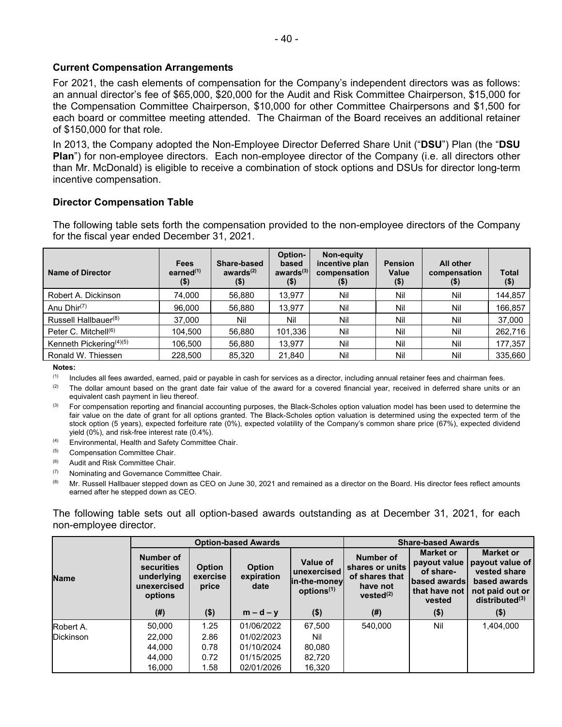# **Current Compensation Arrangements**

For 2021, the cash elements of compensation for the Company's independent directors was as follows: an annual director's fee of \$65,000, \$20,000 for the Audit and Risk Committee Chairperson, \$15,000 for the Compensation Committee Chairperson, \$10,000 for other Committee Chairpersons and \$1,500 for each board or committee meeting attended. The Chairman of the Board receives an additional retainer of \$150,000 for that role.

In 2013, the Company adopted the Non-Employee Director Deferred Share Unit ("**DSU**") Plan (the "**DSU Plan**") for non-employee directors. Each non-employee director of the Company (i.e. all directors other than Mr. McDonald) is eligible to receive a combination of stock options and DSUs for director long-term incentive compensation.

# **Director Compensation Table**

The following table sets forth the compensation provided to the non-employee directors of the Company for the fiscal year ended December 31, 2021.

| Name of Director                 | <b>Fees</b><br>earned $(1)$<br>\$) | Share-based<br>awards $(2)$<br>$($ \$) | Option-<br>based<br>awards $(3)$<br>$($ \$) | Non-equity<br>incentive plan<br>compensation<br>$($ \$) | <b>Pension</b><br>Value<br>$($ \$) | All other<br>compensation<br>(\$) | Total<br>$($ \$) |
|----------------------------------|------------------------------------|----------------------------------------|---------------------------------------------|---------------------------------------------------------|------------------------------------|-----------------------------------|------------------|
| Robert A. Dickinson              | 74.000                             | 56,880                                 | 13.977                                      | Nil                                                     | Nil                                | Nil                               | 144,857          |
| Anu $Dhir^{(7)}$                 | 96.000                             | 56,880                                 | 13,977                                      | Nil                                                     | Nil                                | Nil                               | 166,857          |
| Russell Hallbauer <sup>(8)</sup> | 37,000                             | Nil                                    | Nil                                         | Nil                                                     | Nil                                | Nil                               | 37,000           |
| Peter C. Mitchell <sup>(6)</sup> | 104.500                            | 56,880                                 | 101.336                                     | Nil                                                     | Nil                                | Nil                               | 262,716          |
| Kenneth Pickering $(4)(5)$       | 106.500                            | 56,880                                 | 13.977                                      | Nil                                                     | Nil                                | Nil                               | 177,357          |
| Ronald W. Thiessen               | 228,500                            | 85.320                                 | 21.840                                      | Nil                                                     | Nil                                | Nil                               | 335.660          |

**Notes:** 

 $<sup>(1)</sup>$  Includes all fees awarded, earned, paid or payable in cash for services as a director, including annual retainer fees and chairman fees.</sup>

 $(2)$  The dollar amount based on the grant date fair value of the award for a covered financial year, received in deferred share units or an equivalent cash payment in lieu thereof.

<sup>(3)</sup> For compensation reporting and financial accounting purposes, the Black-Scholes option valuation model has been used to determine the fair value on the date of grant for all options granted. The Black-Scholes option valuation is determined using the expected term of the stock option (5 years), expected forfeiture rate (0%), expected volatility of the Company's common share price (67%), expected dividend yield (0%), and risk-free interest rate (0.4%).

(4) Environmental, Health and Safety Committee Chair.

(5) Compensation Committee Chair.

(6) Audit and Risk Committee Chair.

 $(7)$  Nominating and Governance Committee Chair.

(8) Mr. Russell Hallbauer stepped down as CEO on June 30, 2021 and remained as a director on the Board. His director fees reflect amounts earned after he stepped down as CEO.

The following table sets out all option-based awards outstanding as at December 31, 2021, for each non-employee director.

|                  |                                                                 |                                    | <b>Option-based Awards</b>          |                                                                    | <b>Share-based Awards</b>                                                           |                                                                                                 |                                                                                                                      |  |
|------------------|-----------------------------------------------------------------|------------------------------------|-------------------------------------|--------------------------------------------------------------------|-------------------------------------------------------------------------------------|-------------------------------------------------------------------------------------------------|----------------------------------------------------------------------------------------------------------------------|--|
| <b>Name</b>      | Number of<br>securities<br>underlying<br>unexercised<br>options | <b>Option</b><br>exercise<br>price | <b>Option</b><br>expiration<br>date | Value of<br>unexercised<br>lin-the-money<br>options <sup>(1)</sup> | Number of<br>shares or units<br>of shares that<br>have not<br>vested <sup>(2)</sup> | <b>Market or</b><br>payout value<br>of share-<br><b>based awards</b><br>that have not<br>vested | <b>Market or</b><br>payout value of<br>vested share<br>based awards<br>not paid out or<br>distributed <sup>(3)</sup> |  |
|                  | (#)                                                             | $($ \$)                            | $m-d-y$                             | $($ \$)                                                            | $($ # $)$                                                                           | $($ \$)                                                                                         | $($ \$)                                                                                                              |  |
| Robert A.        | 50,000                                                          | 1.25                               | 01/06/2022                          | 67,500                                                             | 540,000                                                                             | Nil                                                                                             | 1,404,000                                                                                                            |  |
| <b>Dickinson</b> | 22,000                                                          | 2.86                               | 01/02/2023                          | Nil                                                                |                                                                                     |                                                                                                 |                                                                                                                      |  |
|                  | 44.000                                                          | 0.78                               | 01/10/2024                          | 80,080                                                             |                                                                                     |                                                                                                 |                                                                                                                      |  |
|                  | 44,000                                                          | 0.72                               | 01/15/2025                          | 82,720                                                             |                                                                                     |                                                                                                 |                                                                                                                      |  |
|                  | 16,000                                                          | 1.58                               | 02/01/2026                          | 16,320                                                             |                                                                                     |                                                                                                 |                                                                                                                      |  |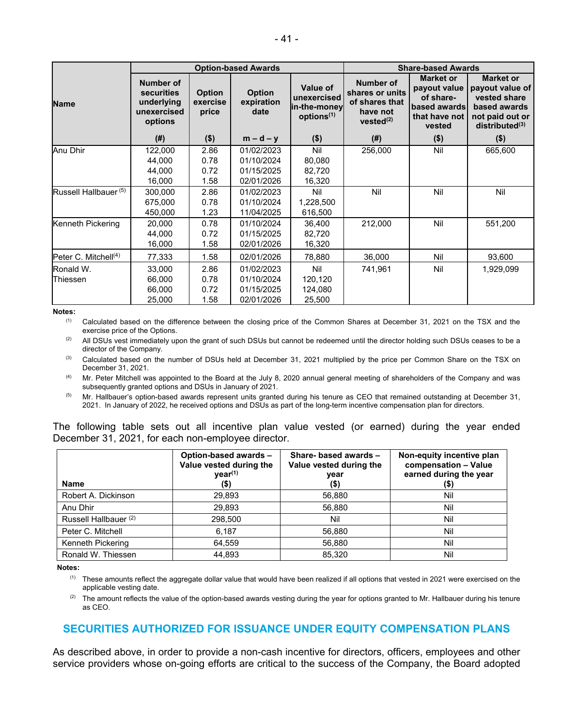|                                  | <b>Option-based Awards</b>                                                    |                                    |                                                      |                                                                          | <b>Share-based Awards</b>                                                                  |                                                                                          |                                                                                                                      |
|----------------------------------|-------------------------------------------------------------------------------|------------------------------------|------------------------------------------------------|--------------------------------------------------------------------------|--------------------------------------------------------------------------------------------|------------------------------------------------------------------------------------------|----------------------------------------------------------------------------------------------------------------------|
| <b>Name</b>                      | <b>Number of</b><br><b>securities</b><br>underlying<br>unexercised<br>options | <b>Option</b><br>exercise<br>price | <b>Option</b><br>expiration<br>date                  | <b>Value of</b><br>unexercised<br>in-the-money<br>options <sup>(1)</sup> | <b>Number of</b><br>shares or units<br>of shares that<br>have not<br>vested <sup>(2)</sup> | <b>Market or</b><br>payout value<br>of share-<br>based awards<br>that have not<br>vested | <b>Market or</b><br>payout value of<br>vested share<br>based awards<br>not paid out or<br>distributed <sup>(3)</sup> |
|                                  | (#)                                                                           | $($ \$)                            | $m-d-y$                                              | $($ \$)                                                                  | (#)                                                                                        | $($ \$)                                                                                  | $($ \$)                                                                                                              |
| Anu Dhir                         | 122,000<br>44,000<br>44.000                                                   | 2.86<br>0.78<br>0.72               | 01/02/2023<br>01/10/2024<br>01/15/2025               | Nil<br>80,080<br>82,720                                                  | 256,000                                                                                    | Nil                                                                                      | 665,600                                                                                                              |
| Russell Hallbauer <sup>(5)</sup> | 16,000<br>300,000<br>675,000<br>450,000                                       | 1.58<br>2.86<br>0.78<br>1.23       | 02/01/2026<br>01/02/2023<br>01/10/2024<br>11/04/2025 | 16,320<br>Nil<br>1,228,500<br>616,500                                    | Nil                                                                                        | Nil                                                                                      | Nil                                                                                                                  |
| Kenneth Pickering                | 20.000<br>44,000<br>16,000                                                    | 0.78<br>0.72<br>1.58               | 01/10/2024<br>01/15/2025<br>02/01/2026               | 36,400<br>82,720<br>16,320                                               | 212,000                                                                                    | Nil                                                                                      | 551,200                                                                                                              |
| Peter C. Mitchell $(4)$          | 77,333                                                                        | 1.58                               | 02/01/2026                                           | 78,880                                                                   | 36,000                                                                                     | Nil                                                                                      | 93,600                                                                                                               |
| Ronald W.<br>Thiessen            | 33,000<br>66,000<br>66,000<br>25,000                                          | 2.86<br>0.78<br>0.72<br>1.58       | 01/02/2023<br>01/10/2024<br>01/15/2025<br>02/01/2026 | Nil<br>120,120<br>124,080<br>25,500                                      | 741,961                                                                                    | Nil                                                                                      | 1,929,099                                                                                                            |

**Notes:** 

(1) Calculated based on the difference between the closing price of the Common Shares at December 31, 2021 on the TSX and the exercise price of the Options.

(2) All DSUs vest immediately upon the grant of such DSUs but cannot be redeemed until the director holding such DSUs ceases to be a director of the Company.

<sup>(3)</sup> Calculated based on the number of DSUs held at December 31, 2021 multiplied by the price per Common Share on the TSX on December 31, 2021.

 $<sup>(4)</sup>$  Mr. Peter Mitchell was appointed to the Board at the July 8, 2020 annual general meeting of shareholders of the Company and was</sup> subsequently granted options and DSUs in January of 2021.

 $<sup>(5)</sup>$  Mr. Hallbauer's option-based awards represent units granted during his tenure as CEO that remained outstanding at December 31,</sup> 2021. In January of 2022, he received options and DSUs as part of the long-term incentive compensation plan for directors.

The following table sets out all incentive plan value vested (or earned) during the year ended December 31, 2021, for each non-employee director.

| <b>Name</b>                      | Option-based awards -<br>Value vested during the<br>year <sup>(1)</sup><br>(\$) | Share- based awards -<br>Value vested during the<br>year<br>$($ \$) | Non-equity incentive plan<br>compensation - Value<br>earned during the year<br>$($ \$) |
|----------------------------------|---------------------------------------------------------------------------------|---------------------------------------------------------------------|----------------------------------------------------------------------------------------|
| Robert A. Dickinson              | 29,893                                                                          | 56,880                                                              | Nil                                                                                    |
| Anu Dhir                         | 29.893                                                                          | 56.880                                                              | Nil                                                                                    |
| Russell Hallbauer <sup>(2)</sup> | 298,500                                                                         | Nil                                                                 | Nil                                                                                    |
| Peter C. Mitchell                | 6,187                                                                           | 56,880                                                              | Nil                                                                                    |
| Kenneth Pickering                | 64,559                                                                          | 56,880                                                              | Nil                                                                                    |
| Ronald W. Thiessen               | 44.893                                                                          | 85.320                                                              | Nil                                                                                    |

**Notes:** 

 $<sup>(1)</sup>$  These amounts reflect the aggregate dollar value that would have been realized if all options that vested in 2021 were exercised on the</sup> applicable vesting date.

 $(2)$  The amount reflects the value of the option-based awards vesting during the year for options granted to Mr. Hallbauer during his tenure as CEO.

# **SECURITIES AUTHORIZED FOR ISSUANCE UNDER EQUITY COMPENSATION PLANS**

As described above, in order to provide a non-cash incentive for directors, officers, employees and other service providers whose on-going efforts are critical to the success of the Company, the Board adopted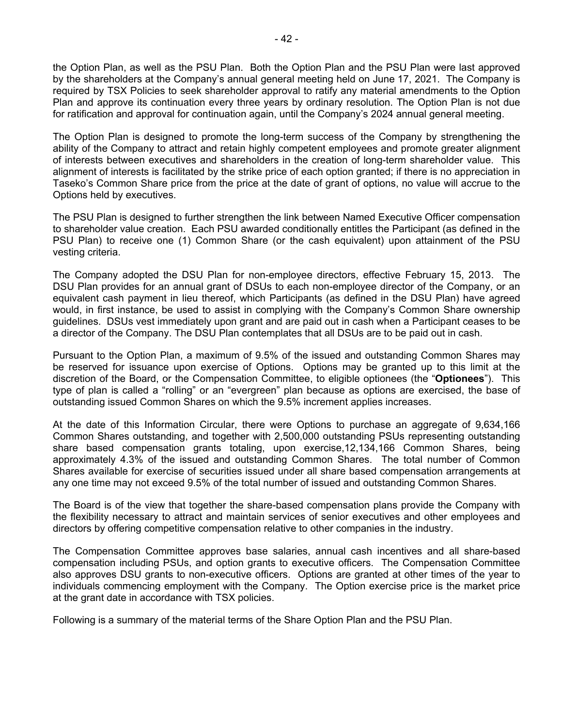the Option Plan, as well as the PSU Plan. Both the Option Plan and the PSU Plan were last approved by the shareholders at the Company's annual general meeting held on June 17, 2021. The Company is required by TSX Policies to seek shareholder approval to ratify any material amendments to the Option Plan and approve its continuation every three years by ordinary resolution. The Option Plan is not due for ratification and approval for continuation again, until the Company's 2024 annual general meeting.

The Option Plan is designed to promote the long-term success of the Company by strengthening the ability of the Company to attract and retain highly competent employees and promote greater alignment of interests between executives and shareholders in the creation of long-term shareholder value. This alignment of interests is facilitated by the strike price of each option granted; if there is no appreciation in Taseko's Common Share price from the price at the date of grant of options, no value will accrue to the Options held by executives.

The PSU Plan is designed to further strengthen the link between Named Executive Officer compensation to shareholder value creation. Each PSU awarded conditionally entitles the Participant (as defined in the PSU Plan) to receive one (1) Common Share (or the cash equivalent) upon attainment of the PSU vesting criteria.

The Company adopted the DSU Plan for non-employee directors, effective February 15, 2013. The DSU Plan provides for an annual grant of DSUs to each non-employee director of the Company, or an equivalent cash payment in lieu thereof, which Participants (as defined in the DSU Plan) have agreed would, in first instance, be used to assist in complying with the Company's Common Share ownership guidelines. DSUs vest immediately upon grant and are paid out in cash when a Participant ceases to be a director of the Company. The DSU Plan contemplates that all DSUs are to be paid out in cash.

Pursuant to the Option Plan, a maximum of 9.5% of the issued and outstanding Common Shares may be reserved for issuance upon exercise of Options. Options may be granted up to this limit at the discretion of the Board, or the Compensation Committee, to eligible optionees (the "**Optionees**"). This type of plan is called a "rolling" or an "evergreen" plan because as options are exercised, the base of outstanding issued Common Shares on which the 9.5% increment applies increases.

At the date of this Information Circular, there were Options to purchase an aggregate of 9,634,166 Common Shares outstanding, and together with 2,500,000 outstanding PSUs representing outstanding share based compensation grants totaling, upon exercise,12,134,166 Common Shares, being approximately 4.3% of the issued and outstanding Common Shares. The total number of Common Shares available for exercise of securities issued under all share based compensation arrangements at any one time may not exceed 9.5% of the total number of issued and outstanding Common Shares.

The Board is of the view that together the share-based compensation plans provide the Company with the flexibility necessary to attract and maintain services of senior executives and other employees and directors by offering competitive compensation relative to other companies in the industry.

The Compensation Committee approves base salaries, annual cash incentives and all share-based compensation including PSUs, and option grants to executive officers. The Compensation Committee also approves DSU grants to non-executive officers. Options are granted at other times of the year to individuals commencing employment with the Company. The Option exercise price is the market price at the grant date in accordance with TSX policies.

Following is a summary of the material terms of the Share Option Plan and the PSU Plan.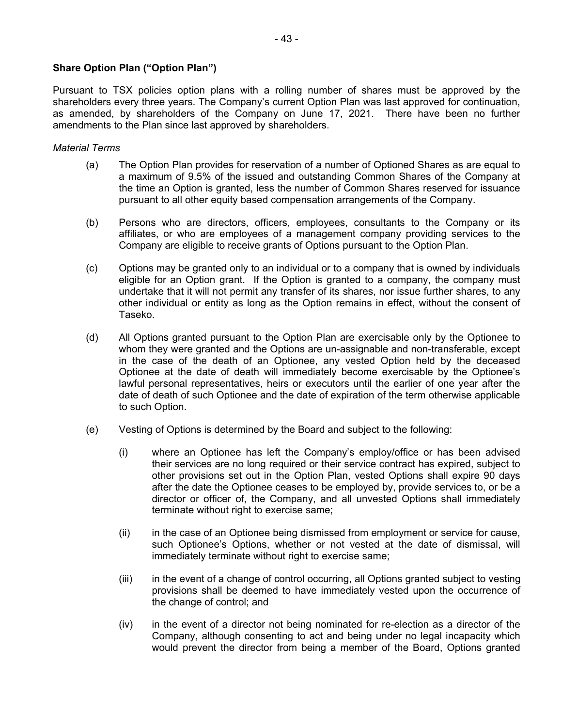# **Share Option Plan ("Option Plan")**

Pursuant to TSX policies option plans with a rolling number of shares must be approved by the shareholders every three years. The Company's current Option Plan was last approved for continuation, as amended, by shareholders of the Company on June 17, 2021. There have been no further amendments to the Plan since last approved by shareholders.

#### *Material Terms*

- (a) The Option Plan provides for reservation of a number of Optioned Shares as are equal to a maximum of 9.5% of the issued and outstanding Common Shares of the Company at the time an Option is granted, less the number of Common Shares reserved for issuance pursuant to all other equity based compensation arrangements of the Company.
- (b) Persons who are directors, officers, employees, consultants to the Company or its affiliates, or who are employees of a management company providing services to the Company are eligible to receive grants of Options pursuant to the Option Plan.
- (c) Options may be granted only to an individual or to a company that is owned by individuals eligible for an Option grant. If the Option is granted to a company, the company must undertake that it will not permit any transfer of its shares, nor issue further shares, to any other individual or entity as long as the Option remains in effect, without the consent of Taseko.
- (d) All Options granted pursuant to the Option Plan are exercisable only by the Optionee to whom they were granted and the Options are un-assignable and non-transferable, except in the case of the death of an Optionee, any vested Option held by the deceased Optionee at the date of death will immediately become exercisable by the Optionee's lawful personal representatives, heirs or executors until the earlier of one year after the date of death of such Optionee and the date of expiration of the term otherwise applicable to such Option.
- (e) Vesting of Options is determined by the Board and subject to the following:
	- (i) where an Optionee has left the Company's employ/office or has been advised their services are no long required or their service contract has expired, subject to other provisions set out in the Option Plan, vested Options shall expire 90 days after the date the Optionee ceases to be employed by, provide services to, or be a director or officer of, the Company, and all unvested Options shall immediately terminate without right to exercise same;
	- (ii) in the case of an Optionee being dismissed from employment or service for cause, such Optionee's Options, whether or not vested at the date of dismissal, will immediately terminate without right to exercise same;
	- (iii) in the event of a change of control occurring, all Options granted subject to vesting provisions shall be deemed to have immediately vested upon the occurrence of the change of control; and
	- (iv) in the event of a director not being nominated for re-election as a director of the Company, although consenting to act and being under no legal incapacity which would prevent the director from being a member of the Board, Options granted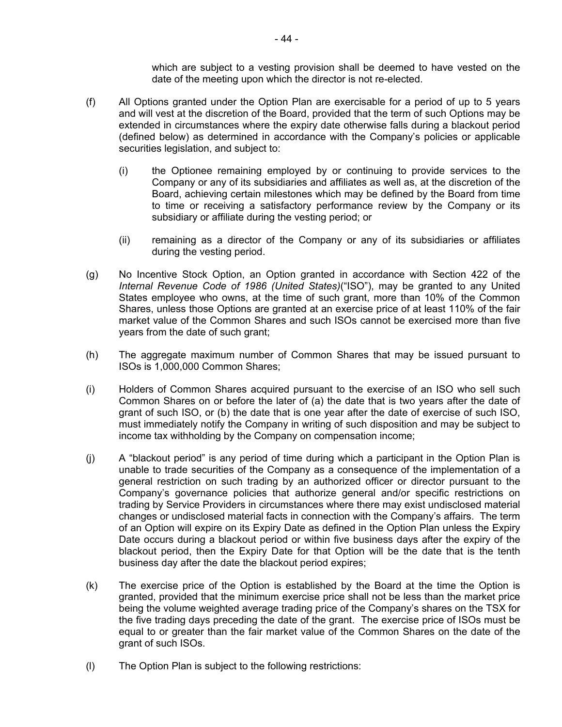which are subject to a vesting provision shall be deemed to have vested on the date of the meeting upon which the director is not re-elected.

- (f) All Options granted under the Option Plan are exercisable for a period of up to 5 years and will vest at the discretion of the Board, provided that the term of such Options may be extended in circumstances where the expiry date otherwise falls during a blackout period (defined below) as determined in accordance with the Company's policies or applicable securities legislation, and subject to:
	- (i) the Optionee remaining employed by or continuing to provide services to the Company or any of its subsidiaries and affiliates as well as, at the discretion of the Board, achieving certain milestones which may be defined by the Board from time to time or receiving a satisfactory performance review by the Company or its subsidiary or affiliate during the vesting period; or
	- (ii) remaining as a director of the Company or any of its subsidiaries or affiliates during the vesting period.
- (g) No Incentive Stock Option, an Option granted in accordance with Section 422 of the *Internal Revenue Code of 1986 (United States)*("ISO"), may be granted to any United States employee who owns, at the time of such grant, more than 10% of the Common Shares, unless those Options are granted at an exercise price of at least 110% of the fair market value of the Common Shares and such ISOs cannot be exercised more than five years from the date of such grant;
- (h) The aggregate maximum number of Common Shares that may be issued pursuant to ISOs is 1,000,000 Common Shares;
- (i) Holders of Common Shares acquired pursuant to the exercise of an ISO who sell such Common Shares on or before the later of (a) the date that is two years after the date of grant of such ISO, or (b) the date that is one year after the date of exercise of such ISO, must immediately notify the Company in writing of such disposition and may be subject to income tax withholding by the Company on compensation income;
- (j) A "blackout period" is any period of time during which a participant in the Option Plan is unable to trade securities of the Company as a consequence of the implementation of a general restriction on such trading by an authorized officer or director pursuant to the Company's governance policies that authorize general and/or specific restrictions on trading by Service Providers in circumstances where there may exist undisclosed material changes or undisclosed material facts in connection with the Company's affairs. The term of an Option will expire on its Expiry Date as defined in the Option Plan unless the Expiry Date occurs during a blackout period or within five business days after the expiry of the blackout period, then the Expiry Date for that Option will be the date that is the tenth business day after the date the blackout period expires;
- (k) The exercise price of the Option is established by the Board at the time the Option is granted, provided that the minimum exercise price shall not be less than the market price being the volume weighted average trading price of the Company's shares on the TSX for the five trading days preceding the date of the grant. The exercise price of ISOs must be equal to or greater than the fair market value of the Common Shares on the date of the grant of such ISOs.
- (l) The Option Plan is subject to the following restrictions: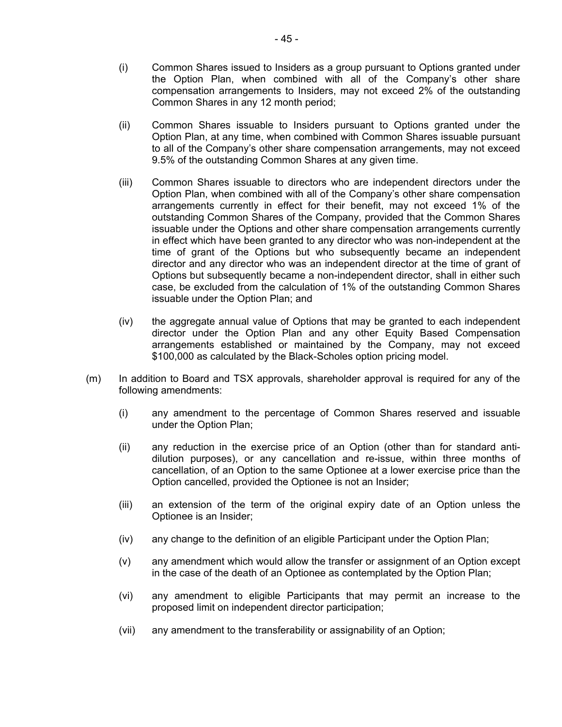- (i) Common Shares issued to Insiders as a group pursuant to Options granted under the Option Plan, when combined with all of the Company's other share compensation arrangements to Insiders, may not exceed 2% of the outstanding Common Shares in any 12 month period;
- (ii) Common Shares issuable to Insiders pursuant to Options granted under the Option Plan, at any time, when combined with Common Shares issuable pursuant to all of the Company's other share compensation arrangements, may not exceed 9.5% of the outstanding Common Shares at any given time.
- (iii) Common Shares issuable to directors who are independent directors under the Option Plan, when combined with all of the Company's other share compensation arrangements currently in effect for their benefit, may not exceed 1% of the outstanding Common Shares of the Company, provided that the Common Shares issuable under the Options and other share compensation arrangements currently in effect which have been granted to any director who was non-independent at the time of grant of the Options but who subsequently became an independent director and any director who was an independent director at the time of grant of Options but subsequently became a non-independent director, shall in either such case, be excluded from the calculation of 1% of the outstanding Common Shares issuable under the Option Plan; and
- (iv) the aggregate annual value of Options that may be granted to each independent director under the Option Plan and any other Equity Based Compensation arrangements established or maintained by the Company, may not exceed \$100,000 as calculated by the Black-Scholes option pricing model.
- (m) In addition to Board and TSX approvals, shareholder approval is required for any of the following amendments:
	- (i) any amendment to the percentage of Common Shares reserved and issuable under the Option Plan;
	- (ii) any reduction in the exercise price of an Option (other than for standard antidilution purposes), or any cancellation and re-issue, within three months of cancellation, of an Option to the same Optionee at a lower exercise price than the Option cancelled, provided the Optionee is not an Insider;
	- (iii) an extension of the term of the original expiry date of an Option unless the Optionee is an Insider;
	- (iv) any change to the definition of an eligible Participant under the Option Plan;
	- (v) any amendment which would allow the transfer or assignment of an Option except in the case of the death of an Optionee as contemplated by the Option Plan;
	- (vi) any amendment to eligible Participants that may permit an increase to the proposed limit on independent director participation;
	- (vii) any amendment to the transferability or assignability of an Option;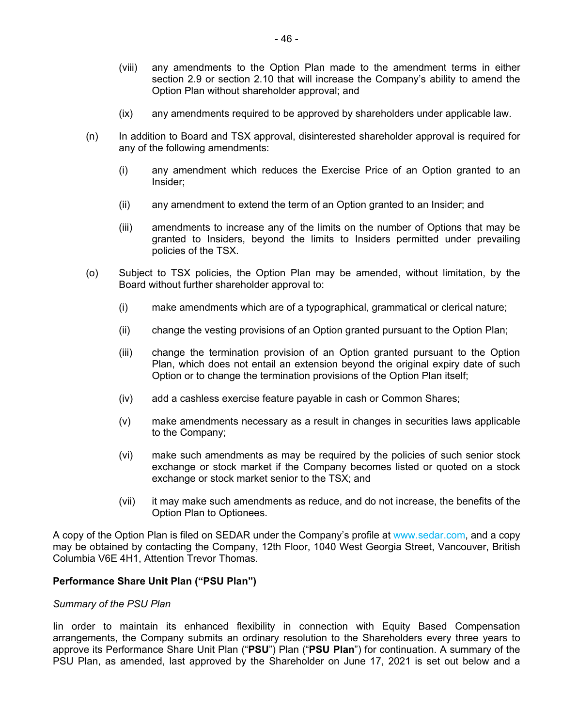- (viii) any amendments to the Option Plan made to the amendment terms in either section 2.9 or section 2.10 that will increase the Company's ability to amend the Option Plan without shareholder approval; and
- (ix) any amendments required to be approved by shareholders under applicable law.
- (n) In addition to Board and TSX approval, disinterested shareholder approval is required for any of the following amendments:
	- (i) any amendment which reduces the Exercise Price of an Option granted to an Insider;
	- (ii) any amendment to extend the term of an Option granted to an Insider; and
	- (iii) amendments to increase any of the limits on the number of Options that may be granted to Insiders, beyond the limits to Insiders permitted under prevailing policies of the TSX.
- (o) Subject to TSX policies, the Option Plan may be amended, without limitation, by the Board without further shareholder approval to:
	- (i) make amendments which are of a typographical, grammatical or clerical nature;
	- (ii) change the vesting provisions of an Option granted pursuant to the Option Plan;
	- (iii) change the termination provision of an Option granted pursuant to the Option Plan, which does not entail an extension beyond the original expiry date of such Option or to change the termination provisions of the Option Plan itself;
	- (iv) add a cashless exercise feature payable in cash or Common Shares;
	- (v) make amendments necessary as a result in changes in securities laws applicable to the Company;
	- (vi) make such amendments as may be required by the policies of such senior stock exchange or stock market if the Company becomes listed or quoted on a stock exchange or stock market senior to the TSX; and
	- (vii) it may make such amendments as reduce, and do not increase, the benefits of the Option Plan to Optionees.

A copy of the Option Plan is filed on SEDAR under the Company's profile at www.sedar.com, and a copy may be obtained by contacting the Company, 12th Floor, 1040 West Georgia Street, Vancouver, British Columbia V6E 4H1, Attention Trevor Thomas.

# **Performance Share Unit Plan ("PSU Plan")**

#### *Summary of the PSU Plan*

Iin order to maintain its enhanced flexibility in connection with Equity Based Compensation arrangements, the Company submits an ordinary resolution to the Shareholders every three years to approve its Performance Share Unit Plan ("**PSU**") Plan ("**PSU Plan**") for continuation. A summary of the PSU Plan, as amended, last approved by the Shareholder on June 17, 2021 is set out below and a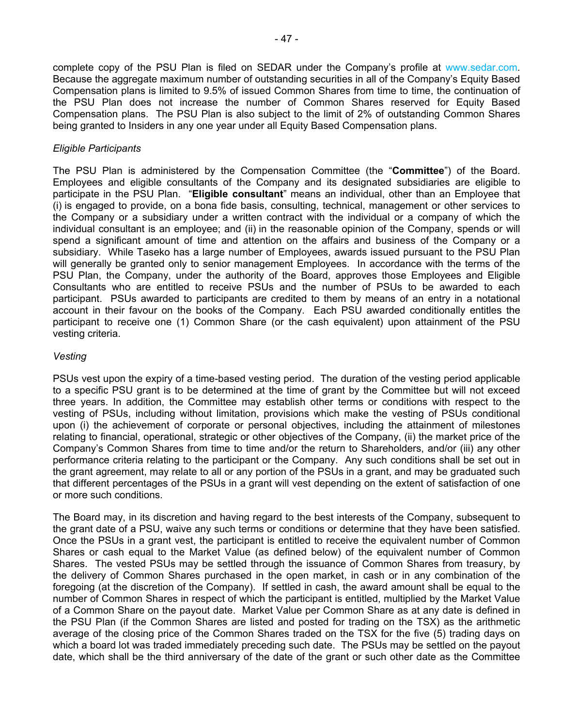complete copy of the PSU Plan is filed on SEDAR under the Company's profile at www.sedar.com. Because the aggregate maximum number of outstanding securities in all of the Company's Equity Based Compensation plans is limited to 9.5% of issued Common Shares from time to time, the continuation of the PSU Plan does not increase the number of Common Shares reserved for Equity Based Compensation plans. The PSU Plan is also subject to the limit of 2% of outstanding Common Shares being granted to Insiders in any one year under all Equity Based Compensation plans.

# *Eligible Participants*

The PSU Plan is administered by the Compensation Committee (the "**Committee**") of the Board. Employees and eligible consultants of the Company and its designated subsidiaries are eligible to participate in the PSU Plan. "**Eligible consultant**" means an individual, other than an Employee that (i) is engaged to provide, on a bona fide basis, consulting, technical, management or other services to the Company or a subsidiary under a written contract with the individual or a company of which the individual consultant is an employee; and (ii) in the reasonable opinion of the Company, spends or will spend a significant amount of time and attention on the affairs and business of the Company or a subsidiary. While Taseko has a large number of Employees, awards issued pursuant to the PSU Plan will generally be granted only to senior management Employees. In accordance with the terms of the PSU Plan, the Company, under the authority of the Board, approves those Employees and Eligible Consultants who are entitled to receive PSUs and the number of PSUs to be awarded to each participant. PSUs awarded to participants are credited to them by means of an entry in a notational account in their favour on the books of the Company. Each PSU awarded conditionally entitles the participant to receive one (1) Common Share (or the cash equivalent) upon attainment of the PSU vesting criteria.

# *Vesting*

PSUs vest upon the expiry of a time-based vesting period. The duration of the vesting period applicable to a specific PSU grant is to be determined at the time of grant by the Committee but will not exceed three years. In addition, the Committee may establish other terms or conditions with respect to the vesting of PSUs, including without limitation, provisions which make the vesting of PSUs conditional upon (i) the achievement of corporate or personal objectives, including the attainment of milestones relating to financial, operational, strategic or other objectives of the Company, (ii) the market price of the Company's Common Shares from time to time and/or the return to Shareholders, and/or (iii) any other performance criteria relating to the participant or the Company. Any such conditions shall be set out in the grant agreement, may relate to all or any portion of the PSUs in a grant, and may be graduated such that different percentages of the PSUs in a grant will vest depending on the extent of satisfaction of one or more such conditions.

The Board may, in its discretion and having regard to the best interests of the Company, subsequent to the grant date of a PSU, waive any such terms or conditions or determine that they have been satisfied. Once the PSUs in a grant vest, the participant is entitled to receive the equivalent number of Common Shares or cash equal to the Market Value (as defined below) of the equivalent number of Common Shares. The vested PSUs may be settled through the issuance of Common Shares from treasury, by the delivery of Common Shares purchased in the open market, in cash or in any combination of the foregoing (at the discretion of the Company). If settled in cash, the award amount shall be equal to the number of Common Shares in respect of which the participant is entitled, multiplied by the Market Value of a Common Share on the payout date. Market Value per Common Share as at any date is defined in the PSU Plan (if the Common Shares are listed and posted for trading on the TSX) as the arithmetic average of the closing price of the Common Shares traded on the TSX for the five (5) trading days on which a board lot was traded immediately preceding such date. The PSUs may be settled on the payout date, which shall be the third anniversary of the date of the grant or such other date as the Committee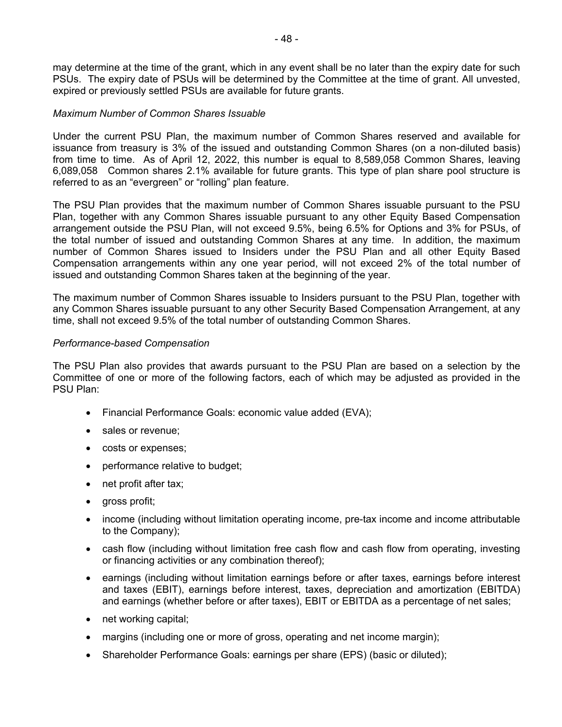may determine at the time of the grant, which in any event shall be no later than the expiry date for such PSUs. The expiry date of PSUs will be determined by the Committee at the time of grant. All unvested, expired or previously settled PSUs are available for future grants.

### *Maximum Number of Common Shares Issuable*

Under the current PSU Plan, the maximum number of Common Shares reserved and available for issuance from treasury is 3% of the issued and outstanding Common Shares (on a non-diluted basis) from time to time. As of April 12, 2022, this number is equal to 8,589,058 Common Shares, leaving 6,089,058 Common shares 2.1% available for future grants. This type of plan share pool structure is referred to as an "evergreen" or "rolling" plan feature.

The PSU Plan provides that the maximum number of Common Shares issuable pursuant to the PSU Plan, together with any Common Shares issuable pursuant to any other Equity Based Compensation arrangement outside the PSU Plan, will not exceed 9.5%, being 6.5% for Options and 3% for PSUs, of the total number of issued and outstanding Common Shares at any time. In addition, the maximum number of Common Shares issued to Insiders under the PSU Plan and all other Equity Based Compensation arrangements within any one year period, will not exceed 2% of the total number of issued and outstanding Common Shares taken at the beginning of the year.

The maximum number of Common Shares issuable to Insiders pursuant to the PSU Plan, together with any Common Shares issuable pursuant to any other Security Based Compensation Arrangement, at any time, shall not exceed 9.5% of the total number of outstanding Common Shares.

# *Performance-based Compensation*

The PSU Plan also provides that awards pursuant to the PSU Plan are based on a selection by the Committee of one or more of the following factors, each of which may be adjusted as provided in the PSU Plan:

- Financial Performance Goals: economic value added (EVA);
- sales or revenue:
- costs or expenses;
- performance relative to budget;
- net profit after tax;
- gross profit;
- income (including without limitation operating income, pre-tax income and income attributable to the Company);
- cash flow (including without limitation free cash flow and cash flow from operating, investing or financing activities or any combination thereof);
- earnings (including without limitation earnings before or after taxes, earnings before interest and taxes (EBIT), earnings before interest, taxes, depreciation and amortization (EBITDA) and earnings (whether before or after taxes), EBIT or EBITDA as a percentage of net sales;
- net working capital;
- margins (including one or more of gross, operating and net income margin);
- Shareholder Performance Goals: earnings per share (EPS) (basic or diluted);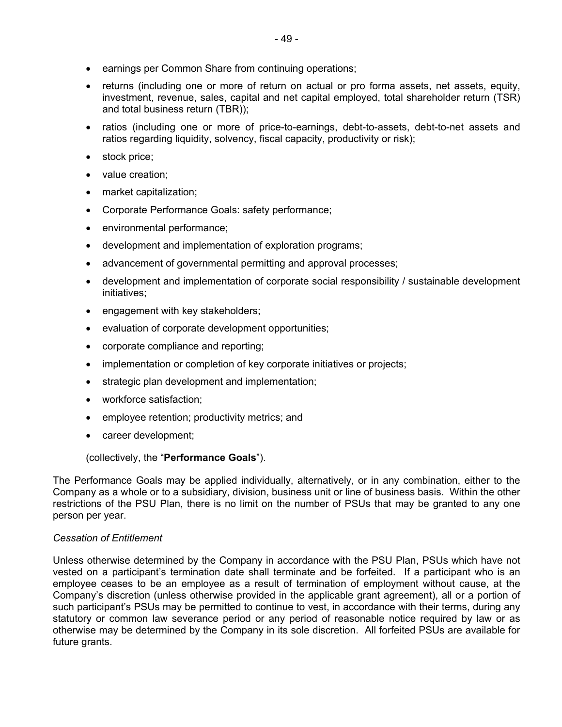- earnings per Common Share from continuing operations;
- returns (including one or more of return on actual or pro forma assets, net assets, equity, investment, revenue, sales, capital and net capital employed, total shareholder return (TSR) and total business return (TBR));
- ratios (including one or more of price-to-earnings, debt-to-assets, debt-to-net assets and ratios regarding liquidity, solvency, fiscal capacity, productivity or risk);
- stock price;
- value creation;
- market capitalization;
- Corporate Performance Goals: safety performance;
- environmental performance;
- development and implementation of exploration programs;
- advancement of governmental permitting and approval processes;
- development and implementation of corporate social responsibility / sustainable development initiatives;
- engagement with key stakeholders;
- evaluation of corporate development opportunities;
- corporate compliance and reporting;
- implementation or completion of key corporate initiatives or projects;
- strategic plan development and implementation;
- workforce satisfaction;
- employee retention; productivity metrics; and
- career development;

(collectively, the "**Performance Goals**").

The Performance Goals may be applied individually, alternatively, or in any combination, either to the Company as a whole or to a subsidiary, division, business unit or line of business basis. Within the other restrictions of the PSU Plan, there is no limit on the number of PSUs that may be granted to any one person per year.

# *Cessation of Entitlement*

Unless otherwise determined by the Company in accordance with the PSU Plan, PSUs which have not vested on a participant's termination date shall terminate and be forfeited. If a participant who is an employee ceases to be an employee as a result of termination of employment without cause, at the Company's discretion (unless otherwise provided in the applicable grant agreement), all or a portion of such participant's PSUs may be permitted to continue to vest, in accordance with their terms, during any statutory or common law severance period or any period of reasonable notice required by law or as otherwise may be determined by the Company in its sole discretion. All forfeited PSUs are available for future grants.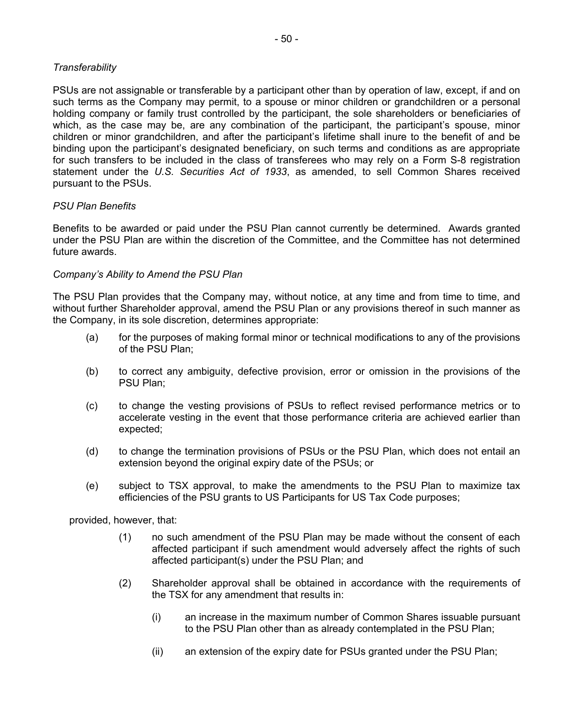# *Transferability*

PSUs are not assignable or transferable by a participant other than by operation of law, except, if and on such terms as the Company may permit, to a spouse or minor children or grandchildren or a personal holding company or family trust controlled by the participant, the sole shareholders or beneficiaries of which, as the case may be, are any combination of the participant, the participant's spouse, minor children or minor grandchildren, and after the participant's lifetime shall inure to the benefit of and be binding upon the participant's designated beneficiary, on such terms and conditions as are appropriate for such transfers to be included in the class of transferees who may rely on a Form S-8 registration statement under the *U.S. Securities Act of 1933*, as amended, to sell Common Shares received pursuant to the PSUs.

#### *PSU Plan Benefits*

Benefits to be awarded or paid under the PSU Plan cannot currently be determined. Awards granted under the PSU Plan are within the discretion of the Committee, and the Committee has not determined future awards.

#### *Company's Ability to Amend the PSU Plan*

The PSU Plan provides that the Company may, without notice, at any time and from time to time, and without further Shareholder approval, amend the PSU Plan or any provisions thereof in such manner as the Company, in its sole discretion, determines appropriate:

- (a) for the purposes of making formal minor or technical modifications to any of the provisions of the PSU Plan;
- (b) to correct any ambiguity, defective provision, error or omission in the provisions of the PSU Plan;
- (c) to change the vesting provisions of PSUs to reflect revised performance metrics or to accelerate vesting in the event that those performance criteria are achieved earlier than expected;
- (d) to change the termination provisions of PSUs or the PSU Plan, which does not entail an extension beyond the original expiry date of the PSUs; or
- (e) subject to TSX approval, to make the amendments to the PSU Plan to maximize tax efficiencies of the PSU grants to US Participants for US Tax Code purposes;

provided, however, that:

- (1) no such amendment of the PSU Plan may be made without the consent of each affected participant if such amendment would adversely affect the rights of such affected participant(s) under the PSU Plan; and
- (2) Shareholder approval shall be obtained in accordance with the requirements of the TSX for any amendment that results in:
	- (i) an increase in the maximum number of Common Shares issuable pursuant to the PSU Plan other than as already contemplated in the PSU Plan;
	- (ii) an extension of the expiry date for PSUs granted under the PSU Plan;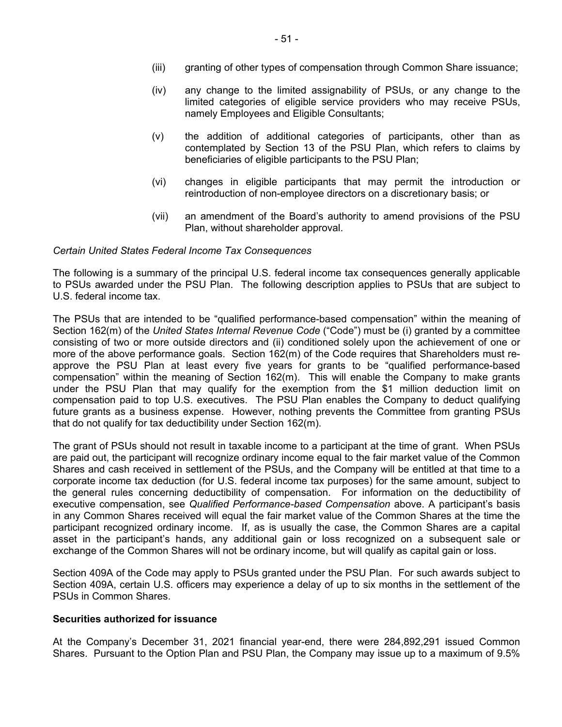- (iii) granting of other types of compensation through Common Share issuance;
- (iv) any change to the limited assignability of PSUs, or any change to the limited categories of eligible service providers who may receive PSUs, namely Employees and Eligible Consultants;
- (v) the addition of additional categories of participants, other than as contemplated by Section 13 of the PSU Plan, which refers to claims by beneficiaries of eligible participants to the PSU Plan;
- (vi) changes in eligible participants that may permit the introduction or reintroduction of non-employee directors on a discretionary basis; or
- (vii) an amendment of the Board's authority to amend provisions of the PSU Plan, without shareholder approval.

#### *Certain United States Federal Income Tax Consequences*

The following is a summary of the principal U.S. federal income tax consequences generally applicable to PSUs awarded under the PSU Plan. The following description applies to PSUs that are subject to U.S. federal income tax.

The PSUs that are intended to be "qualified performance-based compensation" within the meaning of Section 162(m) of the *United States Internal Revenue Code* ("Code") must be (i) granted by a committee consisting of two or more outside directors and (ii) conditioned solely upon the achievement of one or more of the above performance goals. Section 162(m) of the Code requires that Shareholders must reapprove the PSU Plan at least every five years for grants to be "qualified performance-based compensation" within the meaning of Section 162(m). This will enable the Company to make grants under the PSU Plan that may qualify for the exemption from the \$1 million deduction limit on compensation paid to top U.S. executives. The PSU Plan enables the Company to deduct qualifying future grants as a business expense. However, nothing prevents the Committee from granting PSUs that do not qualify for tax deductibility under Section 162(m).

The grant of PSUs should not result in taxable income to a participant at the time of grant. When PSUs are paid out, the participant will recognize ordinary income equal to the fair market value of the Common Shares and cash received in settlement of the PSUs, and the Company will be entitled at that time to a corporate income tax deduction (for U.S. federal income tax purposes) for the same amount, subject to the general rules concerning deductibility of compensation. For information on the deductibility of executive compensation, see *Qualified Performance-based Compensation* above. A participant's basis in any Common Shares received will equal the fair market value of the Common Shares at the time the participant recognized ordinary income. If, as is usually the case, the Common Shares are a capital asset in the participant's hands, any additional gain or loss recognized on a subsequent sale or exchange of the Common Shares will not be ordinary income, but will qualify as capital gain or loss.

Section 409A of the Code may apply to PSUs granted under the PSU Plan. For such awards subject to Section 409A, certain U.S. officers may experience a delay of up to six months in the settlement of the PSUs in Common Shares.

#### **Securities authorized for issuance**

At the Company's December 31, 2021 financial year-end, there were 284,892,291 issued Common Shares. Pursuant to the Option Plan and PSU Plan, the Company may issue up to a maximum of 9.5%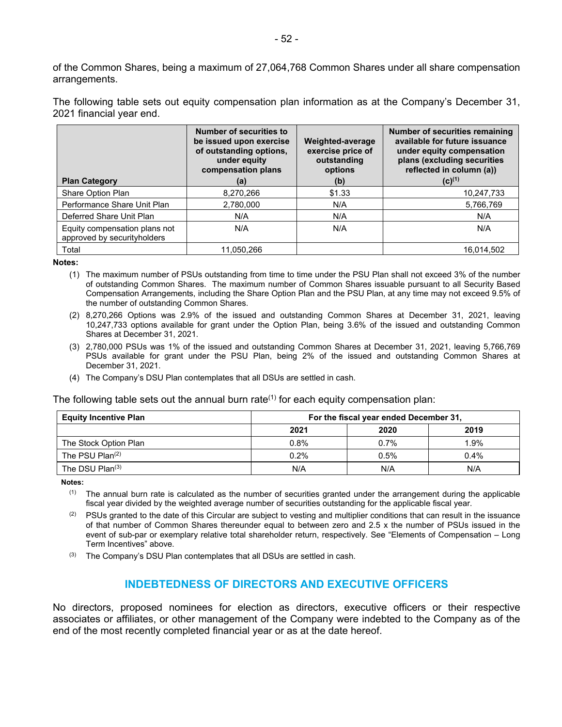of the Common Shares, being a maximum of 27,064,768 Common Shares under all share compensation arrangements.

The following table sets out equity compensation plan information as at the Company's December 31, 2021 financial year end.

| <b>Plan Category</b>                                         | <b>Number of securities to</b><br>be issued upon exercise<br>of outstanding options,<br>under equity<br>compensation plans<br>(a) | Weighted-average<br>exercise price of<br>outstanding<br>options<br>(b) | Number of securities remaining<br>available for future issuance<br>under equity compensation<br>plans (excluding securities<br>reflected in column (a))<br>$(C)^{(1)}$ |
|--------------------------------------------------------------|-----------------------------------------------------------------------------------------------------------------------------------|------------------------------------------------------------------------|------------------------------------------------------------------------------------------------------------------------------------------------------------------------|
| Share Option Plan                                            | 8,270,266                                                                                                                         | \$1.33                                                                 | 10,247,733                                                                                                                                                             |
| Performance Share Unit Plan                                  | 2,780,000                                                                                                                         | N/A                                                                    | 5,766,769                                                                                                                                                              |
| Deferred Share Unit Plan                                     | N/A                                                                                                                               | N/A                                                                    | N/A                                                                                                                                                                    |
| Equity compensation plans not<br>approved by securityholders | N/A                                                                                                                               | N/A                                                                    | N/A                                                                                                                                                                    |
| Total                                                        | 11.050.266                                                                                                                        |                                                                        | 16.014.502                                                                                                                                                             |

**Notes:** 

- (1) The maximum number of PSUs outstanding from time to time under the PSU Plan shall not exceed 3% of the number of outstanding Common Shares. The maximum number of Common Shares issuable pursuant to all Security Based Compensation Arrangements, including the Share Option Plan and the PSU Plan, at any time may not exceed 9.5% of the number of outstanding Common Shares.
- (2) 8,270,266 Options was 2.9% of the issued and outstanding Common Shares at December 31, 2021, leaving 10,247,733 options available for grant under the Option Plan, being 3.6% of the issued and outstanding Common Shares at December 31, 2021.
- (3) 2,780,000 PSUs was 1% of the issued and outstanding Common Shares at December 31, 2021, leaving 5,766,769 PSUs available for grant under the PSU Plan, being 2% of the issued and outstanding Common Shares at December 31, 2021.
- (4) The Company's DSU Plan contemplates that all DSUs are settled in cash.

The following table sets out the annual burn rate<sup>(1)</sup> for each equity compensation plan:

| <b>Equity Incentive Plan</b> | For the fiscal year ended December 31, |      |         |
|------------------------------|----------------------------------------|------|---------|
|                              | 2021                                   | 2020 | 2019    |
| The Stock Option Plan        | 0.8%                                   | 0.7% | 1.9%    |
| The PSU $Plan(2)$            | 0.2%                                   | 0.5% | $0.4\%$ |
| The DSU $Plan^{(3)}$         | N/A                                    | N/A  | N/A     |

**Notes:** 

 $(1)$  The annual burn rate is calculated as the number of securities granted under the arrangement during the applicable fiscal year divided by the weighted average number of securities outstanding for the applicable fiscal year.

- $(2)$  PSUs granted to the date of this Circular are subject to vesting and multiplier conditions that can result in the issuance of that number of Common Shares thereunder equal to between zero and 2.5 x the number of PSUs issued in the event of sub-par or exemplary relative total shareholder return, respectively. See "Elements of Compensation – Long Term Incentives" above.
- $(3)$  The Company's DSU Plan contemplates that all DSUs are settled in cash.

# **INDEBTEDNESS OF DIRECTORS AND EXECUTIVE OFFICERS**

No directors, proposed nominees for election as directors, executive officers or their respective associates or affiliates, or other management of the Company were indebted to the Company as of the end of the most recently completed financial year or as at the date hereof.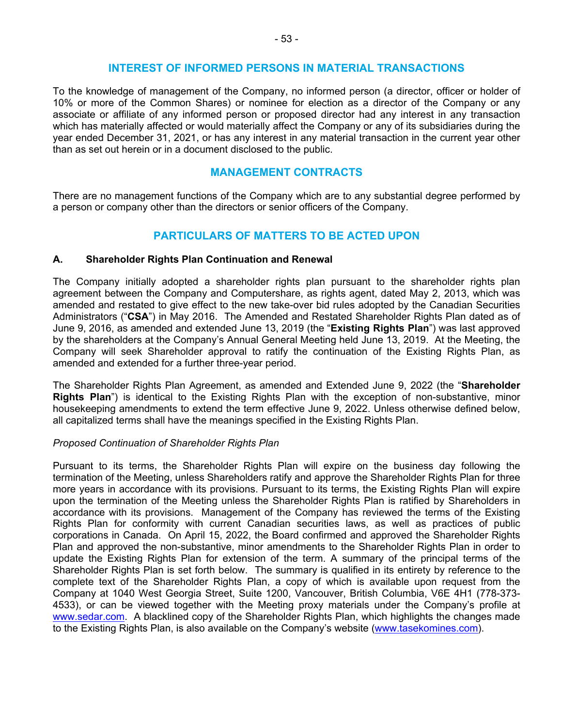#### **INTEREST OF INFORMED PERSONS IN MATERIAL TRANSACTIONS**

To the knowledge of management of the Company, no informed person (a director, officer or holder of 10% or more of the Common Shares) or nominee for election as a director of the Company or any associate or affiliate of any informed person or proposed director had any interest in any transaction which has materially affected or would materially affect the Company or any of its subsidiaries during the year ended December 31, 2021, or has any interest in any material transaction in the current year other than as set out herein or in a document disclosed to the public.

# **MANAGEMENT CONTRACTS**

There are no management functions of the Company which are to any substantial degree performed by a person or company other than the directors or senior officers of the Company.

# **PARTICULARS OF MATTERS TO BE ACTED UPON**

#### **A. Shareholder Rights Plan Continuation and Renewal**

The Company initially adopted a shareholder rights plan pursuant to the shareholder rights plan agreement between the Company and Computershare, as rights agent, dated May 2, 2013, which was amended and restated to give effect to the new take-over bid rules adopted by the Canadian Securities Administrators ("**CSA**") in May 2016. The Amended and Restated Shareholder Rights Plan dated as of June 9, 2016, as amended and extended June 13, 2019 (the "**Existing Rights Plan**") was last approved by the shareholders at the Company's Annual General Meeting held June 13, 2019. At the Meeting, the Company will seek Shareholder approval to ratify the continuation of the Existing Rights Plan, as amended and extended for a further three-year period.

The Shareholder Rights Plan Agreement, as amended and Extended June 9, 2022 (the "**Shareholder Rights Plan**") is identical to the Existing Rights Plan with the exception of non-substantive, minor housekeeping amendments to extend the term effective June 9, 2022. Unless otherwise defined below, all capitalized terms shall have the meanings specified in the Existing Rights Plan.

#### *Proposed Continuation of Shareholder Rights Plan*

Pursuant to its terms, the Shareholder Rights Plan will expire on the business day following the termination of the Meeting, unless Shareholders ratify and approve the Shareholder Rights Plan for three more years in accordance with its provisions. Pursuant to its terms, the Existing Rights Plan will expire upon the termination of the Meeting unless the Shareholder Rights Plan is ratified by Shareholders in accordance with its provisions. Management of the Company has reviewed the terms of the Existing Rights Plan for conformity with current Canadian securities laws, as well as practices of public corporations in Canada. On April 15, 2022, the Board confirmed and approved the Shareholder Rights Plan and approved the non-substantive, minor amendments to the Shareholder Rights Plan in order to update the Existing Rights Plan for extension of the term. A summary of the principal terms of the Shareholder Rights Plan is set forth below. The summary is qualified in its entirety by reference to the complete text of the Shareholder Rights Plan, a copy of which is available upon request from the Company at 1040 West Georgia Street, Suite 1200, Vancouver, British Columbia, V6E 4H1 (778-373- 4533), or can be viewed together with the Meeting proxy materials under the Company's profile at www.sedar.com. A blacklined copy of the Shareholder Rights Plan, which highlights the changes made to the Existing Rights Plan, is also available on the Company's website (www.tasekomines.com).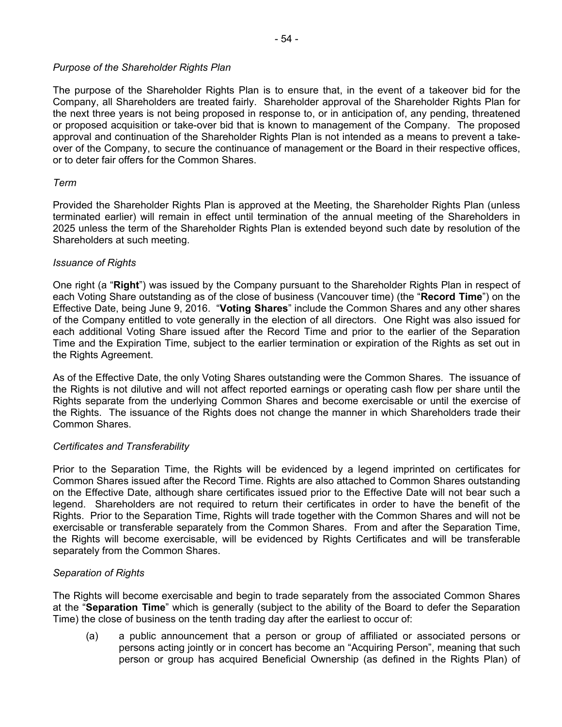# *Purpose of the Shareholder Rights Plan*

The purpose of the Shareholder Rights Plan is to ensure that, in the event of a takeover bid for the Company, all Shareholders are treated fairly. Shareholder approval of the Shareholder Rights Plan for the next three years is not being proposed in response to, or in anticipation of, any pending, threatened or proposed acquisition or take-over bid that is known to management of the Company. The proposed approval and continuation of the Shareholder Rights Plan is not intended as a means to prevent a takeover of the Company, to secure the continuance of management or the Board in their respective offices, or to deter fair offers for the Common Shares.

# *Term*

Provided the Shareholder Rights Plan is approved at the Meeting, the Shareholder Rights Plan (unless terminated earlier) will remain in effect until termination of the annual meeting of the Shareholders in 2025 unless the term of the Shareholder Rights Plan is extended beyond such date by resolution of the Shareholders at such meeting.

# *Issuance of Rights*

One right (a "**Right**") was issued by the Company pursuant to the Shareholder Rights Plan in respect of each Voting Share outstanding as of the close of business (Vancouver time) (the "**Record Time**") on the Effective Date, being June 9, 2016. "**Voting Shares**" include the Common Shares and any other shares of the Company entitled to vote generally in the election of all directors. One Right was also issued for each additional Voting Share issued after the Record Time and prior to the earlier of the Separation Time and the Expiration Time, subject to the earlier termination or expiration of the Rights as set out in the Rights Agreement.

As of the Effective Date, the only Voting Shares outstanding were the Common Shares. The issuance of the Rights is not dilutive and will not affect reported earnings or operating cash flow per share until the Rights separate from the underlying Common Shares and become exercisable or until the exercise of the Rights. The issuance of the Rights does not change the manner in which Shareholders trade their Common Shares.

# *Certificates and Transferability*

Prior to the Separation Time, the Rights will be evidenced by a legend imprinted on certificates for Common Shares issued after the Record Time. Rights are also attached to Common Shares outstanding on the Effective Date, although share certificates issued prior to the Effective Date will not bear such a legend. Shareholders are not required to return their certificates in order to have the benefit of the Rights. Prior to the Separation Time, Rights will trade together with the Common Shares and will not be exercisable or transferable separately from the Common Shares. From and after the Separation Time, the Rights will become exercisable, will be evidenced by Rights Certificates and will be transferable separately from the Common Shares.

# *Separation of Rights*

The Rights will become exercisable and begin to trade separately from the associated Common Shares at the "**Separation Time**" which is generally (subject to the ability of the Board to defer the Separation Time) the close of business on the tenth trading day after the earliest to occur of:

(a) a public announcement that a person or group of affiliated or associated persons or persons acting jointly or in concert has become an "Acquiring Person", meaning that such person or group has acquired Beneficial Ownership (as defined in the Rights Plan) of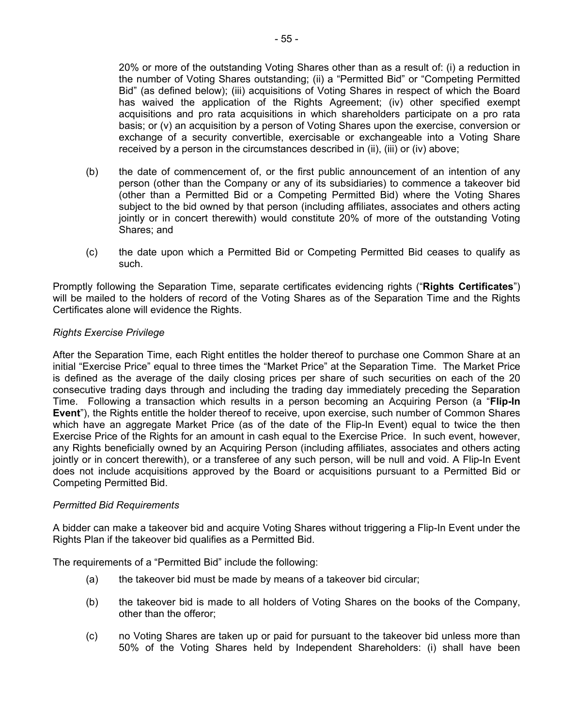20% or more of the outstanding Voting Shares other than as a result of: (i) a reduction in the number of Voting Shares outstanding; (ii) a "Permitted Bid" or "Competing Permitted Bid" (as defined below); (iii) acquisitions of Voting Shares in respect of which the Board has waived the application of the Rights Agreement; (iv) other specified exempt acquisitions and pro rata acquisitions in which shareholders participate on a pro rata basis; or (v) an acquisition by a person of Voting Shares upon the exercise, conversion or exchange of a security convertible, exercisable or exchangeable into a Voting Share received by a person in the circumstances described in (ii), (iii) or (iv) above;

- (b) the date of commencement of, or the first public announcement of an intention of any person (other than the Company or any of its subsidiaries) to commence a takeover bid (other than a Permitted Bid or a Competing Permitted Bid) where the Voting Shares subject to the bid owned by that person (including affiliates, associates and others acting jointly or in concert therewith) would constitute 20% of more of the outstanding Voting Shares; and
- (c) the date upon which a Permitted Bid or Competing Permitted Bid ceases to qualify as such.

Promptly following the Separation Time, separate certificates evidencing rights ("**Rights Certificates**") will be mailed to the holders of record of the Voting Shares as of the Separation Time and the Rights Certificates alone will evidence the Rights.

# *Rights Exercise Privilege*

After the Separation Time, each Right entitles the holder thereof to purchase one Common Share at an initial "Exercise Price" equal to three times the "Market Price" at the Separation Time. The Market Price is defined as the average of the daily closing prices per share of such securities on each of the 20 consecutive trading days through and including the trading day immediately preceding the Separation Time. Following a transaction which results in a person becoming an Acquiring Person (a "**Flip-In Event**"), the Rights entitle the holder thereof to receive, upon exercise, such number of Common Shares which have an aggregate Market Price (as of the date of the Flip-In Event) equal to twice the then Exercise Price of the Rights for an amount in cash equal to the Exercise Price. In such event, however, any Rights beneficially owned by an Acquiring Person (including affiliates, associates and others acting jointly or in concert therewith), or a transferee of any such person, will be null and void. A Flip-In Event does not include acquisitions approved by the Board or acquisitions pursuant to a Permitted Bid or Competing Permitted Bid.

#### *Permitted Bid Requirements*

A bidder can make a takeover bid and acquire Voting Shares without triggering a Flip-In Event under the Rights Plan if the takeover bid qualifies as a Permitted Bid.

The requirements of a "Permitted Bid" include the following:

- (a) the takeover bid must be made by means of a takeover bid circular;
- (b) the takeover bid is made to all holders of Voting Shares on the books of the Company, other than the offeror;
- (c) no Voting Shares are taken up or paid for pursuant to the takeover bid unless more than 50% of the Voting Shares held by Independent Shareholders: (i) shall have been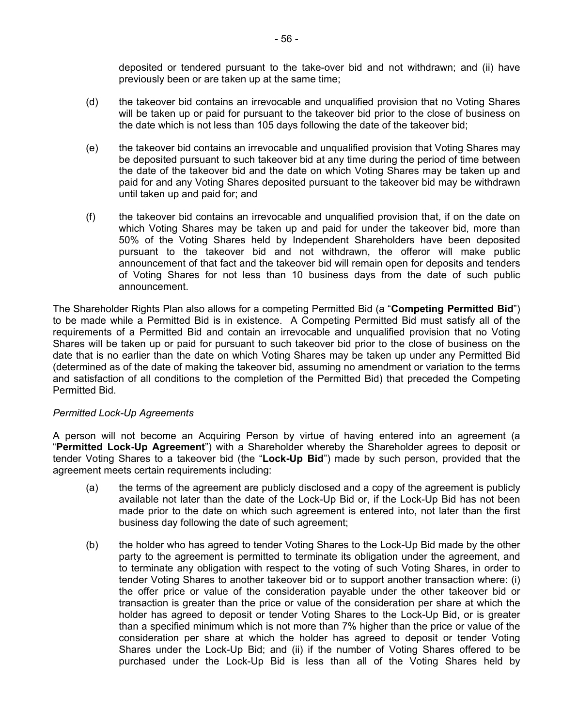deposited or tendered pursuant to the take-over bid and not withdrawn; and (ii) have previously been or are taken up at the same time;

- (d) the takeover bid contains an irrevocable and unqualified provision that no Voting Shares will be taken up or paid for pursuant to the takeover bid prior to the close of business on the date which is not less than 105 days following the date of the takeover bid;
- (e) the takeover bid contains an irrevocable and unqualified provision that Voting Shares may be deposited pursuant to such takeover bid at any time during the period of time between the date of the takeover bid and the date on which Voting Shares may be taken up and paid for and any Voting Shares deposited pursuant to the takeover bid may be withdrawn until taken up and paid for; and
- (f) the takeover bid contains an irrevocable and unqualified provision that, if on the date on which Voting Shares may be taken up and paid for under the takeover bid, more than 50% of the Voting Shares held by Independent Shareholders have been deposited pursuant to the takeover bid and not withdrawn, the offeror will make public announcement of that fact and the takeover bid will remain open for deposits and tenders of Voting Shares for not less than 10 business days from the date of such public announcement.

The Shareholder Rights Plan also allows for a competing Permitted Bid (a "**Competing Permitted Bid**") to be made while a Permitted Bid is in existence. A Competing Permitted Bid must satisfy all of the requirements of a Permitted Bid and contain an irrevocable and unqualified provision that no Voting Shares will be taken up or paid for pursuant to such takeover bid prior to the close of business on the date that is no earlier than the date on which Voting Shares may be taken up under any Permitted Bid (determined as of the date of making the takeover bid, assuming no amendment or variation to the terms and satisfaction of all conditions to the completion of the Permitted Bid) that preceded the Competing Permitted Bid.

#### *Permitted Lock-Up Agreements*

A person will not become an Acquiring Person by virtue of having entered into an agreement (a "**Permitted Lock-Up Agreement**") with a Shareholder whereby the Shareholder agrees to deposit or tender Voting Shares to a takeover bid (the "**Lock-Up Bid**") made by such person, provided that the agreement meets certain requirements including:

- (a) the terms of the agreement are publicly disclosed and a copy of the agreement is publicly available not later than the date of the Lock-Up Bid or, if the Lock-Up Bid has not been made prior to the date on which such agreement is entered into, not later than the first business day following the date of such agreement;
- (b) the holder who has agreed to tender Voting Shares to the Lock-Up Bid made by the other party to the agreement is permitted to terminate its obligation under the agreement, and to terminate any obligation with respect to the voting of such Voting Shares, in order to tender Voting Shares to another takeover bid or to support another transaction where: (i) the offer price or value of the consideration payable under the other takeover bid or transaction is greater than the price or value of the consideration per share at which the holder has agreed to deposit or tender Voting Shares to the Lock-Up Bid, or is greater than a specified minimum which is not more than 7% higher than the price or value of the consideration per share at which the holder has agreed to deposit or tender Voting Shares under the Lock-Up Bid; and (ii) if the number of Voting Shares offered to be purchased under the Lock-Up Bid is less than all of the Voting Shares held by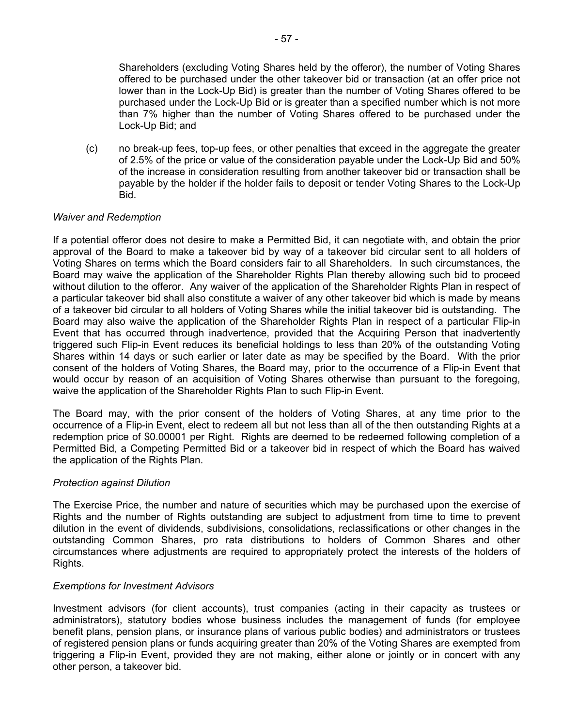Shareholders (excluding Voting Shares held by the offeror), the number of Voting Shares offered to be purchased under the other takeover bid or transaction (at an offer price not lower than in the Lock-Up Bid) is greater than the number of Voting Shares offered to be purchased under the Lock-Up Bid or is greater than a specified number which is not more than 7% higher than the number of Voting Shares offered to be purchased under the Lock-Up Bid; and

(c) no break-up fees, top-up fees, or other penalties that exceed in the aggregate the greater of 2.5% of the price or value of the consideration payable under the Lock-Up Bid and 50% of the increase in consideration resulting from another takeover bid or transaction shall be payable by the holder if the holder fails to deposit or tender Voting Shares to the Lock-Up Bid.

# *Waiver and Redemption*

If a potential offeror does not desire to make a Permitted Bid, it can negotiate with, and obtain the prior approval of the Board to make a takeover bid by way of a takeover bid circular sent to all holders of Voting Shares on terms which the Board considers fair to all Shareholders. In such circumstances, the Board may waive the application of the Shareholder Rights Plan thereby allowing such bid to proceed without dilution to the offeror. Any waiver of the application of the Shareholder Rights Plan in respect of a particular takeover bid shall also constitute a waiver of any other takeover bid which is made by means of a takeover bid circular to all holders of Voting Shares while the initial takeover bid is outstanding. The Board may also waive the application of the Shareholder Rights Plan in respect of a particular Flip-in Event that has occurred through inadvertence, provided that the Acquiring Person that inadvertently triggered such Flip-in Event reduces its beneficial holdings to less than 20% of the outstanding Voting Shares within 14 days or such earlier or later date as may be specified by the Board. With the prior consent of the holders of Voting Shares, the Board may, prior to the occurrence of a Flip-in Event that would occur by reason of an acquisition of Voting Shares otherwise than pursuant to the foregoing, waive the application of the Shareholder Rights Plan to such Flip-in Event.

The Board may, with the prior consent of the holders of Voting Shares, at any time prior to the occurrence of a Flip-in Event, elect to redeem all but not less than all of the then outstanding Rights at a redemption price of \$0.00001 per Right. Rights are deemed to be redeemed following completion of a Permitted Bid, a Competing Permitted Bid or a takeover bid in respect of which the Board has waived the application of the Rights Plan.

#### *Protection against Dilution*

The Exercise Price, the number and nature of securities which may be purchased upon the exercise of Rights and the number of Rights outstanding are subject to adjustment from time to time to prevent dilution in the event of dividends, subdivisions, consolidations, reclassifications or other changes in the outstanding Common Shares, pro rata distributions to holders of Common Shares and other circumstances where adjustments are required to appropriately protect the interests of the holders of Rights.

#### *Exemptions for Investment Advisors*

Investment advisors (for client accounts), trust companies (acting in their capacity as trustees or administrators), statutory bodies whose business includes the management of funds (for employee benefit plans, pension plans, or insurance plans of various public bodies) and administrators or trustees of registered pension plans or funds acquiring greater than 20% of the Voting Shares are exempted from triggering a Flip-in Event, provided they are not making, either alone or jointly or in concert with any other person, a takeover bid.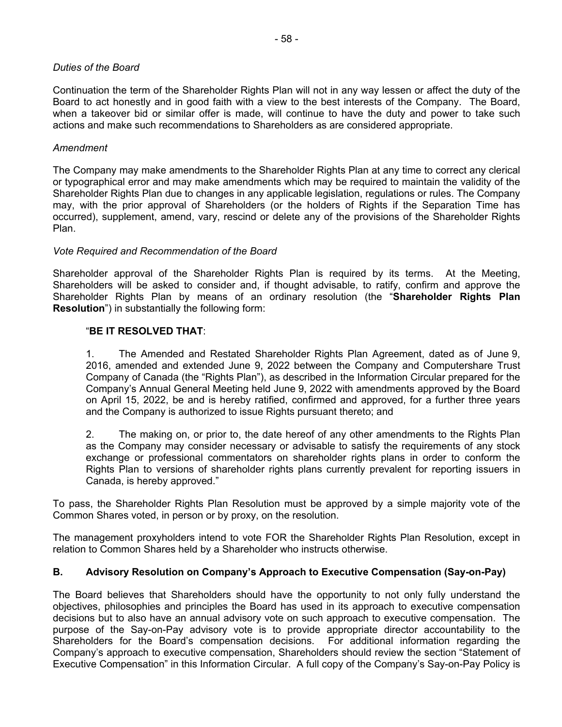# *Duties of the Board*

Continuation the term of the Shareholder Rights Plan will not in any way lessen or affect the duty of the Board to act honestly and in good faith with a view to the best interests of the Company. The Board, when a takeover bid or similar offer is made, will continue to have the duty and power to take such actions and make such recommendations to Shareholders as are considered appropriate.

# *Amendment*

The Company may make amendments to the Shareholder Rights Plan at any time to correct any clerical or typographical error and may make amendments which may be required to maintain the validity of the Shareholder Rights Plan due to changes in any applicable legislation, regulations or rules. The Company may, with the prior approval of Shareholders (or the holders of Rights if the Separation Time has occurred), supplement, amend, vary, rescind or delete any of the provisions of the Shareholder Rights Plan.

# *Vote Required and Recommendation of the Board*

Shareholder approval of the Shareholder Rights Plan is required by its terms. At the Meeting, Shareholders will be asked to consider and, if thought advisable, to ratify, confirm and approve the Shareholder Rights Plan by means of an ordinary resolution (the "**Shareholder Rights Plan Resolution**") in substantially the following form:

# "**BE IT RESOLVED THAT**:

1. The Amended and Restated Shareholder Rights Plan Agreement, dated as of June 9, 2016, amended and extended June 9, 2022 between the Company and Computershare Trust Company of Canada (the "Rights Plan"), as described in the Information Circular prepared for the Company's Annual General Meeting held June 9, 2022 with amendments approved by the Board on April 15, 2022, be and is hereby ratified, confirmed and approved, for a further three years and the Company is authorized to issue Rights pursuant thereto; and

2. The making on, or prior to, the date hereof of any other amendments to the Rights Plan as the Company may consider necessary or advisable to satisfy the requirements of any stock exchange or professional commentators on shareholder rights plans in order to conform the Rights Plan to versions of shareholder rights plans currently prevalent for reporting issuers in Canada, is hereby approved."

To pass, the Shareholder Rights Plan Resolution must be approved by a simple majority vote of the Common Shares voted, in person or by proxy, on the resolution.

The management proxyholders intend to vote FOR the Shareholder Rights Plan Resolution, except in relation to Common Shares held by a Shareholder who instructs otherwise.

# **B. Advisory Resolution on Company's Approach to Executive Compensation (Say-on-Pay)**

The Board believes that Shareholders should have the opportunity to not only fully understand the objectives, philosophies and principles the Board has used in its approach to executive compensation decisions but to also have an annual advisory vote on such approach to executive compensation. The purpose of the Say-on-Pay advisory vote is to provide appropriate director accountability to the Shareholders for the Board's compensation decisions. For additional information regarding the Company's approach to executive compensation, Shareholders should review the section "Statement of Executive Compensation" in this Information Circular. A full copy of the Company's Say-on-Pay Policy is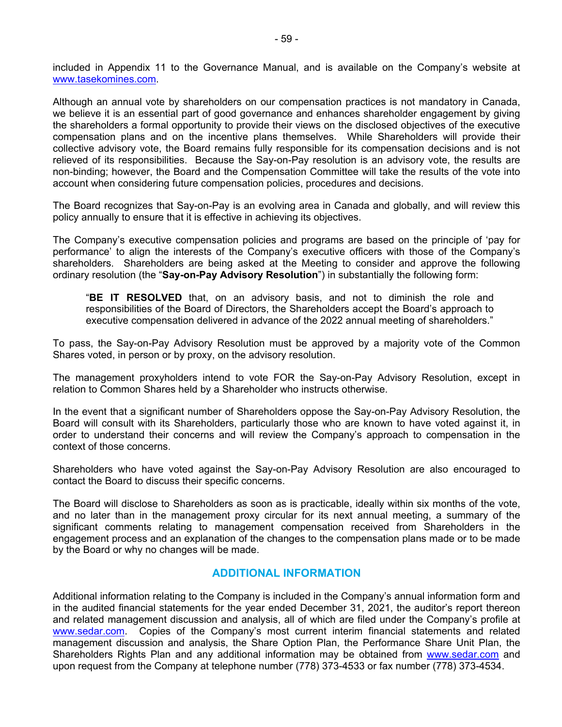included in Appendix 11 to the Governance Manual, and is available on the Company's website at www.tasekomines.com.

Although an annual vote by shareholders on our compensation practices is not mandatory in Canada, we believe it is an essential part of good governance and enhances shareholder engagement by giving the shareholders a formal opportunity to provide their views on the disclosed objectives of the executive compensation plans and on the incentive plans themselves. While Shareholders will provide their collective advisory vote, the Board remains fully responsible for its compensation decisions and is not relieved of its responsibilities. Because the Say-on-Pay resolution is an advisory vote, the results are non-binding; however, the Board and the Compensation Committee will take the results of the vote into account when considering future compensation policies, procedures and decisions.

The Board recognizes that Say-on-Pay is an evolving area in Canada and globally, and will review this policy annually to ensure that it is effective in achieving its objectives.

The Company's executive compensation policies and programs are based on the principle of 'pay for performance' to align the interests of the Company's executive officers with those of the Company's shareholders. Shareholders are being asked at the Meeting to consider and approve the following ordinary resolution (the "**Say-on-Pay Advisory Resolution**") in substantially the following form:

"**BE IT RESOLVED** that, on an advisory basis, and not to diminish the role and responsibilities of the Board of Directors, the Shareholders accept the Board's approach to executive compensation delivered in advance of the 2022 annual meeting of shareholders."

To pass, the Say-on-Pay Advisory Resolution must be approved by a majority vote of the Common Shares voted, in person or by proxy, on the advisory resolution.

The management proxyholders intend to vote FOR the Say-on-Pay Advisory Resolution, except in relation to Common Shares held by a Shareholder who instructs otherwise.

In the event that a significant number of Shareholders oppose the Say-on-Pay Advisory Resolution, the Board will consult with its Shareholders, particularly those who are known to have voted against it, in order to understand their concerns and will review the Company's approach to compensation in the context of those concerns.

Shareholders who have voted against the Say-on-Pay Advisory Resolution are also encouraged to contact the Board to discuss their specific concerns.

The Board will disclose to Shareholders as soon as is practicable, ideally within six months of the vote, and no later than in the management proxy circular for its next annual meeting, a summary of the significant comments relating to management compensation received from Shareholders in the engagement process and an explanation of the changes to the compensation plans made or to be made by the Board or why no changes will be made.

# **ADDITIONAL INFORMATION**

Additional information relating to the Company is included in the Company's annual information form and in the audited financial statements for the year ended December 31, 2021, the auditor's report thereon and related management discussion and analysis, all of which are filed under the Company's profile at www.sedar.com. Copies of the Company's most current interim financial statements and related management discussion and analysis, the Share Option Plan, the Performance Share Unit Plan, the Shareholders Rights Plan and any additional information may be obtained from www.sedar.com and upon request from the Company at telephone number (778) 373-4533 or fax number (778) 373-4534.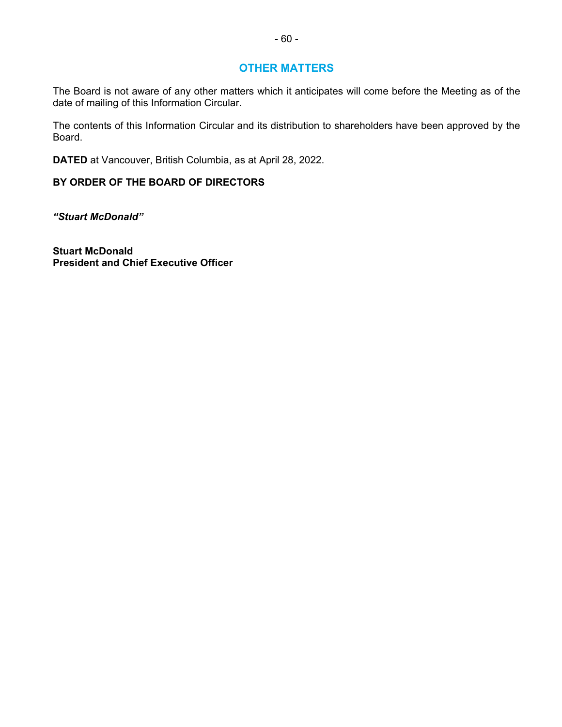# **OTHER MATTERS**

The Board is not aware of any other matters which it anticipates will come before the Meeting as of the date of mailing of this Information Circular.

The contents of this Information Circular and its distribution to shareholders have been approved by the Board.

**DATED** at Vancouver, British Columbia, as at April 28, 2022.

# **BY ORDER OF THE BOARD OF DIRECTORS**

*"Stuart McDonald"* 

**Stuart McDonald President and Chief Executive Officer**